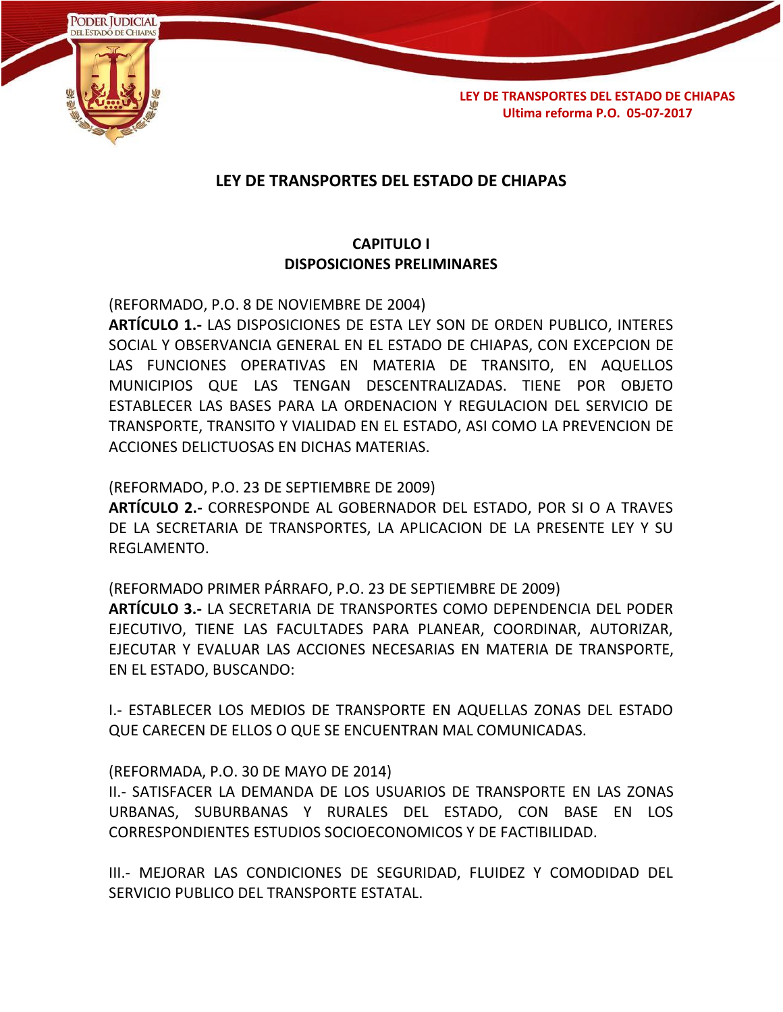

# **LEY DE TRANSPORTES DEL ESTADO DE CHIAPAS**

# **CAPITULO I DISPOSICIONES PRELIMINARES**

(REFORMADO, P.O. 8 DE NOVIEMBRE DE 2004) **ARTÍCULO 1.-** LAS DISPOSICIONES DE ESTA LEY SON DE ORDEN PUBLICO, INTERES SOCIAL Y OBSERVANCIA GENERAL EN EL ESTADO DE CHIAPAS, CON EXCEPCION DE LAS FUNCIONES OPERATIVAS EN MATERIA DE TRANSITO, EN AQUELLOS MUNICIPIOS QUE LAS TENGAN DESCENTRALIZADAS. TIENE POR OBJETO ESTABLECER LAS BASES PARA LA ORDENACION Y REGULACION DEL SERVICIO DE TRANSPORTE, TRANSITO Y VIALIDAD EN EL ESTADO, ASI COMO LA PREVENCION DE ACCIONES DELICTUOSAS EN DICHAS MATERIAS.

(REFORMADO, P.O. 23 DE SEPTIEMBRE DE 2009)

**ARTÍCULO 2.-** CORRESPONDE AL GOBERNADOR DEL ESTADO, POR SI O A TRAVES DE LA SECRETARIA DE TRANSPORTES, LA APLICACION DE LA PRESENTE LEY Y SU REGLAMENTO.

(REFORMADO PRIMER PÁRRAFO, P.O. 23 DE SEPTIEMBRE DE 2009) **ARTÍCULO 3.-** LA SECRETARIA DE TRANSPORTES COMO DEPENDENCIA DEL PODER EJECUTIVO, TIENE LAS FACULTADES PARA PLANEAR, COORDINAR, AUTORIZAR, EJECUTAR Y EVALUAR LAS ACCIONES NECESARIAS EN MATERIA DE TRANSPORTE, EN EL ESTADO, BUSCANDO:

I.- ESTABLECER LOS MEDIOS DE TRANSPORTE EN AQUELLAS ZONAS DEL ESTADO QUE CARECEN DE ELLOS O QUE SE ENCUENTRAN MAL COMUNICADAS.

#### (REFORMADA, P.O. 30 DE MAYO DE 2014)

II.- SATISFACER LA DEMANDA DE LOS USUARIOS DE TRANSPORTE EN LAS ZONAS URBANAS, SUBURBANAS Y RURALES DEL ESTADO, CON BASE EN LOS CORRESPONDIENTES ESTUDIOS SOCIOECONOMICOS Y DE FACTIBILIDAD.

III.- MEJORAR LAS CONDICIONES DE SEGURIDAD, FLUIDEZ Y COMODIDAD DEL SERVICIO PUBLICO DEL TRANSPORTE ESTATAL.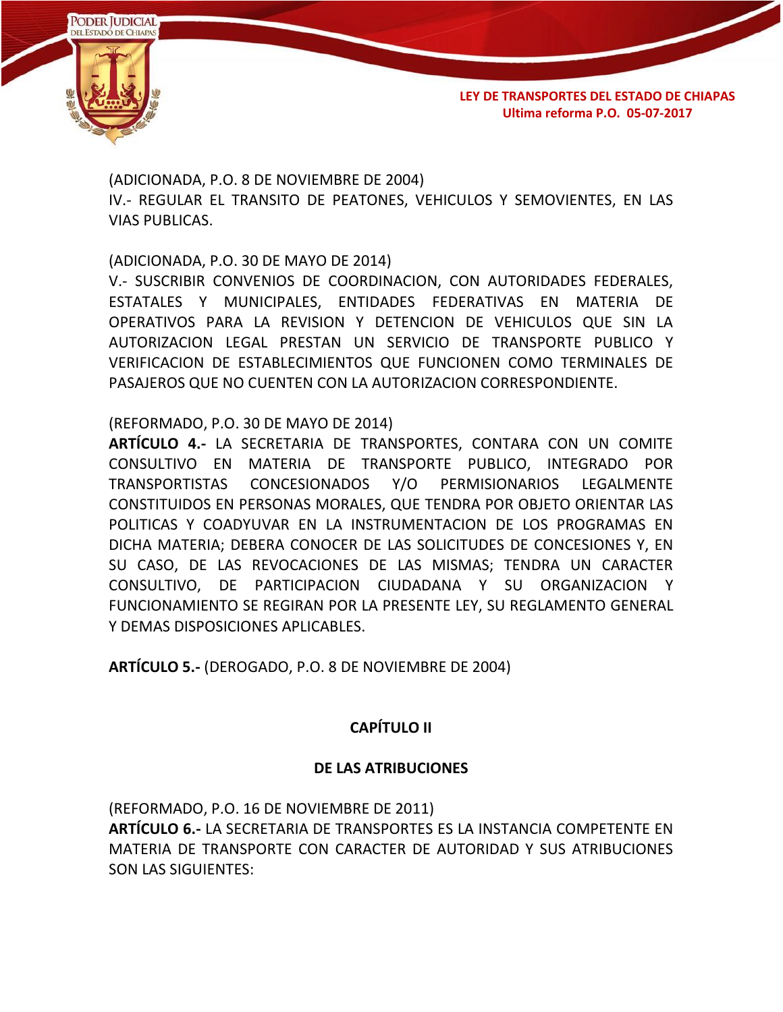

(ADICIONADA, P.O. 8 DE NOVIEMBRE DE 2004) IV.- REGULAR EL TRANSITO DE PEATONES, VEHICULOS Y SEMOVIENTES, EN LAS VIAS PUBLICAS.

(ADICIONADA, P.O. 30 DE MAYO DE 2014)

V.- SUSCRIBIR CONVENIOS DE COORDINACION, CON AUTORIDADES FEDERALES, ESTATALES Y MUNICIPALES, ENTIDADES FEDERATIVAS EN MATERIA DE OPERATIVOS PARA LA REVISION Y DETENCION DE VEHICULOS QUE SIN LA AUTORIZACION LEGAL PRESTAN UN SERVICIO DE TRANSPORTE PUBLICO Y VERIFICACION DE ESTABLECIMIENTOS QUE FUNCIONEN COMO TERMINALES DE PASAJEROS QUE NO CUENTEN CON LA AUTORIZACION CORRESPONDIENTE.

(REFORMADO, P.O. 30 DE MAYO DE 2014)

**ARTÍCULO 4.-** LA SECRETARIA DE TRANSPORTES, CONTARA CON UN COMITE CONSULTIVO EN MATERIA DE TRANSPORTE PUBLICO, INTEGRADO POR TRANSPORTISTAS CONCESIONADOS Y/O PERMISIONARIOS LEGALMENTE CONSTITUIDOS EN PERSONAS MORALES, QUE TENDRA POR OBJETO ORIENTAR LAS POLITICAS Y COADYUVAR EN LA INSTRUMENTACION DE LOS PROGRAMAS EN DICHA MATERIA; DEBERA CONOCER DE LAS SOLICITUDES DE CONCESIONES Y, EN SU CASO, DE LAS REVOCACIONES DE LAS MISMAS; TENDRA UN CARACTER CONSULTIVO, DE PARTICIPACION CIUDADANA Y SU ORGANIZACION Y FUNCIONAMIENTO SE REGIRAN POR LA PRESENTE LEY, SU REGLAMENTO GENERAL Y DEMAS DISPOSICIONES APLICABLES.

**ARTÍCULO 5.-** (DEROGADO, P.O. 8 DE NOVIEMBRE DE 2004)

# **CAPÍTULO II**

## **DE LAS ATRIBUCIONES**

(REFORMADO, P.O. 16 DE NOVIEMBRE DE 2011) **ARTÍCULO 6.-** LA SECRETARIA DE TRANSPORTES ES LA INSTANCIA COMPETENTE EN MATERIA DE TRANSPORTE CON CARACTER DE AUTORIDAD Y SUS ATRIBUCIONES SON LAS SIGUIENTES: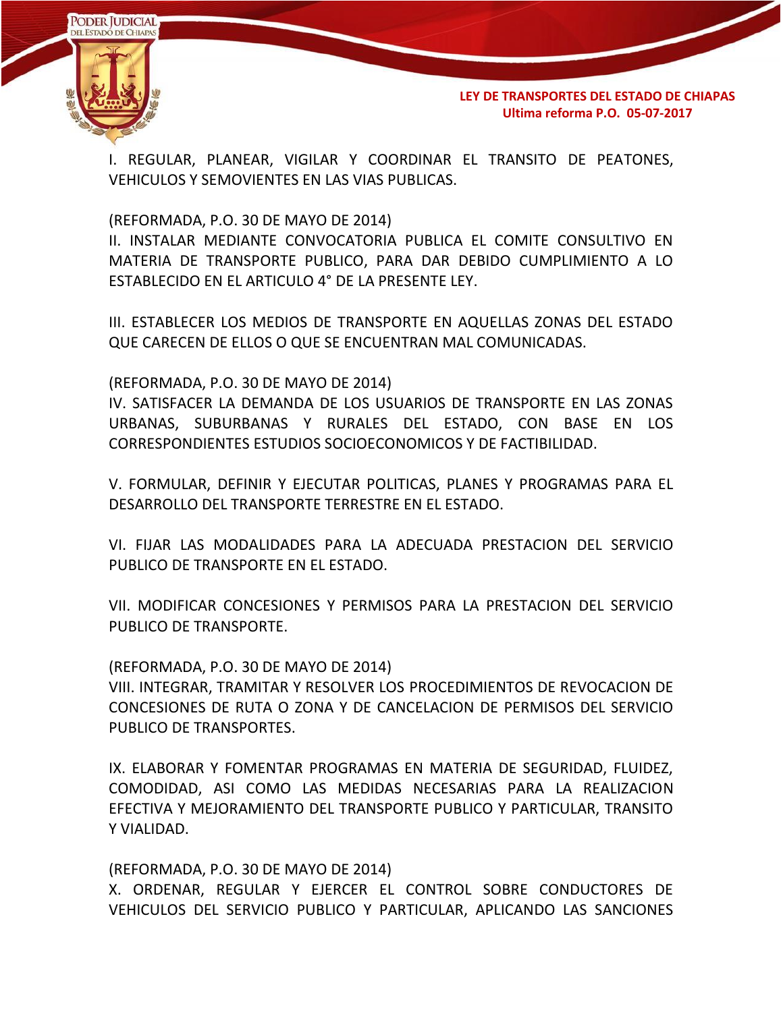

I. REGULAR, PLANEAR, VIGILAR Y COORDINAR EL TRANSITO DE PEATONES, VEHICULOS Y SEMOVIENTES EN LAS VIAS PUBLICAS.

(REFORMADA, P.O. 30 DE MAYO DE 2014)

II. INSTALAR MEDIANTE CONVOCATORIA PUBLICA EL COMITE CONSULTIVO EN MATERIA DE TRANSPORTE PUBLICO, PARA DAR DEBIDO CUMPLIMIENTO A LO ESTABLECIDO EN EL ARTICULO 4° DE LA PRESENTE LEY.

III. ESTABLECER LOS MEDIOS DE TRANSPORTE EN AQUELLAS ZONAS DEL ESTADO QUE CARECEN DE ELLOS O QUE SE ENCUENTRAN MAL COMUNICADAS.

(REFORMADA, P.O. 30 DE MAYO DE 2014)

IV. SATISFACER LA DEMANDA DE LOS USUARIOS DE TRANSPORTE EN LAS ZONAS URBANAS, SUBURBANAS Y RURALES DEL ESTADO, CON BASE EN LOS CORRESPONDIENTES ESTUDIOS SOCIOECONOMICOS Y DE FACTIBILIDAD.

V. FORMULAR, DEFINIR Y EJECUTAR POLITICAS, PLANES Y PROGRAMAS PARA EL DESARROLLO DEL TRANSPORTE TERRESTRE EN EL ESTADO.

VI. FIJAR LAS MODALIDADES PARA LA ADECUADA PRESTACION DEL SERVICIO PUBLICO DE TRANSPORTE EN EL ESTADO.

VII. MODIFICAR CONCESIONES Y PERMISOS PARA LA PRESTACION DEL SERVICIO PUBLICO DE TRANSPORTE.

(REFORMADA, P.O. 30 DE MAYO DE 2014)

VIII. INTEGRAR, TRAMITAR Y RESOLVER LOS PROCEDIMIENTOS DE REVOCACION DE CONCESIONES DE RUTA O ZONA Y DE CANCELACION DE PERMISOS DEL SERVICIO PUBLICO DE TRANSPORTES.

IX. ELABORAR Y FOMENTAR PROGRAMAS EN MATERIA DE SEGURIDAD, FLUIDEZ, COMODIDAD, ASI COMO LAS MEDIDAS NECESARIAS PARA LA REALIZACION EFECTIVA Y MEJORAMIENTO DEL TRANSPORTE PUBLICO Y PARTICULAR, TRANSITO Y VIALIDAD.

(REFORMADA, P.O. 30 DE MAYO DE 2014)

X. ORDENAR, REGULAR Y EJERCER EL CONTROL SOBRE CONDUCTORES DE VEHICULOS DEL SERVICIO PUBLICO Y PARTICULAR, APLICANDO LAS SANCIONES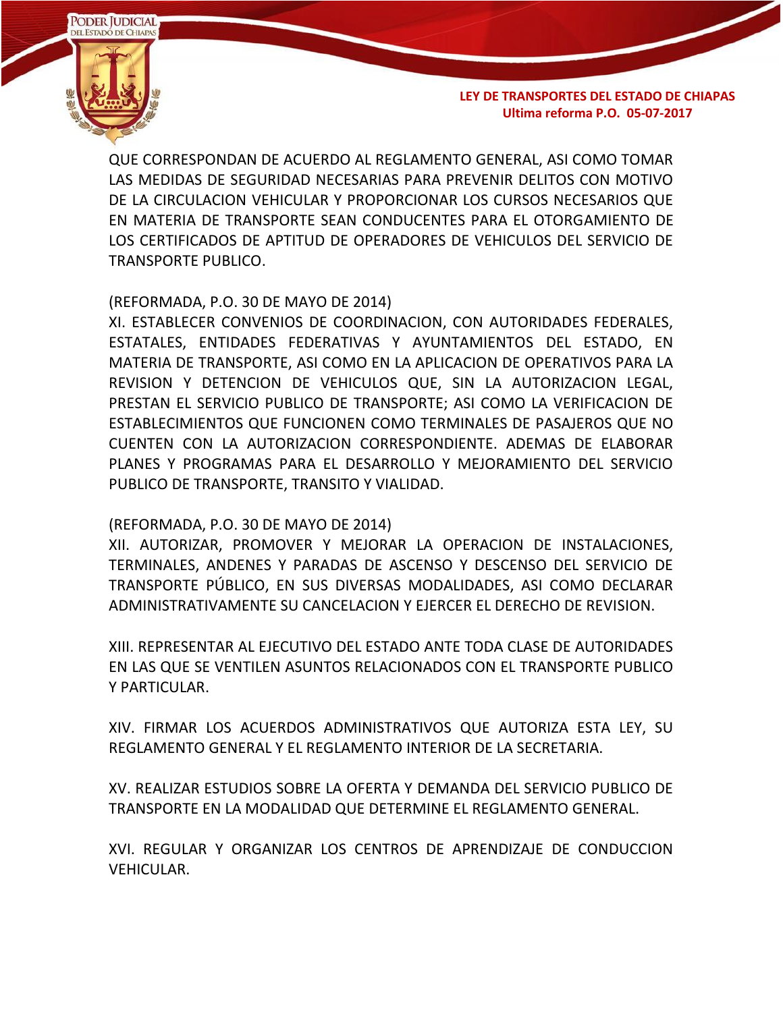

QUE CORRESPONDAN DE ACUERDO AL REGLAMENTO GENERAL, ASI COMO TOMAR LAS MEDIDAS DE SEGURIDAD NECESARIAS PARA PREVENIR DELITOS CON MOTIVO DE LA CIRCULACION VEHICULAR Y PROPORCIONAR LOS CURSOS NECESARIOS QUE EN MATERIA DE TRANSPORTE SEAN CONDUCENTES PARA EL OTORGAMIENTO DE LOS CERTIFICADOS DE APTITUD DE OPERADORES DE VEHICULOS DEL SERVICIO DE TRANSPORTE PUBLICO.

### (REFORMADA, P.O. 30 DE MAYO DE 2014)

XI. ESTABLECER CONVENIOS DE COORDINACION, CON AUTORIDADES FEDERALES, ESTATALES, ENTIDADES FEDERATIVAS Y AYUNTAMIENTOS DEL ESTADO, EN MATERIA DE TRANSPORTE, ASI COMO EN LA APLICACION DE OPERATIVOS PARA LA REVISION Y DETENCION DE VEHICULOS QUE, SIN LA AUTORIZACION LEGAL, PRESTAN EL SERVICIO PUBLICO DE TRANSPORTE; ASI COMO LA VERIFICACION DE ESTABLECIMIENTOS QUE FUNCIONEN COMO TERMINALES DE PASAJEROS QUE NO CUENTEN CON LA AUTORIZACION CORRESPONDIENTE. ADEMAS DE ELABORAR PLANES Y PROGRAMAS PARA EL DESARROLLO Y MEJORAMIENTO DEL SERVICIO PUBLICO DE TRANSPORTE, TRANSITO Y VIALIDAD.

#### (REFORMADA, P.O. 30 DE MAYO DE 2014)

XII. AUTORIZAR, PROMOVER Y MEJORAR LA OPERACION DE INSTALACIONES, TERMINALES, ANDENES Y PARADAS DE ASCENSO Y DESCENSO DEL SERVICIO DE TRANSPORTE PÚBLICO, EN SUS DIVERSAS MODALIDADES, ASI COMO DECLARAR ADMINISTRATIVAMENTE SU CANCELACION Y EJERCER EL DERECHO DE REVISION.

XIII. REPRESENTAR AL EJECUTIVO DEL ESTADO ANTE TODA CLASE DE AUTORIDADES EN LAS QUE SE VENTILEN ASUNTOS RELACIONADOS CON EL TRANSPORTE PUBLICO Y PARTICULAR.

XIV. FIRMAR LOS ACUERDOS ADMINISTRATIVOS QUE AUTORIZA ESTA LEY, SU REGLAMENTO GENERAL Y EL REGLAMENTO INTERIOR DE LA SECRETARIA.

XV. REALIZAR ESTUDIOS SOBRE LA OFERTA Y DEMANDA DEL SERVICIO PUBLICO DE TRANSPORTE EN LA MODALIDAD QUE DETERMINE EL REGLAMENTO GENERAL.

XVI. REGULAR Y ORGANIZAR LOS CENTROS DE APRENDIZAJE DE CONDUCCION VEHICULAR.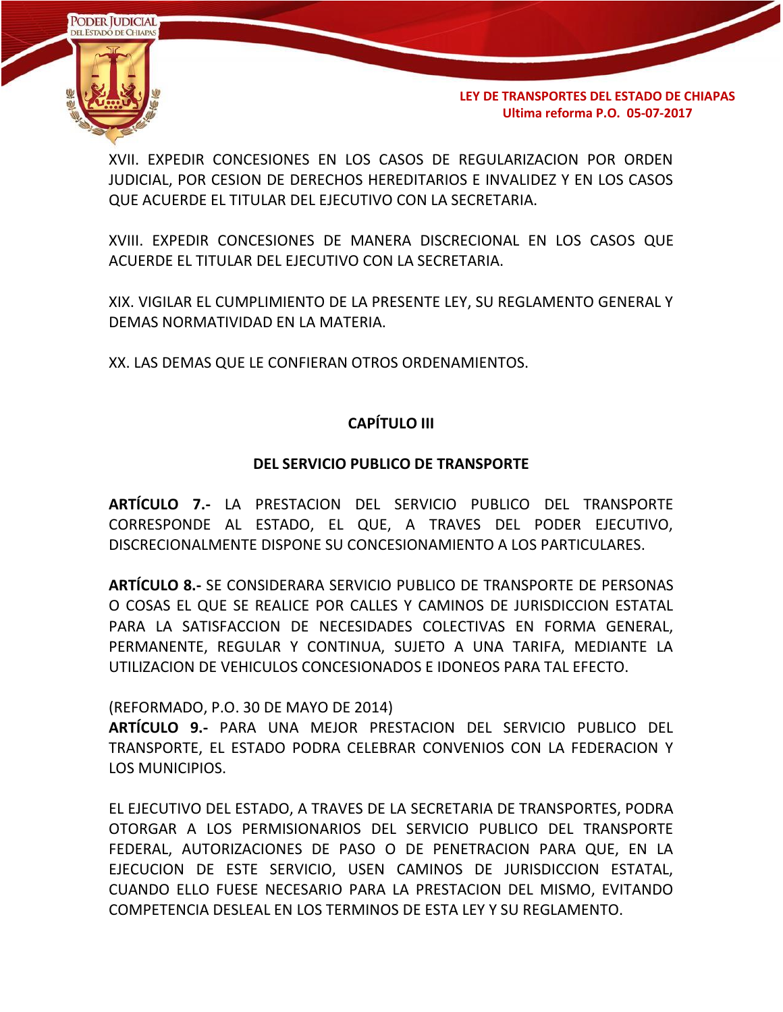

XVII. EXPEDIR CONCESIONES EN LOS CASOS DE REGULARIZACION POR ORDEN JUDICIAL, POR CESION DE DERECHOS HEREDITARIOS E INVALIDEZ Y EN LOS CASOS QUE ACUERDE EL TITULAR DEL EJECUTIVO CON LA SECRETARIA.

XVIII. EXPEDIR CONCESIONES DE MANERA DISCRECIONAL EN LOS CASOS QUE ACUERDE EL TITULAR DEL EJECUTIVO CON LA SECRETARIA.

XIX. VIGILAR EL CUMPLIMIENTO DE LA PRESENTE LEY, SU REGLAMENTO GENERAL Y DEMAS NORMATIVIDAD EN LA MATERIA.

XX. LAS DEMAS QUE LE CONFIERAN OTROS ORDENAMIENTOS.

## **CAPÍTULO III**

### **DEL SERVICIO PUBLICO DE TRANSPORTE**

**ARTÍCULO 7.-** LA PRESTACION DEL SERVICIO PUBLICO DEL TRANSPORTE CORRESPONDE AL ESTADO, EL QUE, A TRAVES DEL PODER EJECUTIVO, DISCRECIONALMENTE DISPONE SU CONCESIONAMIENTO A LOS PARTICULARES.

**ARTÍCULO 8.-** SE CONSIDERARA SERVICIO PUBLICO DE TRANSPORTE DE PERSONAS O COSAS EL QUE SE REALICE POR CALLES Y CAMINOS DE JURISDICCION ESTATAL PARA LA SATISFACCION DE NECESIDADES COLECTIVAS EN FORMA GENERAL, PERMANENTE, REGULAR Y CONTINUA, SUJETO A UNA TARIFA, MEDIANTE LA UTILIZACION DE VEHICULOS CONCESIONADOS E IDONEOS PARA TAL EFECTO.

(REFORMADO, P.O. 30 DE MAYO DE 2014)

**ARTÍCULO 9.-** PARA UNA MEJOR PRESTACION DEL SERVICIO PUBLICO DEL TRANSPORTE, EL ESTADO PODRA CELEBRAR CONVENIOS CON LA FEDERACION Y LOS MUNICIPIOS.

EL EJECUTIVO DEL ESTADO, A TRAVES DE LA SECRETARIA DE TRANSPORTES, PODRA OTORGAR A LOS PERMISIONARIOS DEL SERVICIO PUBLICO DEL TRANSPORTE FEDERAL, AUTORIZACIONES DE PASO O DE PENETRACION PARA QUE, EN LA EJECUCION DE ESTE SERVICIO, USEN CAMINOS DE JURISDICCION ESTATAL, CUANDO ELLO FUESE NECESARIO PARA LA PRESTACION DEL MISMO, EVITANDO COMPETENCIA DESLEAL EN LOS TERMINOS DE ESTA LEY Y SU REGLAMENTO.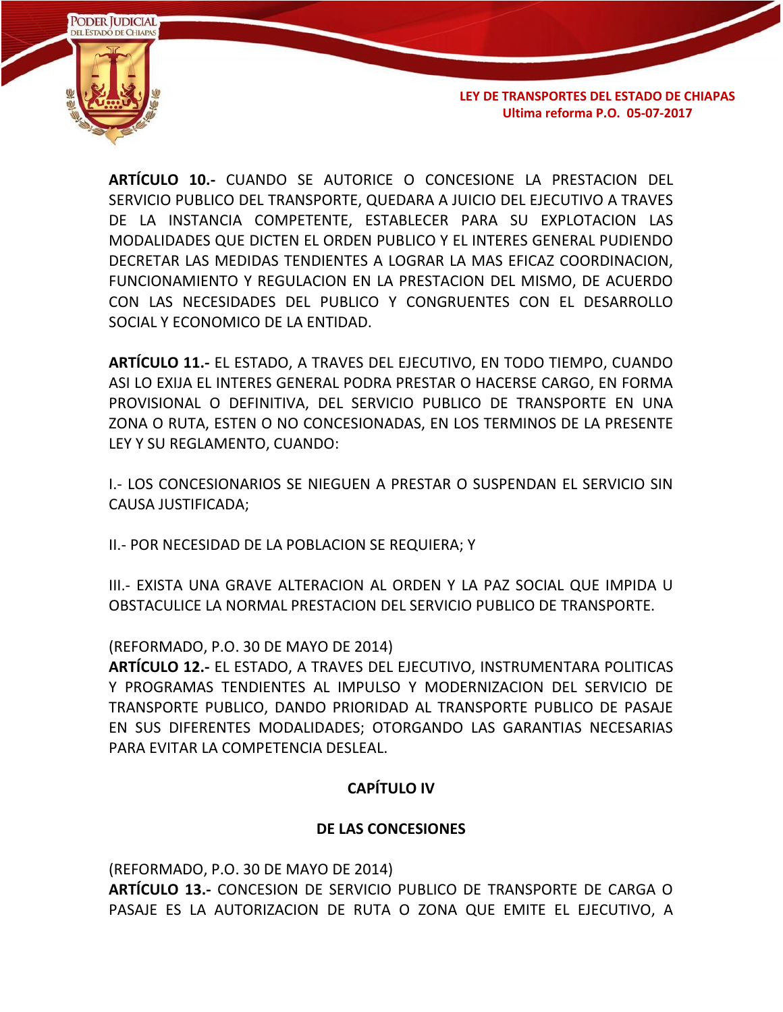

**ARTÍCULO 10.-** CUANDO SE AUTORICE O CONCESIONE LA PRESTACION DEL SERVICIO PUBLICO DEL TRANSPORTE, QUEDARA A JUICIO DEL EJECUTIVO A TRAVES DE LA INSTANCIA COMPETENTE, ESTABLECER PARA SU EXPLOTACION LAS MODALIDADES QUE DICTEN EL ORDEN PUBLICO Y EL INTERES GENERAL PUDIENDO DECRETAR LAS MEDIDAS TENDIENTES A LOGRAR LA MAS EFICAZ COORDINACION, FUNCIONAMIENTO Y REGULACION EN LA PRESTACION DEL MISMO, DE ACUERDO CON LAS NECESIDADES DEL PUBLICO Y CONGRUENTES CON EL DESARROLLO SOCIAL Y ECONOMICO DE LA ENTIDAD.

**ARTÍCULO 11.-** EL ESTADO, A TRAVES DEL EJECUTIVO, EN TODO TIEMPO, CUANDO ASI LO EXIJA EL INTERES GENERAL PODRA PRESTAR O HACERSE CARGO, EN FORMA PROVISIONAL O DEFINITIVA, DEL SERVICIO PUBLICO DE TRANSPORTE EN UNA ZONA O RUTA, ESTEN O NO CONCESIONADAS, EN LOS TERMINOS DE LA PRESENTE LEY Y SU REGLAMENTO, CUANDO:

I.- LOS CONCESIONARIOS SE NIEGUEN A PRESTAR O SUSPENDAN EL SERVICIO SIN CAUSA JUSTIFICADA;

II.- POR NECESIDAD DE LA POBLACION SE REQUIERA; Y

III.- EXISTA UNA GRAVE ALTERACION AL ORDEN Y LA PAZ SOCIAL QUE IMPIDA U OBSTACULICE LA NORMAL PRESTACION DEL SERVICIO PUBLICO DE TRANSPORTE.

(REFORMADO, P.O. 30 DE MAYO DE 2014)

**ARTÍCULO 12.-** EL ESTADO, A TRAVES DEL EJECUTIVO, INSTRUMENTARA POLITICAS Y PROGRAMAS TENDIENTES AL IMPULSO Y MODERNIZACION DEL SERVICIO DE TRANSPORTE PUBLICO, DANDO PRIORIDAD AL TRANSPORTE PUBLICO DE PASAJE EN SUS DIFERENTES MODALIDADES; OTORGANDO LAS GARANTIAS NECESARIAS PARA EVITAR LA COMPETENCIA DESLEAL.

# **CAPÍTULO IV**

## **DE LAS CONCESIONES**

(REFORMADO, P.O. 30 DE MAYO DE 2014) **ARTÍCULO 13.-** CONCESION DE SERVICIO PUBLICO DE TRANSPORTE DE CARGA O PASAJE ES LA AUTORIZACION DE RUTA O ZONA QUE EMITE EL EJECUTIVO, A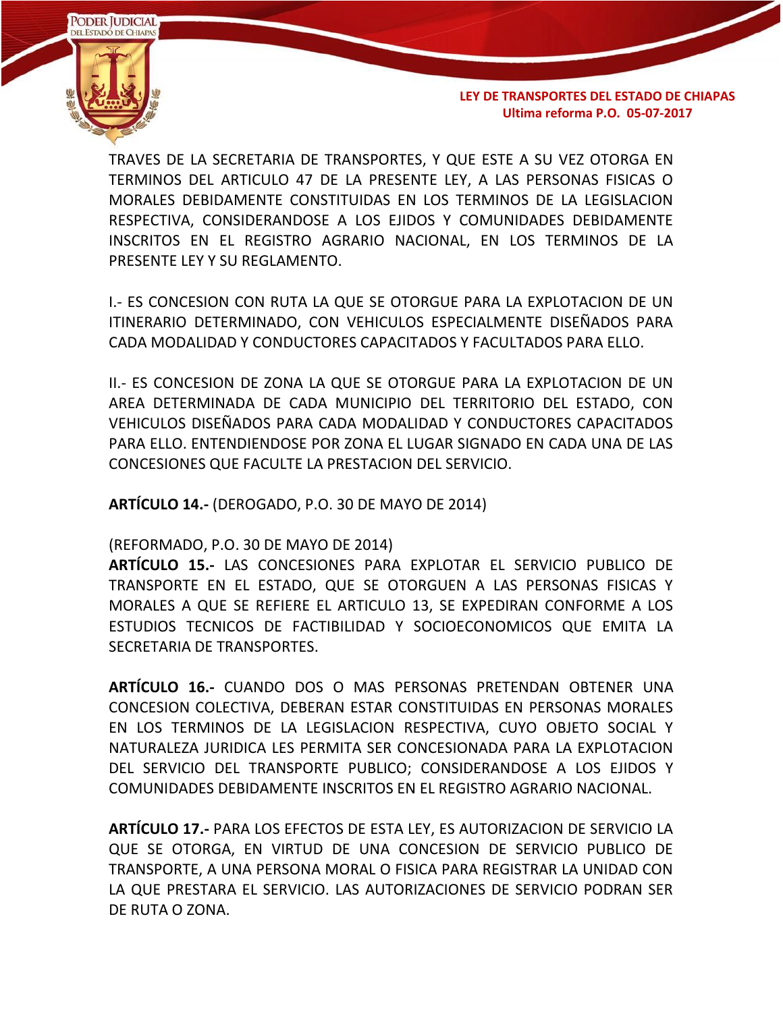

TRAVES DE LA SECRETARIA DE TRANSPORTES, Y QUE ESTE A SU VEZ OTORGA EN TERMINOS DEL ARTICULO 47 DE LA PRESENTE LEY, A LAS PERSONAS FISICAS O MORALES DEBIDAMENTE CONSTITUIDAS EN LOS TERMINOS DE LA LEGISLACION RESPECTIVA, CONSIDERANDOSE A LOS EJIDOS Y COMUNIDADES DEBIDAMENTE INSCRITOS EN EL REGISTRO AGRARIO NACIONAL, EN LOS TERMINOS DE LA PRESENTE LEY Y SU REGLAMENTO.

I.- ES CONCESION CON RUTA LA QUE SE OTORGUE PARA LA EXPLOTACION DE UN ITINERARIO DETERMINADO, CON VEHICULOS ESPECIALMENTE DISEÑADOS PARA CADA MODALIDAD Y CONDUCTORES CAPACITADOS Y FACULTADOS PARA ELLO.

II.- ES CONCESION DE ZONA LA QUE SE OTORGUE PARA LA EXPLOTACION DE UN AREA DETERMINADA DE CADA MUNICIPIO DEL TERRITORIO DEL ESTADO, CON VEHICULOS DISEÑADOS PARA CADA MODALIDAD Y CONDUCTORES CAPACITADOS PARA ELLO. ENTENDIENDOSE POR ZONA EL LUGAR SIGNADO EN CADA UNA DE LAS CONCESIONES QUE FACULTE LA PRESTACION DEL SERVICIO.

**ARTÍCULO 14.-** (DEROGADO, P.O. 30 DE MAYO DE 2014)

(REFORMADO, P.O. 30 DE MAYO DE 2014)

**ARTÍCULO 15.-** LAS CONCESIONES PARA EXPLOTAR EL SERVICIO PUBLICO DE TRANSPORTE EN EL ESTADO, QUE SE OTORGUEN A LAS PERSONAS FISICAS Y MORALES A QUE SE REFIERE EL ARTICULO 13, SE EXPEDIRAN CONFORME A LOS ESTUDIOS TECNICOS DE FACTIBILIDAD Y SOCIOECONOMICOS QUE EMITA LA SECRETARIA DE TRANSPORTES.

**ARTÍCULO 16.-** CUANDO DOS O MAS PERSONAS PRETENDAN OBTENER UNA CONCESION COLECTIVA, DEBERAN ESTAR CONSTITUIDAS EN PERSONAS MORALES EN LOS TERMINOS DE LA LEGISLACION RESPECTIVA, CUYO OBJETO SOCIAL Y NATURALEZA JURIDICA LES PERMITA SER CONCESIONADA PARA LA EXPLOTACION DEL SERVICIO DEL TRANSPORTE PUBLICO; CONSIDERANDOSE A LOS EJIDOS Y COMUNIDADES DEBIDAMENTE INSCRITOS EN EL REGISTRO AGRARIO NACIONAL.

**ARTÍCULO 17.-** PARA LOS EFECTOS DE ESTA LEY, ES AUTORIZACION DE SERVICIO LA QUE SE OTORGA, EN VIRTUD DE UNA CONCESION DE SERVICIO PUBLICO DE TRANSPORTE, A UNA PERSONA MORAL O FISICA PARA REGISTRAR LA UNIDAD CON LA QUE PRESTARA EL SERVICIO. LAS AUTORIZACIONES DE SERVICIO PODRAN SER DE RUTA O ZONA.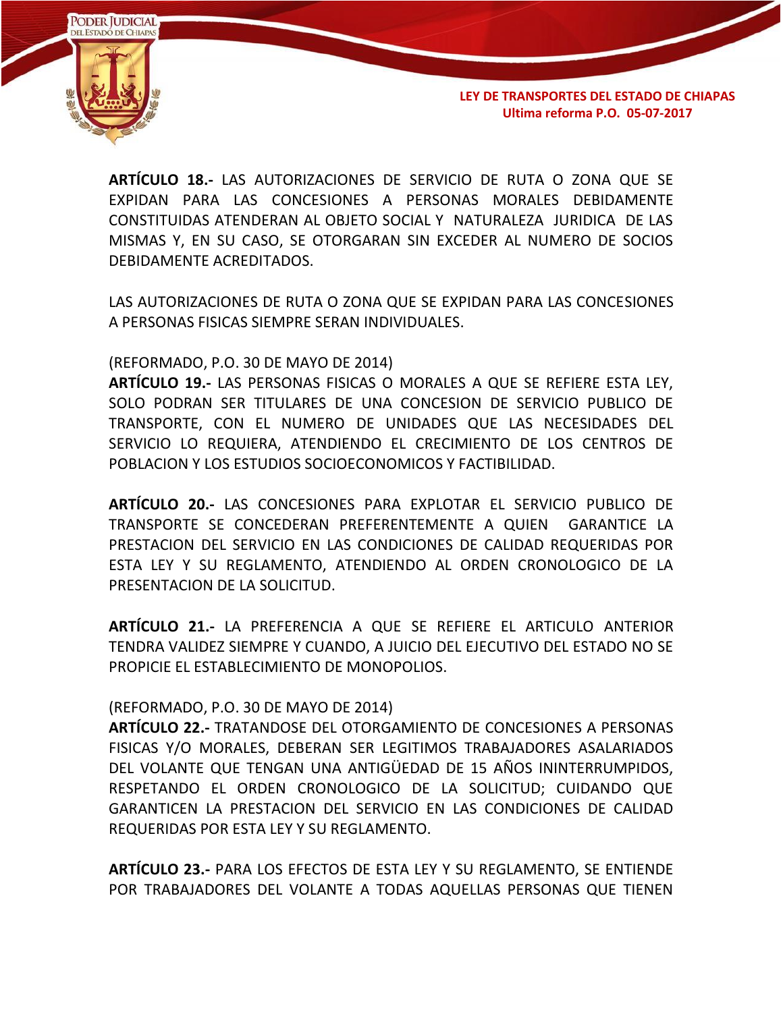

**ARTÍCULO 18.-** LAS AUTORIZACIONES DE SERVICIO DE RUTA O ZONA QUE SE EXPIDAN PARA LAS CONCESIONES A PERSONAS MORALES DEBIDAMENTE CONSTITUIDAS ATENDERAN AL OBJETO SOCIAL Y NATURALEZA JURIDICA DE LAS MISMAS Y, EN SU CASO, SE OTORGARAN SIN EXCEDER AL NUMERO DE SOCIOS DEBIDAMENTE ACREDITADOS.

LAS AUTORIZACIONES DE RUTA O ZONA QUE SE EXPIDAN PARA LAS CONCESIONES A PERSONAS FISICAS SIEMPRE SERAN INDIVIDUALES.

#### (REFORMADO, P.O. 30 DE MAYO DE 2014)

**ARTÍCULO 19.-** LAS PERSONAS FISICAS O MORALES A QUE SE REFIERE ESTA LEY, SOLO PODRAN SER TITULARES DE UNA CONCESION DE SERVICIO PUBLICO DE TRANSPORTE, CON EL NUMERO DE UNIDADES QUE LAS NECESIDADES DEL SERVICIO LO REQUIERA, ATENDIENDO EL CRECIMIENTO DE LOS CENTROS DE POBLACION Y LOS ESTUDIOS SOCIOECONOMICOS Y FACTIBILIDAD.

**ARTÍCULO 20.-** LAS CONCESIONES PARA EXPLOTAR EL SERVICIO PUBLICO DE TRANSPORTE SE CONCEDERAN PREFERENTEMENTE A QUIEN GARANTICE LA PRESTACION DEL SERVICIO EN LAS CONDICIONES DE CALIDAD REQUERIDAS POR ESTA LEY Y SU REGLAMENTO, ATENDIENDO AL ORDEN CRONOLOGICO DE LA PRESENTACION DE LA SOLICITUD.

**ARTÍCULO 21.-** LA PREFERENCIA A QUE SE REFIERE EL ARTICULO ANTERIOR TENDRA VALIDEZ SIEMPRE Y CUANDO, A JUICIO DEL EJECUTIVO DEL ESTADO NO SE PROPICIE EL ESTABLECIMIENTO DE MONOPOLIOS.

#### (REFORMADO, P.O. 30 DE MAYO DE 2014)

**ARTÍCULO 22.-** TRATANDOSE DEL OTORGAMIENTO DE CONCESIONES A PERSONAS FISICAS Y/O MORALES, DEBERAN SER LEGITIMOS TRABAJADORES ASALARIADOS DEL VOLANTE QUE TENGAN UNA ANTIGÜEDAD DE 15 AÑOS ININTERRUMPIDOS, RESPETANDO EL ORDEN CRONOLOGICO DE LA SOLICITUD; CUIDANDO QUE GARANTICEN LA PRESTACION DEL SERVICIO EN LAS CONDICIONES DE CALIDAD REQUERIDAS POR ESTA LEY Y SU REGLAMENTO.

**ARTÍCULO 23.-** PARA LOS EFECTOS DE ESTA LEY Y SU REGLAMENTO, SE ENTIENDE POR TRABAJADORES DEL VOLANTE A TODAS AQUELLAS PERSONAS QUE TIENEN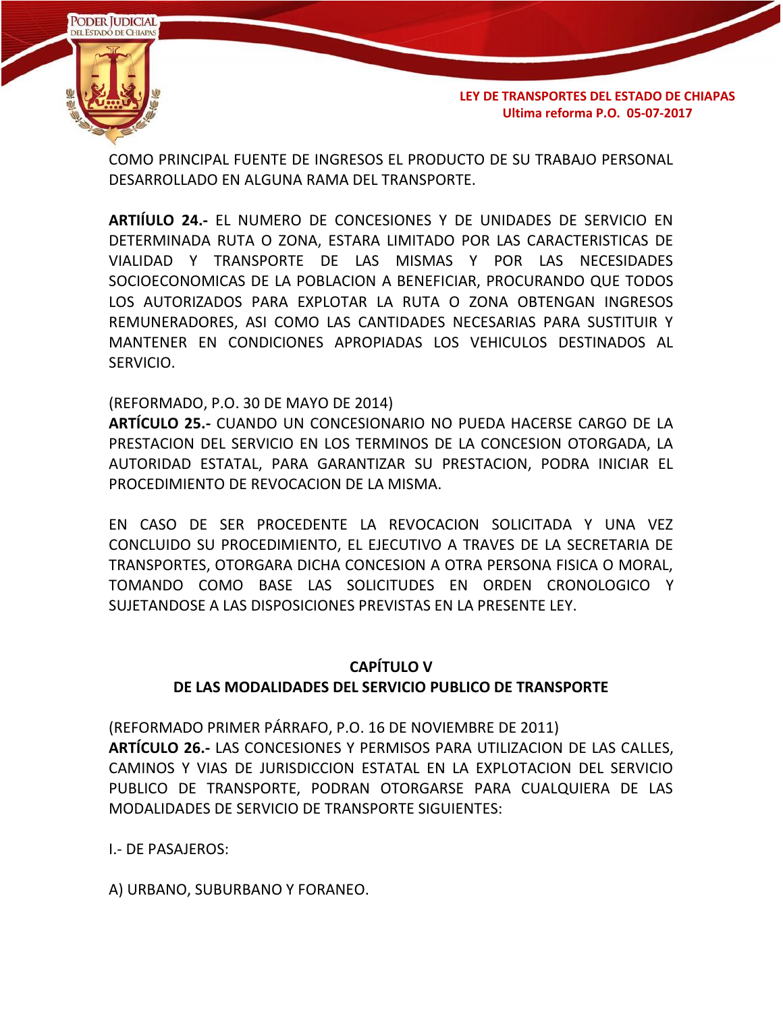

COMO PRINCIPAL FUENTE DE INGRESOS EL PRODUCTO DE SU TRABAJO PERSONAL DESARROLLADO EN ALGUNA RAMA DEL TRANSPORTE.

**ARTIÍULO 24.-** EL NUMERO DE CONCESIONES Y DE UNIDADES DE SERVICIO EN DETERMINADA RUTA O ZONA, ESTARA LIMITADO POR LAS CARACTERISTICAS DE VIALIDAD Y TRANSPORTE DE LAS MISMAS Y POR LAS NECESIDADES SOCIOECONOMICAS DE LA POBLACION A BENEFICIAR, PROCURANDO QUE TODOS LOS AUTORIZADOS PARA EXPLOTAR LA RUTA O ZONA OBTENGAN INGRESOS REMUNERADORES, ASI COMO LAS CANTIDADES NECESARIAS PARA SUSTITUIR Y MANTENER EN CONDICIONES APROPIADAS LOS VEHICULOS DESTINADOS AL SERVICIO.

## (REFORMADO, P.O. 30 DE MAYO DE 2014)

**ARTÍCULO 25.-** CUANDO UN CONCESIONARIO NO PUEDA HACERSE CARGO DE LA PRESTACION DEL SERVICIO EN LOS TERMINOS DE LA CONCESION OTORGADA, LA AUTORIDAD ESTATAL, PARA GARANTIZAR SU PRESTACION, PODRA INICIAR EL PROCEDIMIENTO DE REVOCACION DE LA MISMA.

EN CASO DE SER PROCEDENTE LA REVOCACION SOLICITADA Y UNA VEZ CONCLUIDO SU PROCEDIMIENTO, EL EJECUTIVO A TRAVES DE LA SECRETARIA DE TRANSPORTES, OTORGARA DICHA CONCESION A OTRA PERSONA FISICA O MORAL, TOMANDO COMO BASE LAS SOLICITUDES EN ORDEN CRONOLOGICO Y SUJETANDOSE A LAS DISPOSICIONES PREVISTAS EN LA PRESENTE LEY.

# **CAPÍTULO V DE LAS MODALIDADES DEL SERVICIO PUBLICO DE TRANSPORTE**

(REFORMADO PRIMER PÁRRAFO, P.O. 16 DE NOVIEMBRE DE 2011) **ARTÍCULO 26.-** LAS CONCESIONES Y PERMISOS PARA UTILIZACION DE LAS CALLES, CAMINOS Y VIAS DE JURISDICCION ESTATAL EN LA EXPLOTACION DEL SERVICIO PUBLICO DE TRANSPORTE, PODRAN OTORGARSE PARA CUALQUIERA DE LAS MODALIDADES DE SERVICIO DE TRANSPORTE SIGUIENTES:

I.- DE PASAJEROS:

A) URBANO, SUBURBANO Y FORANEO.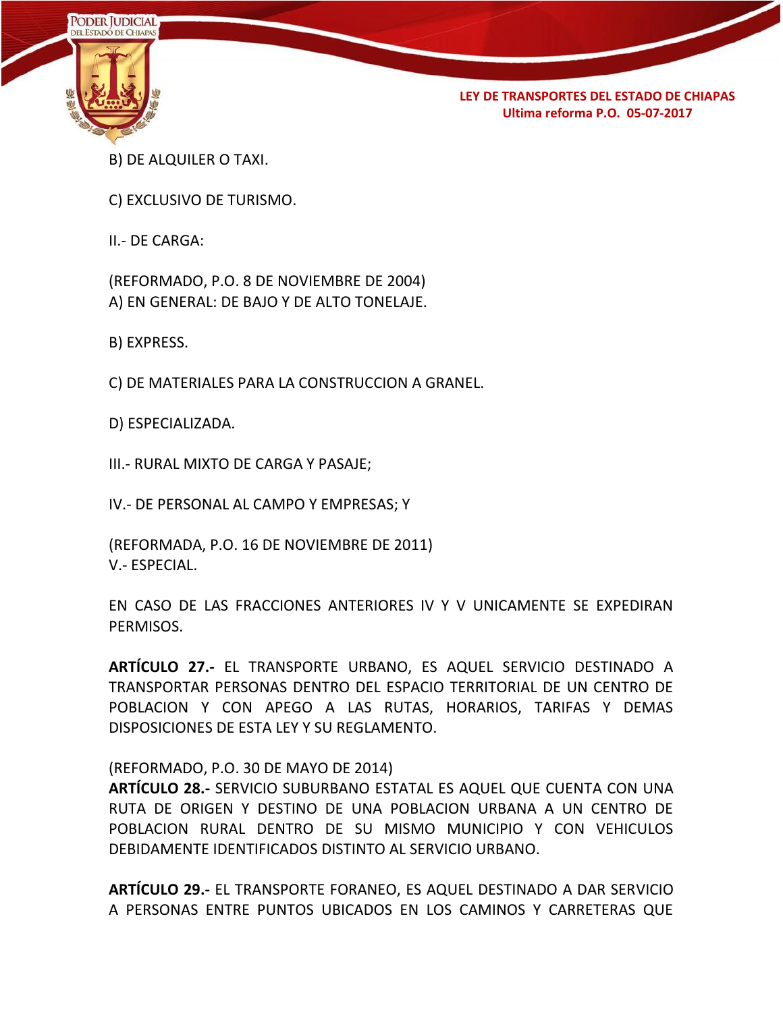

- B) DE ALQUILER O TAXI.
- C) EXCLUSIVO DE TURISMO.

II.- DE CARGA:

(REFORMADO, P.O. 8 DE NOVIEMBRE DE 2004) A) EN GENERAL: DE BAJO Y DE ALTO TONELAJE.

B) EXPRESS.

C) DE MATERIALES PARA LA CONSTRUCCION A GRANEL.

D) ESPECIALIZADA.

III.- RURAL MIXTO DE CARGA Y PASAJE;

IV.- DE PERSONAL AL CAMPO Y EMPRESAS; Y

(REFORMADA, P.O. 16 DE NOVIEMBRE DE 2011) V.- ESPECIAL.

EN CASO DE LAS FRACCIONES ANTERIORES IV Y V UNICAMENTE SE EXPEDIRAN PERMISOS.

**ARTÍCULO 27.-** EL TRANSPORTE URBANO, ES AQUEL SERVICIO DESTINADO A TRANSPORTAR PERSONAS DENTRO DEL ESPACIO TERRITORIAL DE UN CENTRO DE POBLACION Y CON APEGO A LAS RUTAS, HORARIOS, TARIFAS Y DEMAS DISPOSICIONES DE ESTA LEY Y SU REGLAMENTO.

#### (REFORMADO, P.O. 30 DE MAYO DE 2014)

**ARTÍCULO 28.-** SERVICIO SUBURBANO ESTATAL ES AQUEL QUE CUENTA CON UNA RUTA DE ORIGEN Y DESTINO DE UNA POBLACION URBANA A UN CENTRO DE POBLACION RURAL DENTRO DE SU MISMO MUNICIPIO Y CON VEHICULOS DEBIDAMENTE IDENTIFICADOS DISTINTO AL SERVICIO URBANO.

**ARTÍCULO 29.-** EL TRANSPORTE FORANEO, ES AQUEL DESTINADO A DAR SERVICIO A PERSONAS ENTRE PUNTOS UBICADOS EN LOS CAMINOS Y CARRETERAS QUE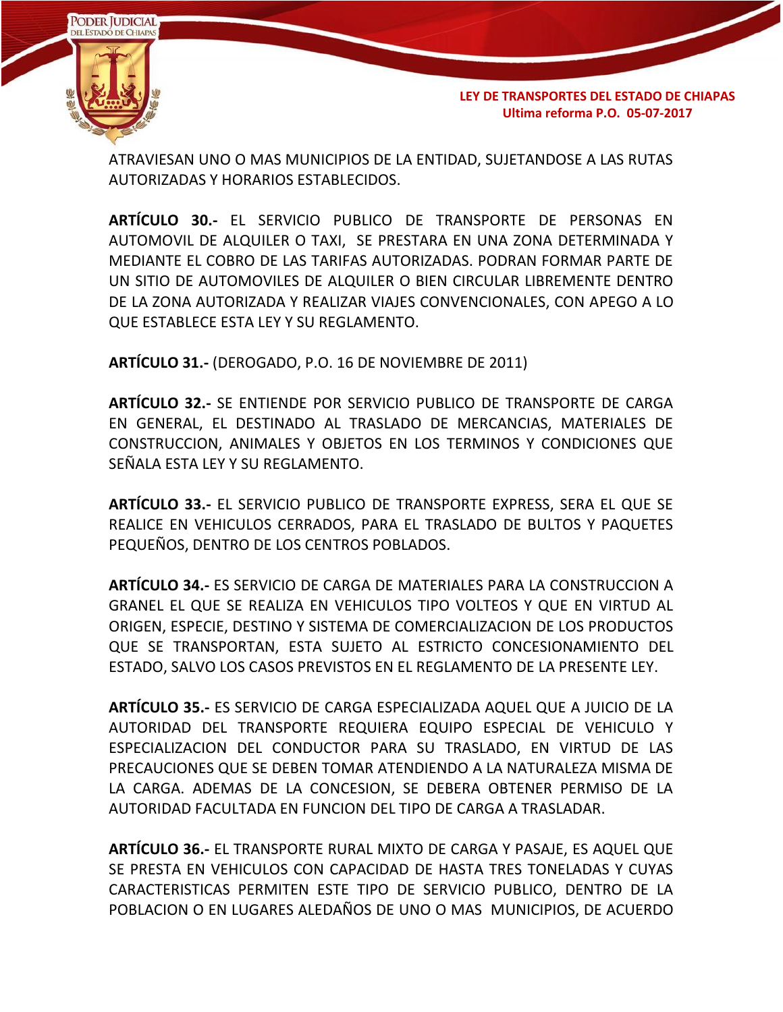

ATRAVIESAN UNO O MAS MUNICIPIOS DE LA ENTIDAD, SUJETANDOSE A LAS RUTAS AUTORIZADAS Y HORARIOS ESTABLECIDOS.

**ARTÍCULO 30.-** EL SERVICIO PUBLICO DE TRANSPORTE DE PERSONAS EN AUTOMOVIL DE ALQUILER O TAXI, SE PRESTARA EN UNA ZONA DETERMINADA Y MEDIANTE EL COBRO DE LAS TARIFAS AUTORIZADAS. PODRAN FORMAR PARTE DE UN SITIO DE AUTOMOVILES DE ALQUILER O BIEN CIRCULAR LIBREMENTE DENTRO DE LA ZONA AUTORIZADA Y REALIZAR VIAJES CONVENCIONALES, CON APEGO A LO QUE ESTABLECE ESTA LEY Y SU REGLAMENTO.

**ARTÍCULO 31.-** (DEROGADO, P.O. 16 DE NOVIEMBRE DE 2011)

**ARTÍCULO 32.-** SE ENTIENDE POR SERVICIO PUBLICO DE TRANSPORTE DE CARGA EN GENERAL, EL DESTINADO AL TRASLADO DE MERCANCIAS, MATERIALES DE CONSTRUCCION, ANIMALES Y OBJETOS EN LOS TERMINOS Y CONDICIONES QUE SEÑALA ESTA LEY Y SU REGLAMENTO.

**ARTÍCULO 33.-** EL SERVICIO PUBLICO DE TRANSPORTE EXPRESS, SERA EL QUE SE REALICE EN VEHICULOS CERRADOS, PARA EL TRASLADO DE BULTOS Y PAQUETES PEQUEÑOS, DENTRO DE LOS CENTROS POBLADOS.

**ARTÍCULO 34.-** ES SERVICIO DE CARGA DE MATERIALES PARA LA CONSTRUCCION A GRANEL EL QUE SE REALIZA EN VEHICULOS TIPO VOLTEOS Y QUE EN VIRTUD AL ORIGEN, ESPECIE, DESTINO Y SISTEMA DE COMERCIALIZACION DE LOS PRODUCTOS QUE SE TRANSPORTAN, ESTA SUJETO AL ESTRICTO CONCESIONAMIENTO DEL ESTADO, SALVO LOS CASOS PREVISTOS EN EL REGLAMENTO DE LA PRESENTE LEY.

**ARTÍCULO 35.-** ES SERVICIO DE CARGA ESPECIALIZADA AQUEL QUE A JUICIO DE LA AUTORIDAD DEL TRANSPORTE REQUIERA EQUIPO ESPECIAL DE VEHICULO Y ESPECIALIZACION DEL CONDUCTOR PARA SU TRASLADO, EN VIRTUD DE LAS PRECAUCIONES QUE SE DEBEN TOMAR ATENDIENDO A LA NATURALEZA MISMA DE LA CARGA. ADEMAS DE LA CONCESION, SE DEBERA OBTENER PERMISO DE LA AUTORIDAD FACULTADA EN FUNCION DEL TIPO DE CARGA A TRASLADAR.

**ARTÍCULO 36.-** EL TRANSPORTE RURAL MIXTO DE CARGA Y PASAJE, ES AQUEL QUE SE PRESTA EN VEHICULOS CON CAPACIDAD DE HASTA TRES TONELADAS Y CUYAS CARACTERISTICAS PERMITEN ESTE TIPO DE SERVICIO PUBLICO, DENTRO DE LA POBLACION O EN LUGARES ALEDAÑOS DE UNO O MAS MUNICIPIOS, DE ACUERDO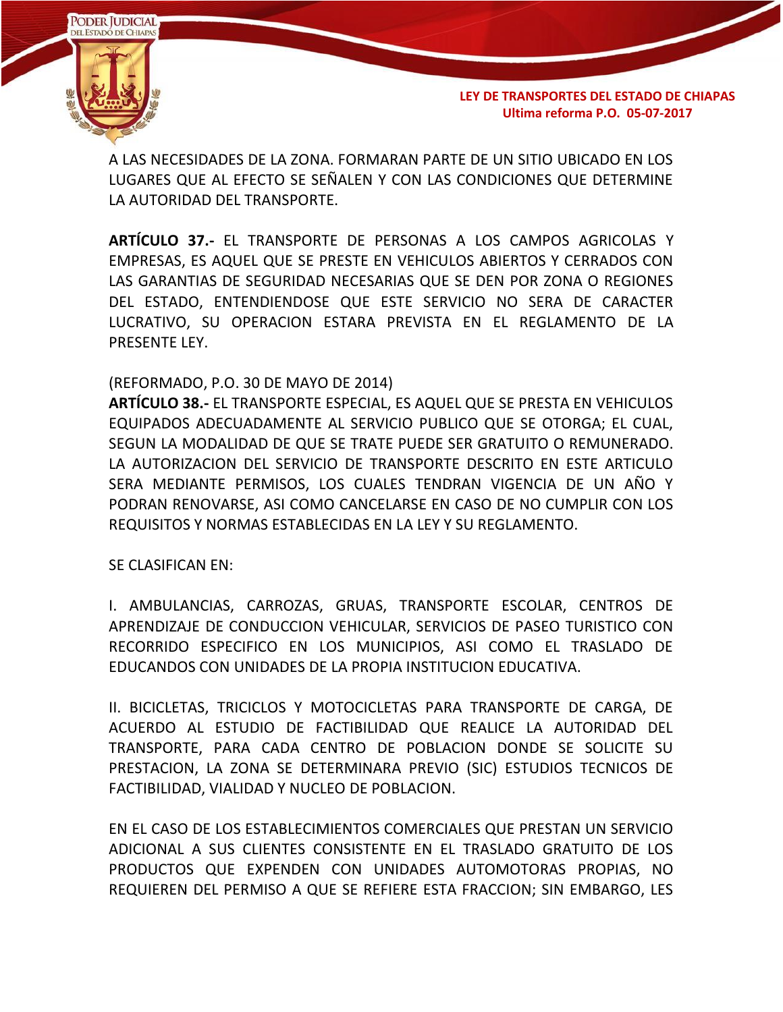

A LAS NECESIDADES DE LA ZONA. FORMARAN PARTE DE UN SITIO UBICADO EN LOS LUGARES QUE AL EFECTO SE SEÑALEN Y CON LAS CONDICIONES QUE DETERMINE LA AUTORIDAD DEL TRANSPORTE.

**ARTÍCULO 37.-** EL TRANSPORTE DE PERSONAS A LOS CAMPOS AGRICOLAS Y EMPRESAS, ES AQUEL QUE SE PRESTE EN VEHICULOS ABIERTOS Y CERRADOS CON LAS GARANTIAS DE SEGURIDAD NECESARIAS QUE SE DEN POR ZONA O REGIONES DEL ESTADO, ENTENDIENDOSE QUE ESTE SERVICIO NO SERA DE CARACTER LUCRATIVO, SU OPERACION ESTARA PREVISTA EN EL REGLAMENTO DE LA PRESENTE LEY.

#### (REFORMADO, P.O. 30 DE MAYO DE 2014)

**ARTÍCULO 38.-** EL TRANSPORTE ESPECIAL, ES AQUEL QUE SE PRESTA EN VEHICULOS EQUIPADOS ADECUADAMENTE AL SERVICIO PUBLICO QUE SE OTORGA; EL CUAL, SEGUN LA MODALIDAD DE QUE SE TRATE PUEDE SER GRATUITO O REMUNERADO. LA AUTORIZACION DEL SERVICIO DE TRANSPORTE DESCRITO EN ESTE ARTICULO SERA MEDIANTE PERMISOS, LOS CUALES TENDRAN VIGENCIA DE UN AÑO Y PODRAN RENOVARSE, ASI COMO CANCELARSE EN CASO DE NO CUMPLIR CON LOS REQUISITOS Y NORMAS ESTABLECIDAS EN LA LEY Y SU REGLAMENTO.

SE CLASIFICAN EN:

I. AMBULANCIAS, CARROZAS, GRUAS, TRANSPORTE ESCOLAR, CENTROS DE APRENDIZAJE DE CONDUCCION VEHICULAR, SERVICIOS DE PASEO TURISTICO CON RECORRIDO ESPECIFICO EN LOS MUNICIPIOS, ASI COMO EL TRASLADO DE EDUCANDOS CON UNIDADES DE LA PROPIA INSTITUCION EDUCATIVA.

II. BICICLETAS, TRICICLOS Y MOTOCICLETAS PARA TRANSPORTE DE CARGA, DE ACUERDO AL ESTUDIO DE FACTIBILIDAD QUE REALICE LA AUTORIDAD DEL TRANSPORTE, PARA CADA CENTRO DE POBLACION DONDE SE SOLICITE SU PRESTACION, LA ZONA SE DETERMINARA PREVIO (SIC) ESTUDIOS TECNICOS DE FACTIBILIDAD, VIALIDAD Y NUCLEO DE POBLACION.

EN EL CASO DE LOS ESTABLECIMIENTOS COMERCIALES QUE PRESTAN UN SERVICIO ADICIONAL A SUS CLIENTES CONSISTENTE EN EL TRASLADO GRATUITO DE LOS PRODUCTOS QUE EXPENDEN CON UNIDADES AUTOMOTORAS PROPIAS, NO REQUIEREN DEL PERMISO A QUE SE REFIERE ESTA FRACCION; SIN EMBARGO, LES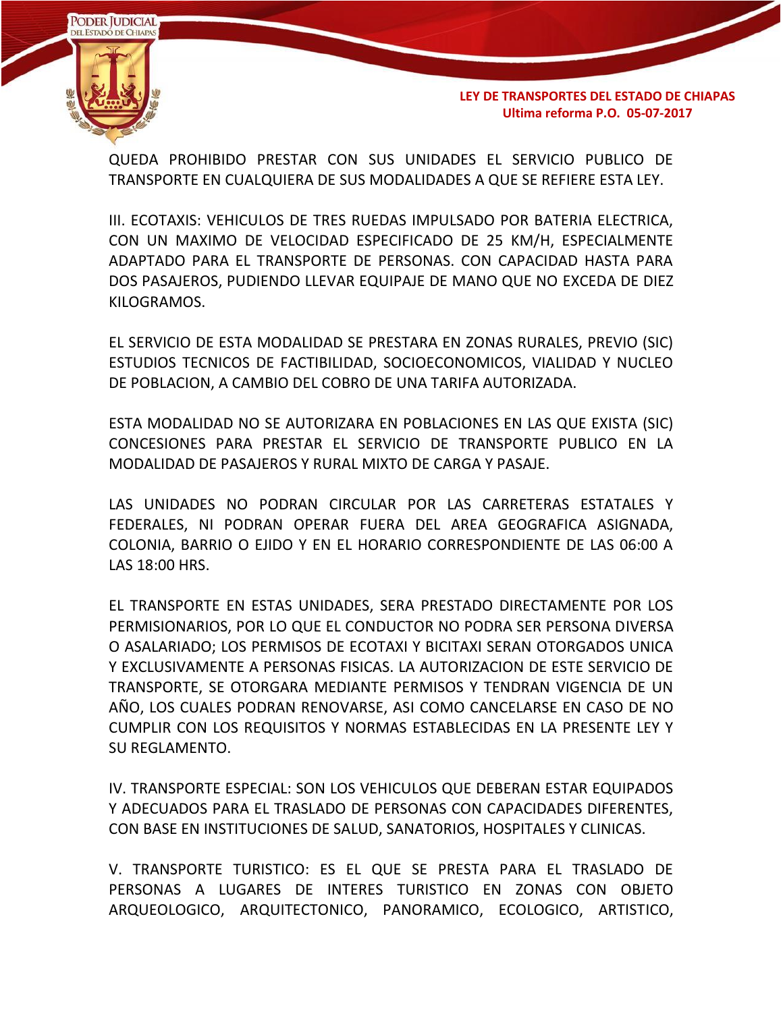

QUEDA PROHIBIDO PRESTAR CON SUS UNIDADES EL SERVICIO PUBLICO DE TRANSPORTE EN CUALQUIERA DE SUS MODALIDADES A QUE SE REFIERE ESTA LEY.

III. ECOTAXIS: VEHICULOS DE TRES RUEDAS IMPULSADO POR BATERIA ELECTRICA, CON UN MAXIMO DE VELOCIDAD ESPECIFICADO DE 25 KM/H, ESPECIALMENTE ADAPTADO PARA EL TRANSPORTE DE PERSONAS. CON CAPACIDAD HASTA PARA DOS PASAJEROS, PUDIENDO LLEVAR EQUIPAJE DE MANO QUE NO EXCEDA DE DIEZ KILOGRAMOS.

EL SERVICIO DE ESTA MODALIDAD SE PRESTARA EN ZONAS RURALES, PREVIO (SIC) ESTUDIOS TECNICOS DE FACTIBILIDAD, SOCIOECONOMICOS, VIALIDAD Y NUCLEO DE POBLACION, A CAMBIO DEL COBRO DE UNA TARIFA AUTORIZADA.

ESTA MODALIDAD NO SE AUTORIZARA EN POBLACIONES EN LAS QUE EXISTA (SIC) CONCESIONES PARA PRESTAR EL SERVICIO DE TRANSPORTE PUBLICO EN LA MODALIDAD DE PASAJEROS Y RURAL MIXTO DE CARGA Y PASAJE.

LAS UNIDADES NO PODRAN CIRCULAR POR LAS CARRETERAS ESTATALES Y FEDERALES, NI PODRAN OPERAR FUERA DEL AREA GEOGRAFICA ASIGNADA, COLONIA, BARRIO O EJIDO Y EN EL HORARIO CORRESPONDIENTE DE LAS 06:00 A LAS 18:00 HRS.

EL TRANSPORTE EN ESTAS UNIDADES, SERA PRESTADO DIRECTAMENTE POR LOS PERMISIONARIOS, POR LO QUE EL CONDUCTOR NO PODRA SER PERSONA DIVERSA O ASALARIADO; LOS PERMISOS DE ECOTAXI Y BICITAXI SERAN OTORGADOS UNICA Y EXCLUSIVAMENTE A PERSONAS FISICAS. LA AUTORIZACION DE ESTE SERVICIO DE TRANSPORTE, SE OTORGARA MEDIANTE PERMISOS Y TENDRAN VIGENCIA DE UN AÑO, LOS CUALES PODRAN RENOVARSE, ASI COMO CANCELARSE EN CASO DE NO CUMPLIR CON LOS REQUISITOS Y NORMAS ESTABLECIDAS EN LA PRESENTE LEY Y SU REGLAMENTO.

IV. TRANSPORTE ESPECIAL: SON LOS VEHICULOS QUE DEBERAN ESTAR EQUIPADOS Y ADECUADOS PARA EL TRASLADO DE PERSONAS CON CAPACIDADES DIFERENTES, CON BASE EN INSTITUCIONES DE SALUD, SANATORIOS, HOSPITALES Y CLINICAS.

V. TRANSPORTE TURISTICO: ES EL QUE SE PRESTA PARA EL TRASLADO DE PERSONAS A LUGARES DE INTERES TURISTICO EN ZONAS CON OBJETO ARQUEOLOGICO, ARQUITECTONICO, PANORAMICO, ECOLOGICO, ARTISTICO,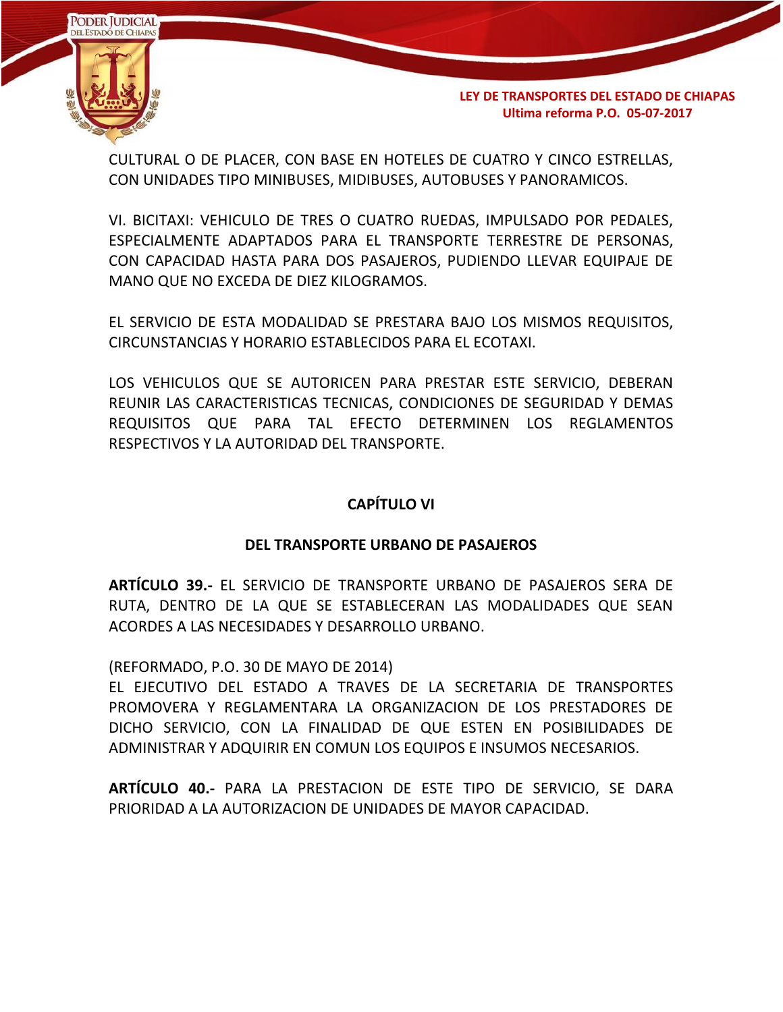

CULTURAL O DE PLACER, CON BASE EN HOTELES DE CUATRO Y CINCO ESTRELLAS, CON UNIDADES TIPO MINIBUSES, MIDIBUSES, AUTOBUSES Y PANORAMICOS.

VI. BICITAXI: VEHICULO DE TRES O CUATRO RUEDAS, IMPULSADO POR PEDALES, ESPECIALMENTE ADAPTADOS PARA EL TRANSPORTE TERRESTRE DE PERSONAS, CON CAPACIDAD HASTA PARA DOS PASAJEROS, PUDIENDO LLEVAR EQUIPAJE DE MANO QUE NO EXCEDA DE DIEZ KILOGRAMOS.

EL SERVICIO DE ESTA MODALIDAD SE PRESTARA BAJO LOS MISMOS REQUISITOS, CIRCUNSTANCIAS Y HORARIO ESTABLECIDOS PARA EL ECOTAXI.

LOS VEHICULOS QUE SE AUTORICEN PARA PRESTAR ESTE SERVICIO, DEBERAN REUNIR LAS CARACTERISTICAS TECNICAS, CONDICIONES DE SEGURIDAD Y DEMAS REQUISITOS QUE PARA TAL EFECTO DETERMINEN LOS REGLAMENTOS RESPECTIVOS Y LA AUTORIDAD DEL TRANSPORTE.

## **CAPÍTULO VI**

## **DEL TRANSPORTE URBANO DE PASAJEROS**

**ARTÍCULO 39.-** EL SERVICIO DE TRANSPORTE URBANO DE PASAJEROS SERA DE RUTA, DENTRO DE LA QUE SE ESTABLECERAN LAS MODALIDADES QUE SEAN ACORDES A LAS NECESIDADES Y DESARROLLO URBANO.

(REFORMADO, P.O. 30 DE MAYO DE 2014)

EL EJECUTIVO DEL ESTADO A TRAVES DE LA SECRETARIA DE TRANSPORTES PROMOVERA Y REGLAMENTARA LA ORGANIZACION DE LOS PRESTADORES DE DICHO SERVICIO, CON LA FINALIDAD DE QUE ESTEN EN POSIBILIDADES DE ADMINISTRAR Y ADQUIRIR EN COMUN LOS EQUIPOS E INSUMOS NECESARIOS.

**ARTÍCULO 40.-** PARA LA PRESTACION DE ESTE TIPO DE SERVICIO, SE DARA PRIORIDAD A LA AUTORIZACION DE UNIDADES DE MAYOR CAPACIDAD.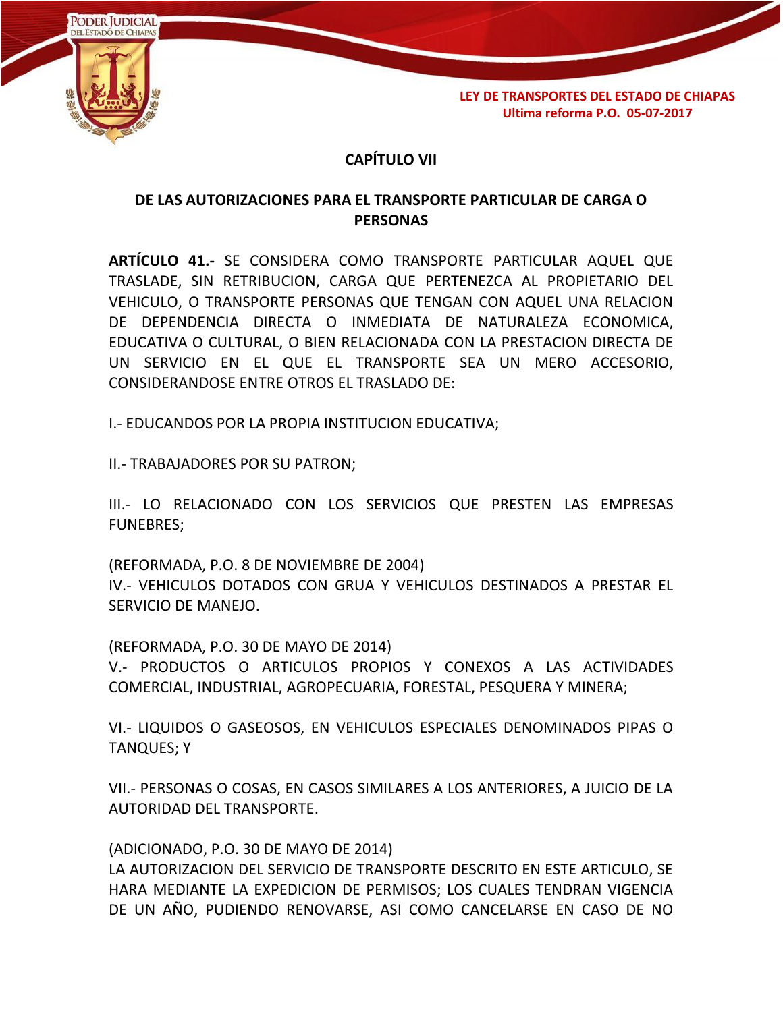

# **CAPÍTULO VII**

## **DE LAS AUTORIZACIONES PARA EL TRANSPORTE PARTICULAR DE CARGA O PERSONAS**

**ARTÍCULO 41.-** SE CONSIDERA COMO TRANSPORTE PARTICULAR AQUEL QUE TRASLADE, SIN RETRIBUCION, CARGA QUE PERTENEZCA AL PROPIETARIO DEL VEHICULO, O TRANSPORTE PERSONAS QUE TENGAN CON AQUEL UNA RELACION DE DEPENDENCIA DIRECTA O INMEDIATA DE NATURALEZA ECONOMICA, EDUCATIVA O CULTURAL, O BIEN RELACIONADA CON LA PRESTACION DIRECTA DE UN SERVICIO EN EL QUE EL TRANSPORTE SEA UN MERO ACCESORIO, CONSIDERANDOSE ENTRE OTROS EL TRASLADO DE:

I.- EDUCANDOS POR LA PROPIA INSTITUCION EDUCATIVA;

II.- TRABAJADORES POR SU PATRON;

III.- LO RELACIONADO CON LOS SERVICIOS QUE PRESTEN LAS EMPRESAS FUNEBRES;

(REFORMADA, P.O. 8 DE NOVIEMBRE DE 2004) IV.- VEHICULOS DOTADOS CON GRUA Y VEHICULOS DESTINADOS A PRESTAR EL SERVICIO DE MANEJO.

(REFORMADA, P.O. 30 DE MAYO DE 2014)

V.- PRODUCTOS O ARTICULOS PROPIOS Y CONEXOS A LAS ACTIVIDADES COMERCIAL, INDUSTRIAL, AGROPECUARIA, FORESTAL, PESQUERA Y MINERA;

VI.- LIQUIDOS O GASEOSOS, EN VEHICULOS ESPECIALES DENOMINADOS PIPAS O TANQUES; Y

VII.- PERSONAS O COSAS, EN CASOS SIMILARES A LOS ANTERIORES, A JUICIO DE LA AUTORIDAD DEL TRANSPORTE.

(ADICIONADO, P.O. 30 DE MAYO DE 2014)

LA AUTORIZACION DEL SERVICIO DE TRANSPORTE DESCRITO EN ESTE ARTICULO, SE HARA MEDIANTE LA EXPEDICION DE PERMISOS; LOS CUALES TENDRAN VIGENCIA DE UN AÑO, PUDIENDO RENOVARSE, ASI COMO CANCELARSE EN CASO DE NO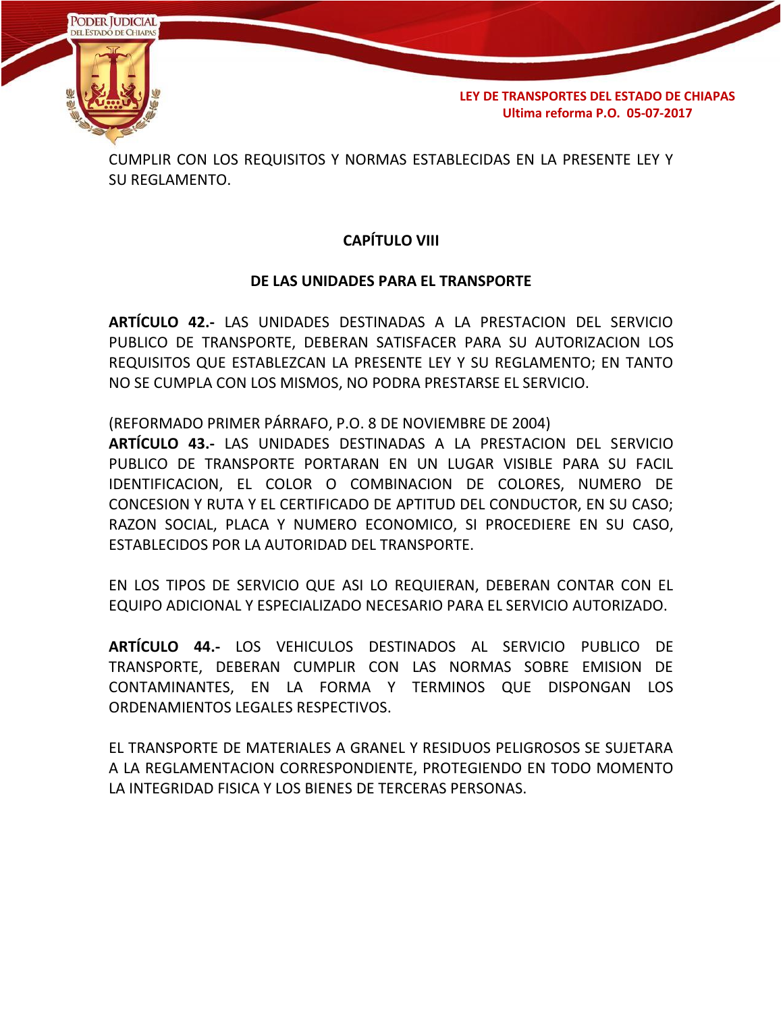

CUMPLIR CON LOS REQUISITOS Y NORMAS ESTABLECIDAS EN LA PRESENTE LEY Y SU REGLAMENTO.

# **CAPÍTULO VIII**

### **DE LAS UNIDADES PARA EL TRANSPORTE**

**ARTÍCULO 42.-** LAS UNIDADES DESTINADAS A LA PRESTACION DEL SERVICIO PUBLICO DE TRANSPORTE, DEBERAN SATISFACER PARA SU AUTORIZACION LOS REQUISITOS QUE ESTABLEZCAN LA PRESENTE LEY Y SU REGLAMENTO; EN TANTO NO SE CUMPLA CON LOS MISMOS, NO PODRA PRESTARSE EL SERVICIO.

(REFORMADO PRIMER PÁRRAFO, P.O. 8 DE NOVIEMBRE DE 2004)

**ARTÍCULO 43.-** LAS UNIDADES DESTINADAS A LA PRESTACION DEL SERVICIO PUBLICO DE TRANSPORTE PORTARAN EN UN LUGAR VISIBLE PARA SU FACIL IDENTIFICACION, EL COLOR O COMBINACION DE COLORES, NUMERO DE CONCESION Y RUTA Y EL CERTIFICADO DE APTITUD DEL CONDUCTOR, EN SU CASO; RAZON SOCIAL, PLACA Y NUMERO ECONOMICO, SI PROCEDIERE EN SU CASO, ESTABLECIDOS POR LA AUTORIDAD DEL TRANSPORTE.

EN LOS TIPOS DE SERVICIO QUE ASI LO REQUIERAN, DEBERAN CONTAR CON EL EQUIPO ADICIONAL Y ESPECIALIZADO NECESARIO PARA EL SERVICIO AUTORIZADO.

**ARTÍCULO 44.-** LOS VEHICULOS DESTINADOS AL SERVICIO PUBLICO DE TRANSPORTE, DEBERAN CUMPLIR CON LAS NORMAS SOBRE EMISION DE CONTAMINANTES, EN LA FORMA Y TERMINOS QUE DISPONGAN LOS ORDENAMIENTOS LEGALES RESPECTIVOS.

EL TRANSPORTE DE MATERIALES A GRANEL Y RESIDUOS PELIGROSOS SE SUJETARA A LA REGLAMENTACION CORRESPONDIENTE, PROTEGIENDO EN TODO MOMENTO LA INTEGRIDAD FISICA Y LOS BIENES DE TERCERAS PERSONAS.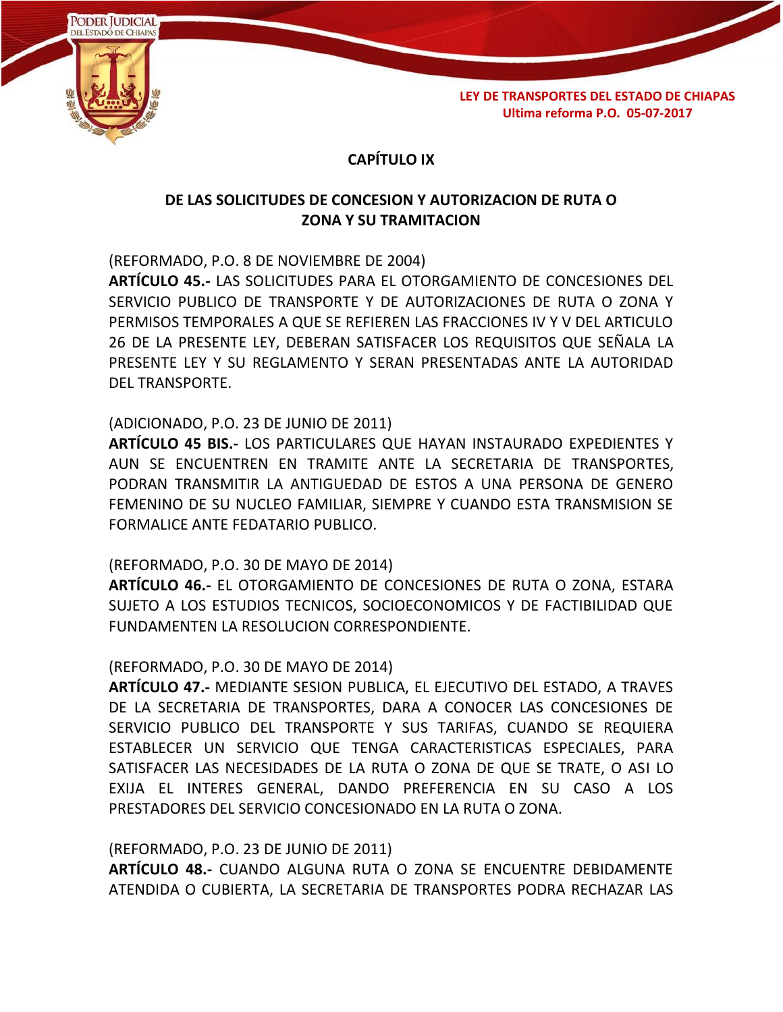

## **CAPÍTULO IX**

# **DE LAS SOLICITUDES DE CONCESION Y AUTORIZACION DE RUTA O ZONA Y SU TRAMITACION**

(REFORMADO, P.O. 8 DE NOVIEMBRE DE 2004)

**ARTÍCULO 45.-** LAS SOLICITUDES PARA EL OTORGAMIENTO DE CONCESIONES DEL SERVICIO PUBLICO DE TRANSPORTE Y DE AUTORIZACIONES DE RUTA O ZONA Y PERMISOS TEMPORALES A QUE SE REFIEREN LAS FRACCIONES IV Y V DEL ARTICULO 26 DE LA PRESENTE LEY, DEBERAN SATISFACER LOS REQUISITOS QUE SEÑALA LA PRESENTE LEY Y SU REGLAMENTO Y SERAN PRESENTADAS ANTE LA AUTORIDAD DEL TRANSPORTE.

### (ADICIONADO, P.O. 23 DE JUNIO DE 2011)

**ARTÍCULO 45 BIS.-** LOS PARTICULARES QUE HAYAN INSTAURADO EXPEDIENTES Y AUN SE ENCUENTREN EN TRAMITE ANTE LA SECRETARIA DE TRANSPORTES, PODRAN TRANSMITIR LA ANTIGUEDAD DE ESTOS A UNA PERSONA DE GENERO FEMENINO DE SU NUCLEO FAMILIAR, SIEMPRE Y CUANDO ESTA TRANSMISION SE FORMALICE ANTE FEDATARIO PUBLICO.

#### (REFORMADO, P.O. 30 DE MAYO DE 2014)

**ARTÍCULO 46.-** EL OTORGAMIENTO DE CONCESIONES DE RUTA O ZONA, ESTARA SUJETO A LOS ESTUDIOS TECNICOS, SOCIOECONOMICOS Y DE FACTIBILIDAD QUE FUNDAMENTEN LA RESOLUCION CORRESPONDIENTE.

#### (REFORMADO, P.O. 30 DE MAYO DE 2014)

**ARTÍCULO 47.-** MEDIANTE SESION PUBLICA, EL EJECUTIVO DEL ESTADO, A TRAVES DE LA SECRETARIA DE TRANSPORTES, DARA A CONOCER LAS CONCESIONES DE SERVICIO PUBLICO DEL TRANSPORTE Y SUS TARIFAS, CUANDO SE REQUIERA ESTABLECER UN SERVICIO QUE TENGA CARACTERISTICAS ESPECIALES, PARA SATISFACER LAS NECESIDADES DE LA RUTA O ZONA DE QUE SE TRATE, O ASI LO EXIJA EL INTERES GENERAL, DANDO PREFERENCIA EN SU CASO A LOS PRESTADORES DEL SERVICIO CONCESIONADO EN LA RUTA O ZONA.

#### (REFORMADO, P.O. 23 DE JUNIO DE 2011)

**ARTÍCULO 48.-** CUANDO ALGUNA RUTA O ZONA SE ENCUENTRE DEBIDAMENTE ATENDIDA O CUBIERTA, LA SECRETARIA DE TRANSPORTES PODRA RECHAZAR LAS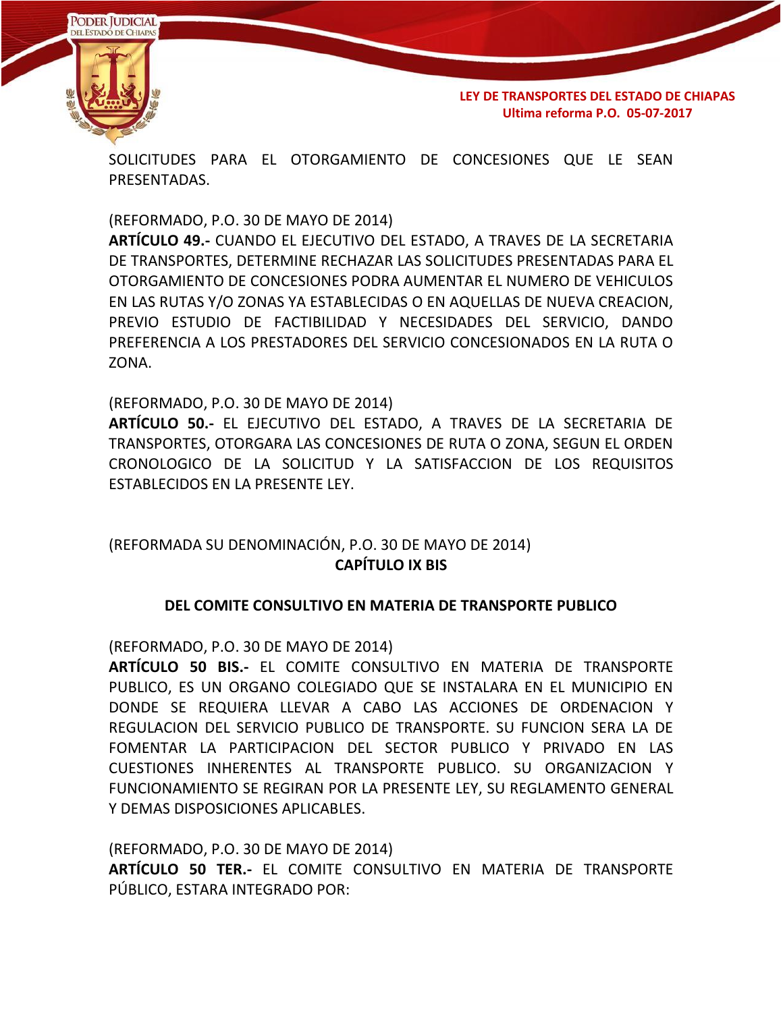



SOLICITUDES PARA EL OTORGAMIENTO DE CONCESIONES QUE LE SEAN PRESENTADAS.

(REFORMADO, P.O. 30 DE MAYO DE 2014)

**ARTÍCULO 49.-** CUANDO EL EJECUTIVO DEL ESTADO, A TRAVES DE LA SECRETARIA DE TRANSPORTES, DETERMINE RECHAZAR LAS SOLICITUDES PRESENTADAS PARA EL OTORGAMIENTO DE CONCESIONES PODRA AUMENTAR EL NUMERO DE VEHICULOS EN LAS RUTAS Y/O ZONAS YA ESTABLECIDAS O EN AQUELLAS DE NUEVA CREACION, PREVIO ESTUDIO DE FACTIBILIDAD Y NECESIDADES DEL SERVICIO, DANDO PREFERENCIA A LOS PRESTADORES DEL SERVICIO CONCESIONADOS EN LA RUTA O ZONA.

(REFORMADO, P.O. 30 DE MAYO DE 2014)

**ARTÍCULO 50.-** EL EJECUTIVO DEL ESTADO, A TRAVES DE LA SECRETARIA DE TRANSPORTES, OTORGARA LAS CONCESIONES DE RUTA O ZONA, SEGUN EL ORDEN CRONOLOGICO DE LA SOLICITUD Y LA SATISFACCION DE LOS REQUISITOS ESTABLECIDOS EN LA PRESENTE LEY.

## (REFORMADA SU DENOMINACIÓN, P.O. 30 DE MAYO DE 2014) **CAPÍTULO IX BIS**

#### **DEL COMITE CONSULTIVO EN MATERIA DE TRANSPORTE PUBLICO**

(REFORMADO, P.O. 30 DE MAYO DE 2014)

**ARTÍCULO 50 BIS.-** EL COMITE CONSULTIVO EN MATERIA DE TRANSPORTE PUBLICO, ES UN ORGANO COLEGIADO QUE SE INSTALARA EN EL MUNICIPIO EN DONDE SE REQUIERA LLEVAR A CABO LAS ACCIONES DE ORDENACION Y REGULACION DEL SERVICIO PUBLICO DE TRANSPORTE. SU FUNCION SERA LA DE FOMENTAR LA PARTICIPACION DEL SECTOR PUBLICO Y PRIVADO EN LAS CUESTIONES INHERENTES AL TRANSPORTE PUBLICO. SU ORGANIZACION Y FUNCIONAMIENTO SE REGIRAN POR LA PRESENTE LEY, SU REGLAMENTO GENERAL Y DEMAS DISPOSICIONES APLICABLES.

(REFORMADO, P.O. 30 DE MAYO DE 2014) **ARTÍCULO 50 TER.-** EL COMITE CONSULTIVO EN MATERIA DE TRANSPORTE PÚBLICO, ESTARA INTEGRADO POR: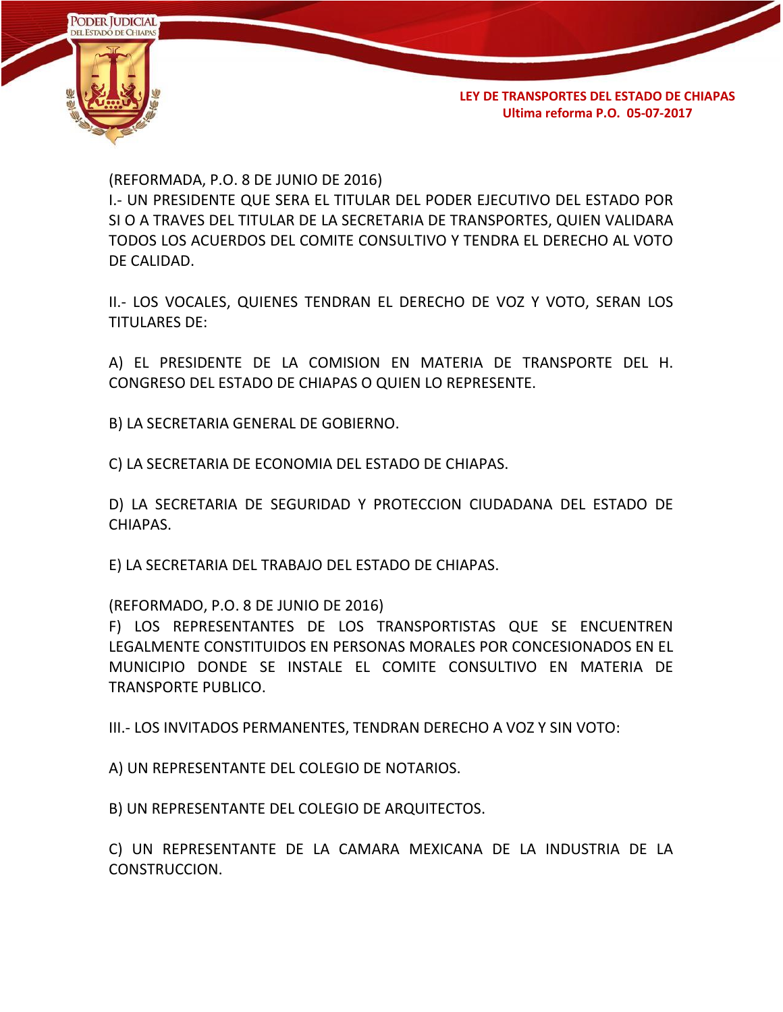

(REFORMADA, P.O. 8 DE JUNIO DE 2016)

I.- UN PRESIDENTE QUE SERA EL TITULAR DEL PODER EJECUTIVO DEL ESTADO POR SI O A TRAVES DEL TITULAR DE LA SECRETARIA DE TRANSPORTES, QUIEN VALIDARA TODOS LOS ACUERDOS DEL COMITE CONSULTIVO Y TENDRA EL DERECHO AL VOTO DE CALIDAD.

II.- LOS VOCALES, QUIENES TENDRAN EL DERECHO DE VOZ Y VOTO, SERAN LOS TITULARES DE:

A) EL PRESIDENTE DE LA COMISION EN MATERIA DE TRANSPORTE DEL H. CONGRESO DEL ESTADO DE CHIAPAS O QUIEN LO REPRESENTE.

B) LA SECRETARIA GENERAL DE GOBIERNO.

C) LA SECRETARIA DE ECONOMIA DEL ESTADO DE CHIAPAS.

D) LA SECRETARIA DE SEGURIDAD Y PROTECCION CIUDADANA DEL ESTADO DE CHIAPAS.

E) LA SECRETARIA DEL TRABAJO DEL ESTADO DE CHIAPAS.

(REFORMADO, P.O. 8 DE JUNIO DE 2016)

F) LOS REPRESENTANTES DE LOS TRANSPORTISTAS QUE SE ENCUENTREN LEGALMENTE CONSTITUIDOS EN PERSONAS MORALES POR CONCESIONADOS EN EL MUNICIPIO DONDE SE INSTALE EL COMITE CONSULTIVO EN MATERIA DE TRANSPORTE PUBLICO.

III.- LOS INVITADOS PERMANENTES, TENDRAN DERECHO A VOZ Y SIN VOTO:

A) UN REPRESENTANTE DEL COLEGIO DE NOTARIOS.

B) UN REPRESENTANTE DEL COLEGIO DE ARQUITECTOS.

C) UN REPRESENTANTE DE LA CAMARA MEXICANA DE LA INDUSTRIA DE LA CONSTRUCCION.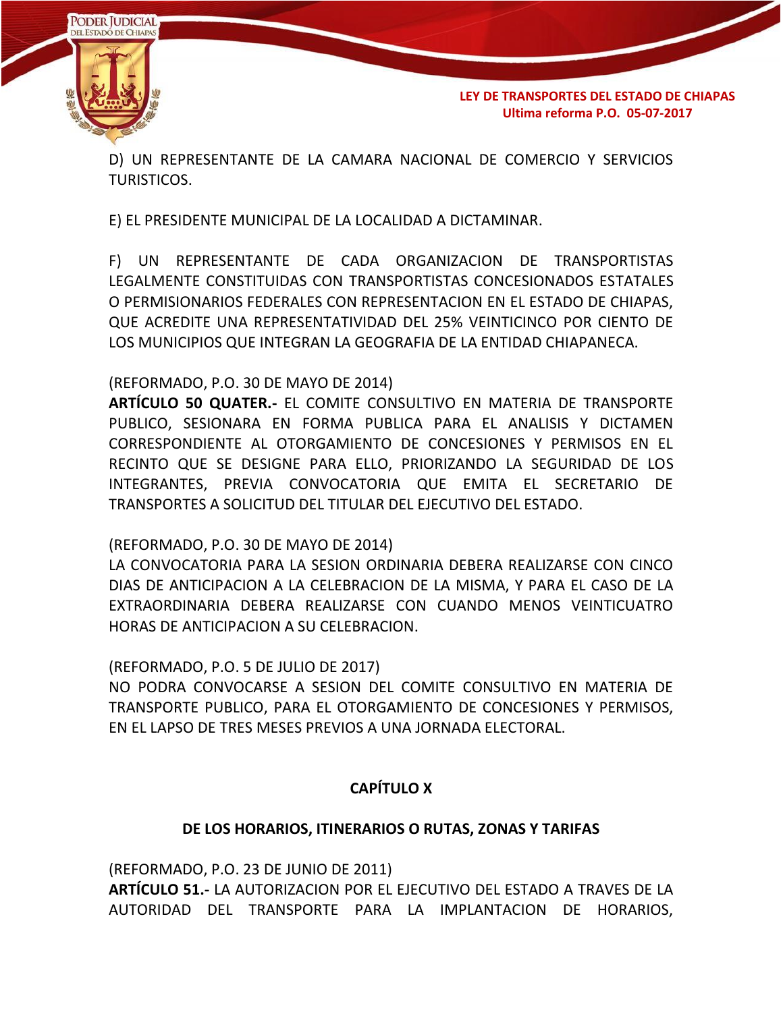

D) UN REPRESENTANTE DE LA CAMARA NACIONAL DE COMERCIO Y SERVICIOS TURISTICOS.

E) EL PRESIDENTE MUNICIPAL DE LA LOCALIDAD A DICTAMINAR.

F) UN REPRESENTANTE DE CADA ORGANIZACION DE TRANSPORTISTAS LEGALMENTE CONSTITUIDAS CON TRANSPORTISTAS CONCESIONADOS ESTATALES O PERMISIONARIOS FEDERALES CON REPRESENTACION EN EL ESTADO DE CHIAPAS, QUE ACREDITE UNA REPRESENTATIVIDAD DEL 25% VEINTICINCO POR CIENTO DE LOS MUNICIPIOS QUE INTEGRAN LA GEOGRAFIA DE LA ENTIDAD CHIAPANECA.

#### (REFORMADO, P.O. 30 DE MAYO DE 2014)

**ARTÍCULO 50 QUATER.-** EL COMITE CONSULTIVO EN MATERIA DE TRANSPORTE PUBLICO, SESIONARA EN FORMA PUBLICA PARA EL ANALISIS Y DICTAMEN CORRESPONDIENTE AL OTORGAMIENTO DE CONCESIONES Y PERMISOS EN EL RECINTO QUE SE DESIGNE PARA ELLO, PRIORIZANDO LA SEGURIDAD DE LOS INTEGRANTES, PREVIA CONVOCATORIA QUE EMITA EL SECRETARIO DE TRANSPORTES A SOLICITUD DEL TITULAR DEL EJECUTIVO DEL ESTADO.

#### (REFORMADO, P.O. 30 DE MAYO DE 2014)

LA CONVOCATORIA PARA LA SESION ORDINARIA DEBERA REALIZARSE CON CINCO DIAS DE ANTICIPACION A LA CELEBRACION DE LA MISMA, Y PARA EL CASO DE LA EXTRAORDINARIA DEBERA REALIZARSE CON CUANDO MENOS VEINTICUATRO HORAS DE ANTICIPACION A SU CELEBRACION.

(REFORMADO, P.O. 5 DE JULIO DE 2017)

NO PODRA CONVOCARSE A SESION DEL COMITE CONSULTIVO EN MATERIA DE TRANSPORTE PUBLICO, PARA EL OTORGAMIENTO DE CONCESIONES Y PERMISOS, EN EL LAPSO DE TRES MESES PREVIOS A UNA JORNADA ELECTORAL.

## **CAPÍTULO X**

#### **DE LOS HORARIOS, ITINERARIOS O RUTAS, ZONAS Y TARIFAS**

(REFORMADO, P.O. 23 DE JUNIO DE 2011) **ARTÍCULO 51.-** LA AUTORIZACION POR EL EJECUTIVO DEL ESTADO A TRAVES DE LA AUTORIDAD DEL TRANSPORTE PARA LA IMPLANTACION DE HORARIOS,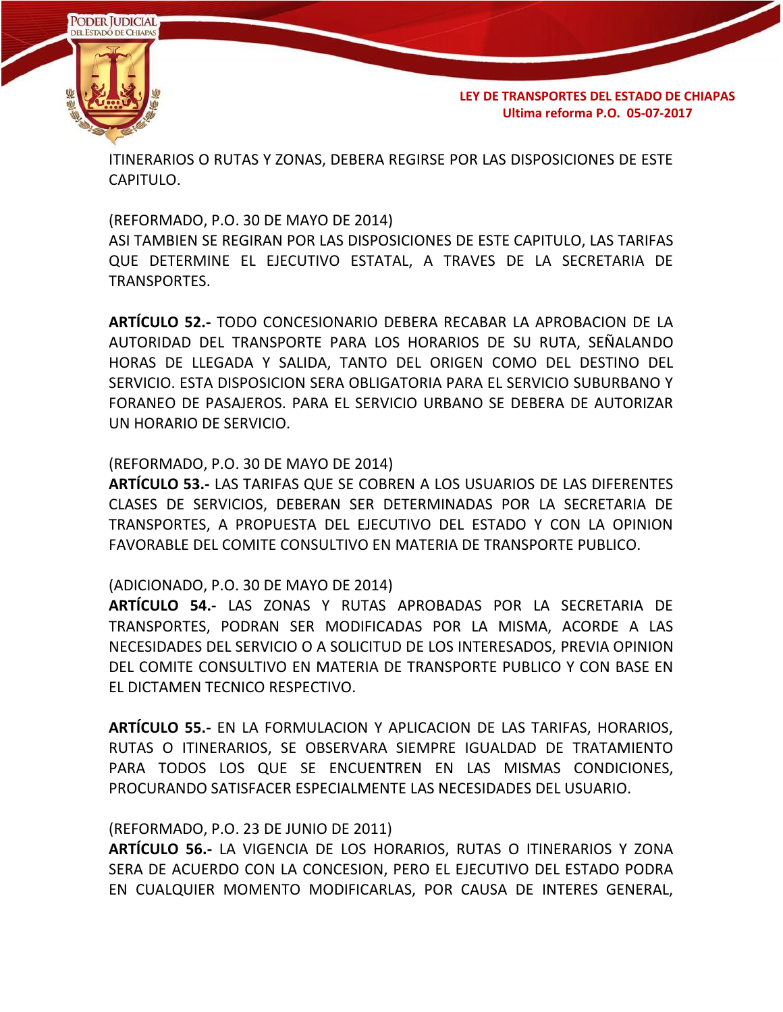

ITINERARIOS O RUTAS Y ZONAS, DEBERA REGIRSE POR LAS DISPOSICIONES DE ESTE CAPITULO.

(REFORMADO, P.O. 30 DE MAYO DE 2014) ASI TAMBIEN SE REGIRAN POR LAS DISPOSICIONES DE ESTE CAPITULO, LAS TARIFAS QUE DETERMINE EL EJECUTIVO ESTATAL, A TRAVES DE LA SECRETARIA DE TRANSPORTES.

**ARTÍCULO 52.-** TODO CONCESIONARIO DEBERA RECABAR LA APROBACION DE LA AUTORIDAD DEL TRANSPORTE PARA LOS HORARIOS DE SU RUTA, SEÑALANDO HORAS DE LLEGADA Y SALIDA, TANTO DEL ORIGEN COMO DEL DESTINO DEL SERVICIO. ESTA DISPOSICION SERA OBLIGATORIA PARA EL SERVICIO SUBURBANO Y FORANEO DE PASAJEROS. PARA EL SERVICIO URBANO SE DEBERA DE AUTORIZAR UN HORARIO DE SERVICIO.

#### (REFORMADO, P.O. 30 DE MAYO DE 2014)

**ARTÍCULO 53.-** LAS TARIFAS QUE SE COBREN A LOS USUARIOS DE LAS DIFERENTES CLASES DE SERVICIOS, DEBERAN SER DETERMINADAS POR LA SECRETARIA DE TRANSPORTES, A PROPUESTA DEL EJECUTIVO DEL ESTADO Y CON LA OPINION FAVORABLE DEL COMITE CONSULTIVO EN MATERIA DE TRANSPORTE PUBLICO.

#### (ADICIONADO, P.O. 30 DE MAYO DE 2014)

**ARTÍCULO 54.-** LAS ZONAS Y RUTAS APROBADAS POR LA SECRETARIA DE TRANSPORTES, PODRAN SER MODIFICADAS POR LA MISMA, ACORDE A LAS NECESIDADES DEL SERVICIO O A SOLICITUD DE LOS INTERESADOS, PREVIA OPINION DEL COMITE CONSULTIVO EN MATERIA DE TRANSPORTE PUBLICO Y CON BASE EN EL DICTAMEN TECNICO RESPECTIVO.

**ARTÍCULO 55.-** EN LA FORMULACION Y APLICACION DE LAS TARIFAS, HORARIOS, RUTAS O ITINERARIOS, SE OBSERVARA SIEMPRE IGUALDAD DE TRATAMIENTO PARA TODOS LOS QUE SE ENCUENTREN EN LAS MISMAS CONDICIONES, PROCURANDO SATISFACER ESPECIALMENTE LAS NECESIDADES DEL USUARIO.

#### (REFORMADO, P.O. 23 DE JUNIO DE 2011)

**ARTÍCULO 56.-** LA VIGENCIA DE LOS HORARIOS, RUTAS O ITINERARIOS Y ZONA SERA DE ACUERDO CON LA CONCESION, PERO EL EJECUTIVO DEL ESTADO PODRA EN CUALQUIER MOMENTO MODIFICARLAS, POR CAUSA DE INTERES GENERAL,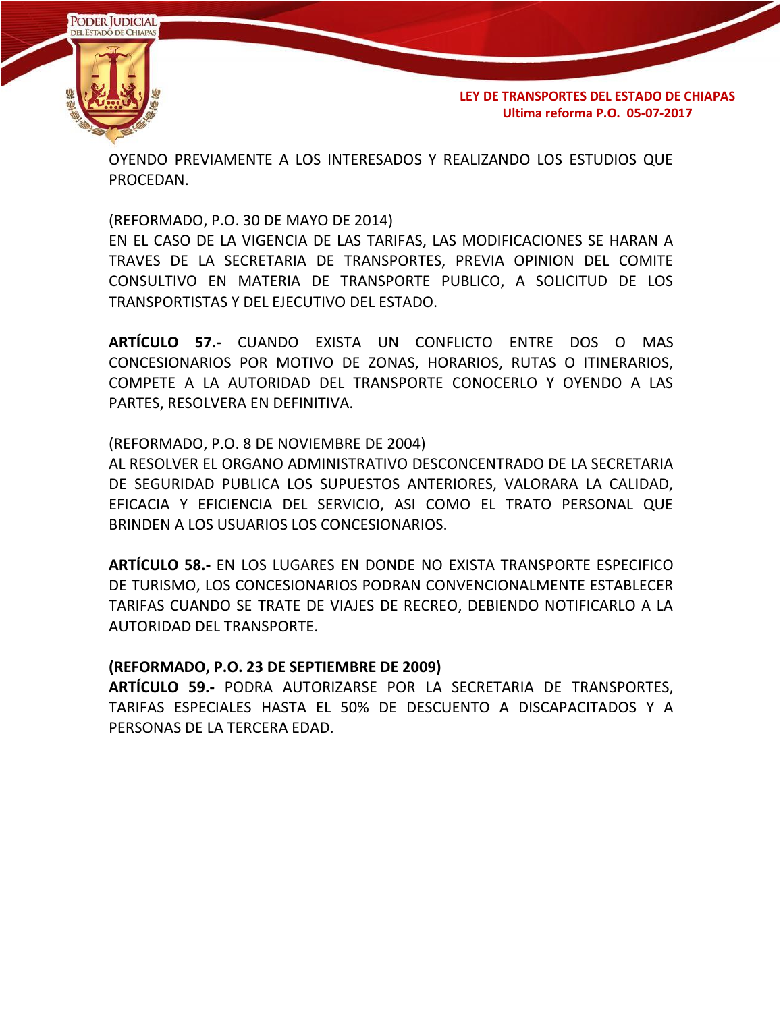

OYENDO PREVIAMENTE A LOS INTERESADOS Y REALIZANDO LOS ESTUDIOS QUE PROCEDAN.

(REFORMADO, P.O. 30 DE MAYO DE 2014)

EN EL CASO DE LA VIGENCIA DE LAS TARIFAS, LAS MODIFICACIONES SE HARAN A TRAVES DE LA SECRETARIA DE TRANSPORTES, PREVIA OPINION DEL COMITE CONSULTIVO EN MATERIA DE TRANSPORTE PUBLICO, A SOLICITUD DE LOS TRANSPORTISTAS Y DEL EJECUTIVO DEL ESTADO.

**ARTÍCULO 57.-** CUANDO EXISTA UN CONFLICTO ENTRE DOS O MAS CONCESIONARIOS POR MOTIVO DE ZONAS, HORARIOS, RUTAS O ITINERARIOS, COMPETE A LA AUTORIDAD DEL TRANSPORTE CONOCERLO Y OYENDO A LAS PARTES, RESOLVERA EN DEFINITIVA.

(REFORMADO, P.O. 8 DE NOVIEMBRE DE 2004)

AL RESOLVER EL ORGANO ADMINISTRATIVO DESCONCENTRADO DE LA SECRETARIA DE SEGURIDAD PUBLICA LOS SUPUESTOS ANTERIORES, VALORARA LA CALIDAD, EFICACIA Y EFICIENCIA DEL SERVICIO, ASI COMO EL TRATO PERSONAL QUE BRINDEN A LOS USUARIOS LOS CONCESIONARIOS.

**ARTÍCULO 58.-** EN LOS LUGARES EN DONDE NO EXISTA TRANSPORTE ESPECIFICO DE TURISMO, LOS CONCESIONARIOS PODRAN CONVENCIONALMENTE ESTABLECER TARIFAS CUANDO SE TRATE DE VIAJES DE RECREO, DEBIENDO NOTIFICARLO A LA AUTORIDAD DEL TRANSPORTE.

#### **(REFORMADO, P.O. 23 DE SEPTIEMBRE DE 2009)**

**ARTÍCULO 59.-** PODRA AUTORIZARSE POR LA SECRETARIA DE TRANSPORTES, TARIFAS ESPECIALES HASTA EL 50% DE DESCUENTO A DISCAPACITADOS Y A PERSONAS DE LA TERCERA EDAD.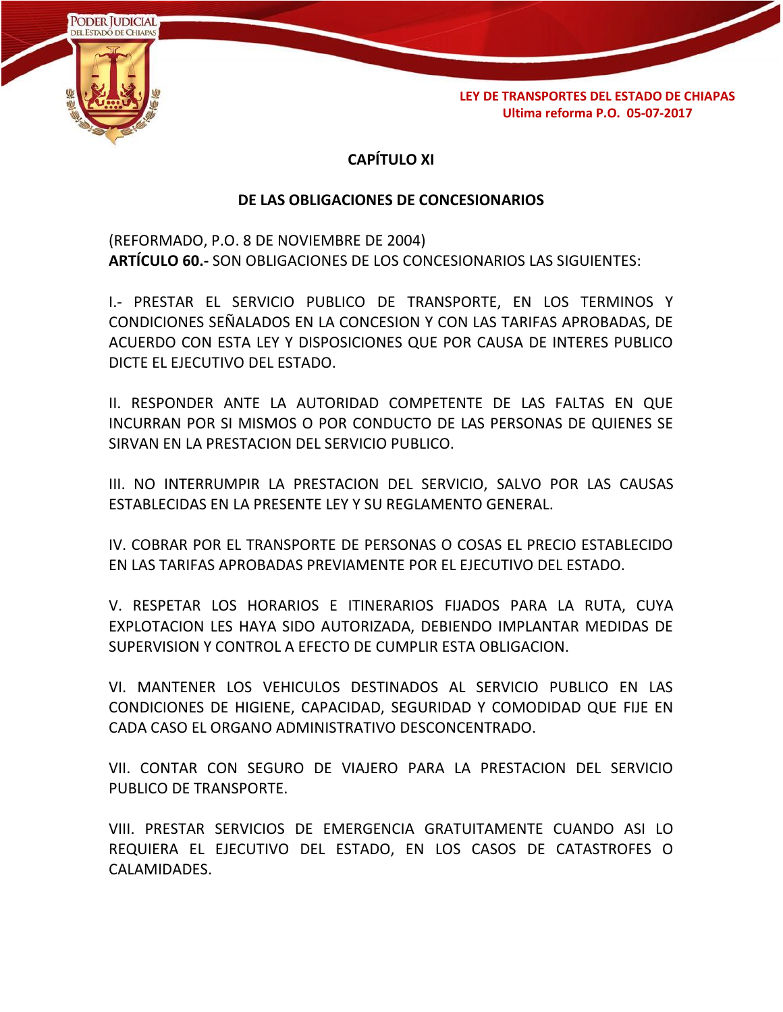

# **CAPÍTULO XI**

## **DE LAS OBLIGACIONES DE CONCESIONARIOS**

(REFORMADO, P.O. 8 DE NOVIEMBRE DE 2004) **ARTÍCULO 60.-** SON OBLIGACIONES DE LOS CONCESIONARIOS LAS SIGUIENTES:

I.- PRESTAR EL SERVICIO PUBLICO DE TRANSPORTE, EN LOS TERMINOS Y CONDICIONES SEÑALADOS EN LA CONCESION Y CON LAS TARIFAS APROBADAS, DE ACUERDO CON ESTA LEY Y DISPOSICIONES QUE POR CAUSA DE INTERES PUBLICO DICTE EL EJECUTIVO DEL ESTADO.

II. RESPONDER ANTE LA AUTORIDAD COMPETENTE DE LAS FALTAS EN QUE INCURRAN POR SI MISMOS O POR CONDUCTO DE LAS PERSONAS DE QUIENES SE SIRVAN EN LA PRESTACION DEL SERVICIO PUBLICO.

III. NO INTERRUMPIR LA PRESTACION DEL SERVICIO, SALVO POR LAS CAUSAS ESTABLECIDAS EN LA PRESENTE LEY Y SU REGLAMENTO GENERAL.

IV. COBRAR POR EL TRANSPORTE DE PERSONAS O COSAS EL PRECIO ESTABLECIDO EN LAS TARIFAS APROBADAS PREVIAMENTE POR EL EJECUTIVO DEL ESTADO.

V. RESPETAR LOS HORARIOS E ITINERARIOS FIJADOS PARA LA RUTA, CUYA EXPLOTACION LES HAYA SIDO AUTORIZADA, DEBIENDO IMPLANTAR MEDIDAS DE SUPERVISION Y CONTROL A EFECTO DE CUMPLIR ESTA OBLIGACION.

VI. MANTENER LOS VEHICULOS DESTINADOS AL SERVICIO PUBLICO EN LAS CONDICIONES DE HIGIENE, CAPACIDAD, SEGURIDAD Y COMODIDAD QUE FIJE EN CADA CASO EL ORGANO ADMINISTRATIVO DESCONCENTRADO.

VII. CONTAR CON SEGURO DE VIAJERO PARA LA PRESTACION DEL SERVICIO PUBLICO DE TRANSPORTE.

VIII. PRESTAR SERVICIOS DE EMERGENCIA GRATUITAMENTE CUANDO ASI LO REQUIERA EL EJECUTIVO DEL ESTADO, EN LOS CASOS DE CATASTROFES O CALAMIDADES.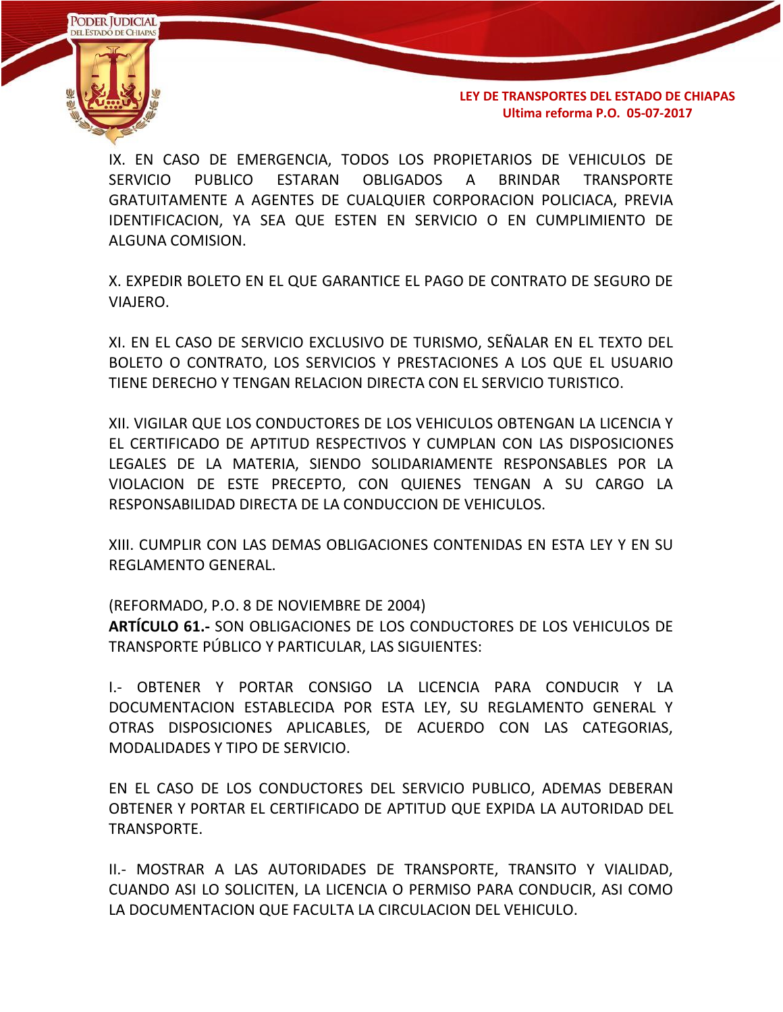

IX. EN CASO DE EMERGENCIA, TODOS LOS PROPIETARIOS DE VEHICULOS DE SERVICIO PUBLICO ESTARAN OBLIGADOS A BRINDAR TRANSPORTE GRATUITAMENTE A AGENTES DE CUALQUIER CORPORACION POLICIACA, PREVIA IDENTIFICACION, YA SEA QUE ESTEN EN SERVICIO O EN CUMPLIMIENTO DE ALGUNA COMISION.

X. EXPEDIR BOLETO EN EL QUE GARANTICE EL PAGO DE CONTRATO DE SEGURO DE VIAJERO.

XI. EN EL CASO DE SERVICIO EXCLUSIVO DE TURISMO, SEÑALAR EN EL TEXTO DEL BOLETO O CONTRATO, LOS SERVICIOS Y PRESTACIONES A LOS QUE EL USUARIO TIENE DERECHO Y TENGAN RELACION DIRECTA CON EL SERVICIO TURISTICO.

XII. VIGILAR QUE LOS CONDUCTORES DE LOS VEHICULOS OBTENGAN LA LICENCIA Y EL CERTIFICADO DE APTITUD RESPECTIVOS Y CUMPLAN CON LAS DISPOSICIONES LEGALES DE LA MATERIA, SIENDO SOLIDARIAMENTE RESPONSABLES POR LA VIOLACION DE ESTE PRECEPTO, CON QUIENES TENGAN A SU CARGO LA RESPONSABILIDAD DIRECTA DE LA CONDUCCION DE VEHICULOS.

XIII. CUMPLIR CON LAS DEMAS OBLIGACIONES CONTENIDAS EN ESTA LEY Y EN SU REGLAMENTO GENERAL.

(REFORMADO, P.O. 8 DE NOVIEMBRE DE 2004) **ARTÍCULO 61.-** SON OBLIGACIONES DE LOS CONDUCTORES DE LOS VEHICULOS DE TRANSPORTE PÚBLICO Y PARTICULAR, LAS SIGUIENTES:

I.- OBTENER Y PORTAR CONSIGO LA LICENCIA PARA CONDUCIR Y LA DOCUMENTACION ESTABLECIDA POR ESTA LEY, SU REGLAMENTO GENERAL Y OTRAS DISPOSICIONES APLICABLES, DE ACUERDO CON LAS CATEGORIAS, MODALIDADES Y TIPO DE SERVICIO.

EN EL CASO DE LOS CONDUCTORES DEL SERVICIO PUBLICO, ADEMAS DEBERAN OBTENER Y PORTAR EL CERTIFICADO DE APTITUD QUE EXPIDA LA AUTORIDAD DEL TRANSPORTE.

II.- MOSTRAR A LAS AUTORIDADES DE TRANSPORTE, TRANSITO Y VIALIDAD, CUANDO ASI LO SOLICITEN, LA LICENCIA O PERMISO PARA CONDUCIR, ASI COMO LA DOCUMENTACION QUE FACULTA LA CIRCULACION DEL VEHICULO.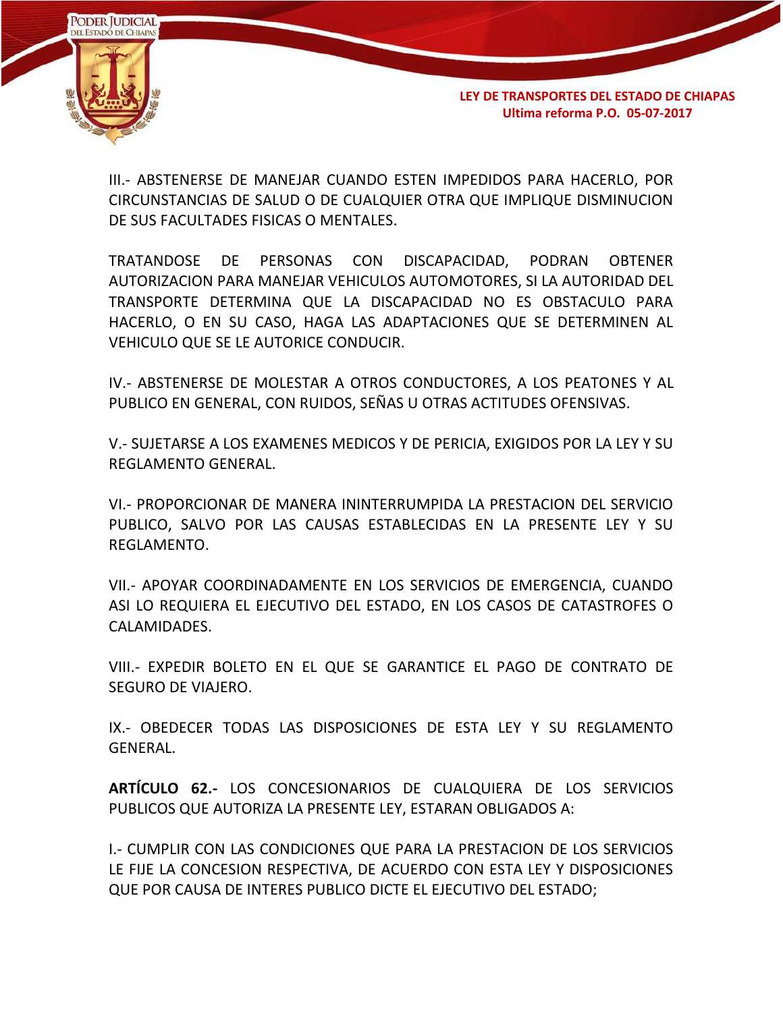

III.- ABSTENERSE DE MANEJAR CUANDO ESTEN IMPEDIDOS PARA HACERLO, POR CIRCUNSTANCIAS DE SALUD O DE CUALQUIER OTRA QUE IMPLIQUE DISMINUCION DE SUS FACULTADES FISICAS O MENTALES.

TRATANDOSE DE PERSONAS CON DISCAPACIDAD, PODRAN OBTENER AUTORIZACION PARA MANEJAR VEHICULOS AUTOMOTORES, SI LA AUTORIDAD DEL TRANSPORTE DETERMINA QUE LA DISCAPACIDAD NO ES OBSTACULO PARA HACERLO, O EN SU CASO, HAGA LAS ADAPTACIONES QUE SE DETERMINEN AL VEHICULO QUE SE LE AUTORICE CONDUCIR.

IV.- ABSTENERSE DE MOLESTAR A OTROS CONDUCTORES, A LOS PEATONES Y AL PUBLICO EN GENERAL, CON RUIDOS, SEÑAS U OTRAS ACTITUDES OFENSIVAS.

V.- SUJETARSE A LOS EXAMENES MEDICOS Y DE PERICIA, EXIGIDOS POR LA LEY Y SU REGLAMENTO GENERAL.

VI.- PROPORCIONAR DE MANERA ININTERRUMPIDA LA PRESTACION DEL SERVICIO PUBLICO, SALVO POR LAS CAUSAS ESTABLECIDAS EN LA PRESENTE LEY Y SU REGLAMENTO.

VII.- APOYAR COORDINADAMENTE EN LOS SERVICIOS DE EMERGENCIA, CUANDO ASI LO REQUIERA EL EJECUTIVO DEL ESTADO, EN LOS CASOS DE CATASTROFES O CALAMIDADES.

VIII.- EXPEDIR BOLETO EN EL QUE SE GARANTICE EL PAGO DE CONTRATO DE SEGURO DE VIAJERO.

IX.- OBEDECER TODAS LAS DISPOSICIONES DE ESTA LEY Y SU REGLAMENTO GENERAL.

**ARTÍCULO 62.-** LOS CONCESIONARIOS DE CUALQUIERA DE LOS SERVICIOS PUBLICOS QUE AUTORIZA LA PRESENTE LEY, ESTARAN OBLIGADOS A:

I.- CUMPLIR CON LAS CONDICIONES QUE PARA LA PRESTACION DE LOS SERVICIOS LE FIJE LA CONCESION RESPECTIVA, DE ACUERDO CON ESTA LEY Y DISPOSICIONES QUE POR CAUSA DE INTERES PUBLICO DICTE EL EJECUTIVO DEL ESTADO;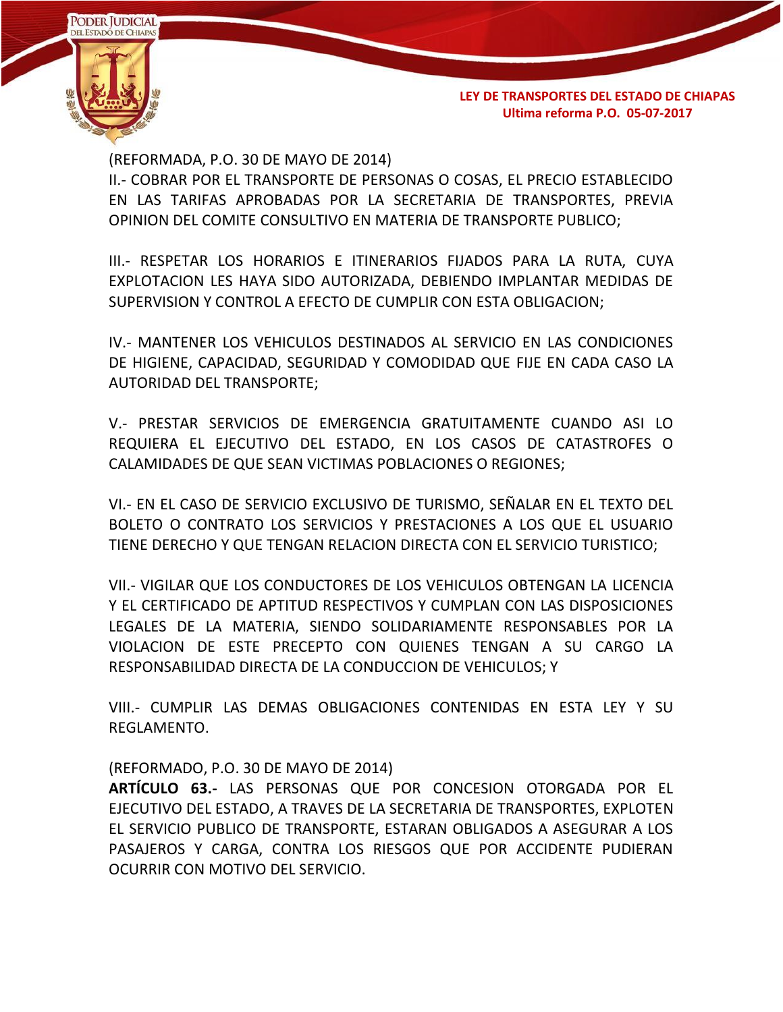

(REFORMADA, P.O. 30 DE MAYO DE 2014)

II.- COBRAR POR EL TRANSPORTE DE PERSONAS O COSAS, EL PRECIO ESTABLECIDO EN LAS TARIFAS APROBADAS POR LA SECRETARIA DE TRANSPORTES, PREVIA OPINION DEL COMITE CONSULTIVO EN MATERIA DE TRANSPORTE PUBLICO;

III.- RESPETAR LOS HORARIOS E ITINERARIOS FIJADOS PARA LA RUTA, CUYA EXPLOTACION LES HAYA SIDO AUTORIZADA, DEBIENDO IMPLANTAR MEDIDAS DE SUPERVISION Y CONTROL A EFECTO DE CUMPLIR CON ESTA OBLIGACION;

IV.- MANTENER LOS VEHICULOS DESTINADOS AL SERVICIO EN LAS CONDICIONES DE HIGIENE, CAPACIDAD, SEGURIDAD Y COMODIDAD QUE FIJE EN CADA CASO LA AUTORIDAD DEL TRANSPORTE;

V.- PRESTAR SERVICIOS DE EMERGENCIA GRATUITAMENTE CUANDO ASI LO REQUIERA EL EJECUTIVO DEL ESTADO, EN LOS CASOS DE CATASTROFES O CALAMIDADES DE QUE SEAN VICTIMAS POBLACIONES O REGIONES;

VI.- EN EL CASO DE SERVICIO EXCLUSIVO DE TURISMO, SEÑALAR EN EL TEXTO DEL BOLETO O CONTRATO LOS SERVICIOS Y PRESTACIONES A LOS QUE EL USUARIO TIENE DERECHO Y QUE TENGAN RELACION DIRECTA CON EL SERVICIO TURISTICO;

VII.- VIGILAR QUE LOS CONDUCTORES DE LOS VEHICULOS OBTENGAN LA LICENCIA Y EL CERTIFICADO DE APTITUD RESPECTIVOS Y CUMPLAN CON LAS DISPOSICIONES LEGALES DE LA MATERIA, SIENDO SOLIDARIAMENTE RESPONSABLES POR LA VIOLACION DE ESTE PRECEPTO CON QUIENES TENGAN A SU CARGO LA RESPONSABILIDAD DIRECTA DE LA CONDUCCION DE VEHICULOS; Y

VIII.- CUMPLIR LAS DEMAS OBLIGACIONES CONTENIDAS EN ESTA LEY Y SU REGLAMENTO.

(REFORMADO, P.O. 30 DE MAYO DE 2014)

**ARTÍCULO 63.-** LAS PERSONAS QUE POR CONCESION OTORGADA POR EL EJECUTIVO DEL ESTADO, A TRAVES DE LA SECRETARIA DE TRANSPORTES, EXPLOTEN EL SERVICIO PUBLICO DE TRANSPORTE, ESTARAN OBLIGADOS A ASEGURAR A LOS PASAJEROS Y CARGA, CONTRA LOS RIESGOS QUE POR ACCIDENTE PUDIERAN OCURRIR CON MOTIVO DEL SERVICIO.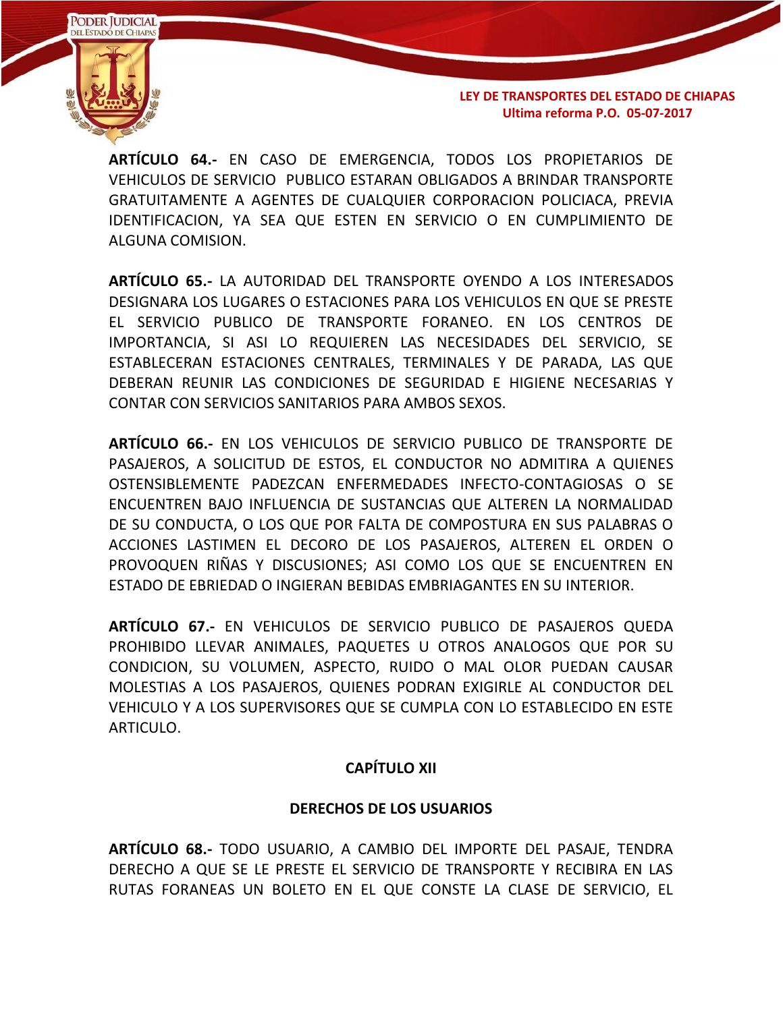**PODER JUDICIAL DEL ESTADO DE CHIAPAS** 

**LEY DE TRANSPORTES DEL ESTADO DE CHIAPAS Ultima reforma P.O. 05-07-2017**

**ARTÍCULO 64.-** EN CASO DE EMERGENCIA, TODOS LOS PROPIETARIOS DE VEHICULOS DE SERVICIO PUBLICO ESTARAN OBLIGADOS A BRINDAR TRANSPORTE GRATUITAMENTE A AGENTES DE CUALQUIER CORPORACION POLICIACA, PREVIA IDENTIFICACION, YA SEA QUE ESTEN EN SERVICIO O EN CUMPLIMIENTO DE ALGUNA COMISION.

**ARTÍCULO 65.-** LA AUTORIDAD DEL TRANSPORTE OYENDO A LOS INTERESADOS DESIGNARA LOS LUGARES O ESTACIONES PARA LOS VEHICULOS EN QUE SE PRESTE EL SERVICIO PUBLICO DE TRANSPORTE FORANEO. EN LOS CENTROS DE IMPORTANCIA, SI ASI LO REQUIEREN LAS NECESIDADES DEL SERVICIO, SE ESTABLECERAN ESTACIONES CENTRALES, TERMINALES Y DE PARADA, LAS QUE DEBERAN REUNIR LAS CONDICIONES DE SEGURIDAD E HIGIENE NECESARIAS Y CONTAR CON SERVICIOS SANITARIOS PARA AMBOS SEXOS.

**ARTÍCULO 66.-** EN LOS VEHICULOS DE SERVICIO PUBLICO DE TRANSPORTE DE PASAJEROS, A SOLICITUD DE ESTOS, EL CONDUCTOR NO ADMITIRA A QUIENES OSTENSIBLEMENTE PADEZCAN ENFERMEDADES INFECTO-CONTAGIOSAS O SE ENCUENTREN BAJO INFLUENCIA DE SUSTANCIAS QUE ALTEREN LA NORMALIDAD DE SU CONDUCTA, O LOS QUE POR FALTA DE COMPOSTURA EN SUS PALABRAS O ACCIONES LASTIMEN EL DECORO DE LOS PASAJEROS, ALTEREN EL ORDEN O PROVOQUEN RIÑAS Y DISCUSIONES; ASI COMO LOS QUE SE ENCUENTREN EN ESTADO DE EBRIEDAD O INGIERAN BEBIDAS EMBRIAGANTES EN SU INTERIOR.

**ARTÍCULO 67.-** EN VEHICULOS DE SERVICIO PUBLICO DE PASAJEROS QUEDA PROHIBIDO LLEVAR ANIMALES, PAQUETES U OTROS ANALOGOS QUE POR SU CONDICION, SU VOLUMEN, ASPECTO, RUIDO O MAL OLOR PUEDAN CAUSAR MOLESTIAS A LOS PASAJEROS, QUIENES PODRAN EXIGIRLE AL CONDUCTOR DEL VEHICULO Y A LOS SUPERVISORES QUE SE CUMPLA CON LO ESTABLECIDO EN ESTE ARTICULO.

## **CAPÍTULO XII**

## **DERECHOS DE LOS USUARIOS**

**ARTÍCULO 68.-** TODO USUARIO, A CAMBIO DEL IMPORTE DEL PASAJE, TENDRA DERECHO A QUE SE LE PRESTE EL SERVICIO DE TRANSPORTE Y RECIBIRA EN LAS RUTAS FORANEAS UN BOLETO EN EL QUE CONSTE LA CLASE DE SERVICIO, EL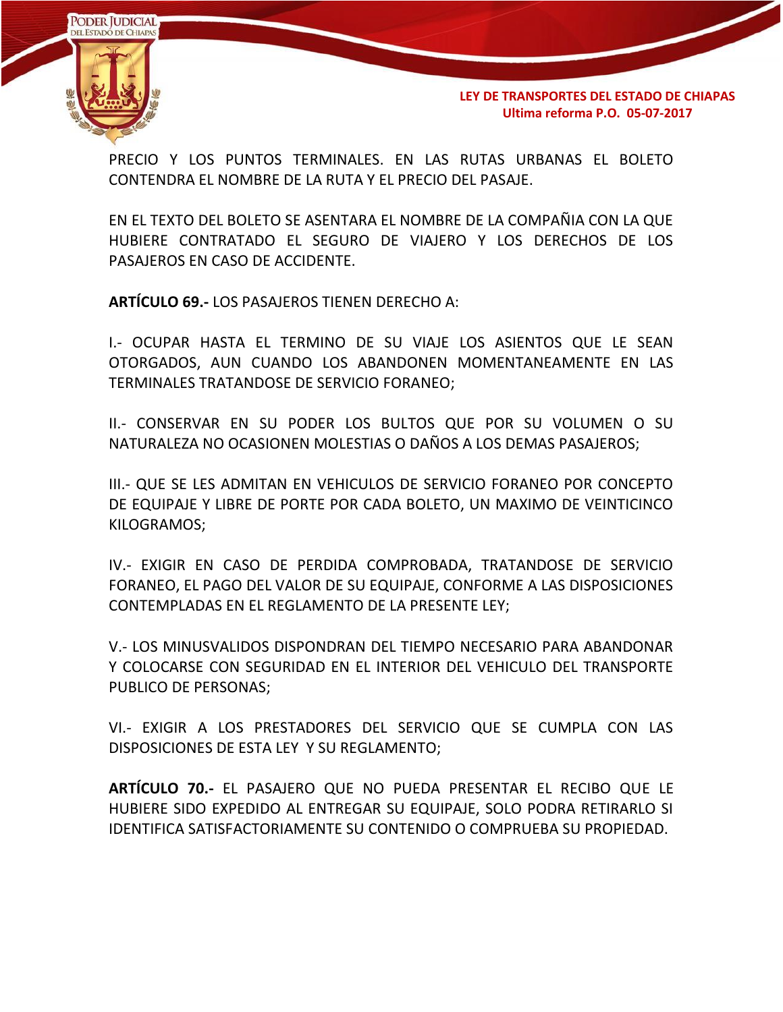

PRECIO Y LOS PUNTOS TERMINALES. EN LAS RUTAS URBANAS EL BOLETO CONTENDRA EL NOMBRE DE LA RUTA Y EL PRECIO DEL PASAJE.

EN EL TEXTO DEL BOLETO SE ASENTARA EL NOMBRE DE LA COMPAÑIA CON LA QUE HUBIERE CONTRATADO EL SEGURO DE VIAJERO Y LOS DERECHOS DE LOS PASAJEROS EN CASO DE ACCIDENTE.

**ARTÍCULO 69.-** LOS PASAJEROS TIENEN DERECHO A:

I.- OCUPAR HASTA EL TERMINO DE SU VIAJE LOS ASIENTOS QUE LE SEAN OTORGADOS, AUN CUANDO LOS ABANDONEN MOMENTANEAMENTE EN LAS TERMINALES TRATANDOSE DE SERVICIO FORANEO;

II.- CONSERVAR EN SU PODER LOS BULTOS QUE POR SU VOLUMEN O SU NATURALEZA NO OCASIONEN MOLESTIAS O DAÑOS A LOS DEMAS PASAJEROS;

III.- QUE SE LES ADMITAN EN VEHICULOS DE SERVICIO FORANEO POR CONCEPTO DE EQUIPAJE Y LIBRE DE PORTE POR CADA BOLETO, UN MAXIMO DE VEINTICINCO KILOGRAMOS;

IV.- EXIGIR EN CASO DE PERDIDA COMPROBADA, TRATANDOSE DE SERVICIO FORANEO, EL PAGO DEL VALOR DE SU EQUIPAJE, CONFORME A LAS DISPOSICIONES CONTEMPLADAS EN EL REGLAMENTO DE LA PRESENTE LEY;

V.- LOS MINUSVALIDOS DISPONDRAN DEL TIEMPO NECESARIO PARA ABANDONAR Y COLOCARSE CON SEGURIDAD EN EL INTERIOR DEL VEHICULO DEL TRANSPORTE PUBLICO DE PERSONAS;

VI.- EXIGIR A LOS PRESTADORES DEL SERVICIO QUE SE CUMPLA CON LAS DISPOSICIONES DE ESTA LEY Y SU REGLAMENTO;

**ARTÍCULO 70.-** EL PASAJERO QUE NO PUEDA PRESENTAR EL RECIBO QUE LE HUBIERE SIDO EXPEDIDO AL ENTREGAR SU EQUIPAJE, SOLO PODRA RETIRARLO SI IDENTIFICA SATISFACTORIAMENTE SU CONTENIDO O COMPRUEBA SU PROPIEDAD.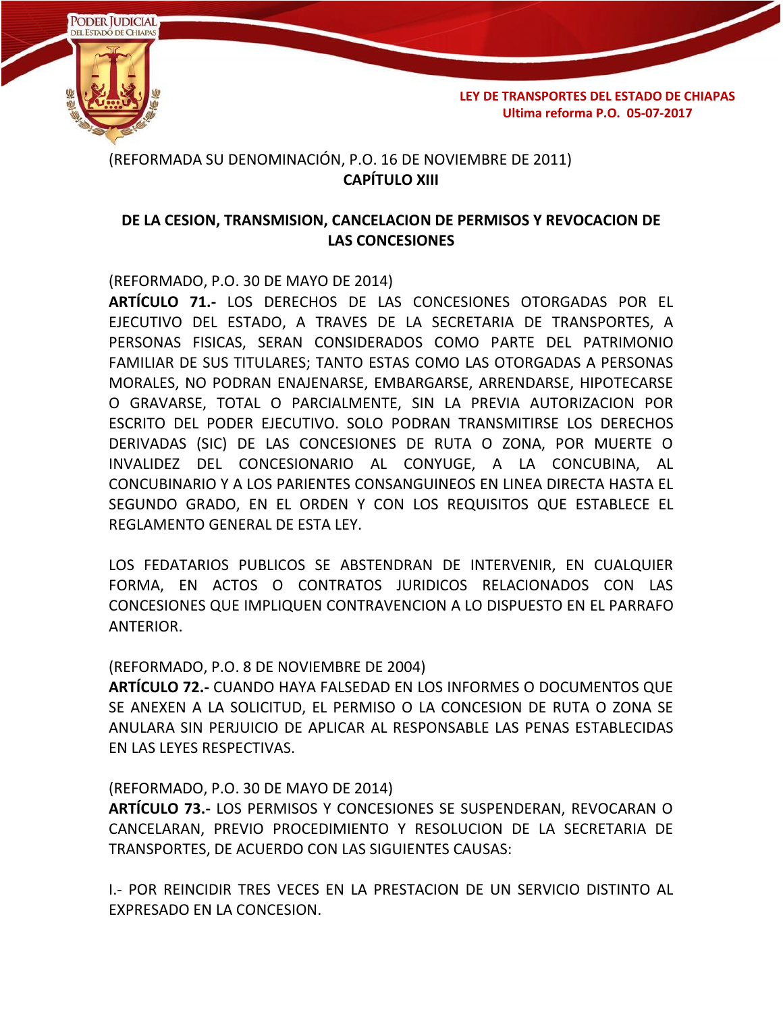

(REFORMADA SU DENOMINACIÓN, P.O. 16 DE NOVIEMBRE DE 2011) **CAPÍTULO XIII**

## **DE LA CESION, TRANSMISION, CANCELACION DE PERMISOS Y REVOCACION DE LAS CONCESIONES**

(REFORMADO, P.O. 30 DE MAYO DE 2014)

**ARTÍCULO 71.-** LOS DERECHOS DE LAS CONCESIONES OTORGADAS POR EL EJECUTIVO DEL ESTADO, A TRAVES DE LA SECRETARIA DE TRANSPORTES, A PERSONAS FISICAS, SERAN CONSIDERADOS COMO PARTE DEL PATRIMONIO FAMILIAR DE SUS TITULARES; TANTO ESTAS COMO LAS OTORGADAS A PERSONAS MORALES, NO PODRAN ENAJENARSE, EMBARGARSE, ARRENDARSE, HIPOTECARSE O GRAVARSE, TOTAL O PARCIALMENTE, SIN LA PREVIA AUTORIZACION POR ESCRITO DEL PODER EJECUTIVO. SOLO PODRAN TRANSMITIRSE LOS DERECHOS DERIVADAS (SIC) DE LAS CONCESIONES DE RUTA O ZONA, POR MUERTE O INVALIDEZ DEL CONCESIONARIO AL CONYUGE, A LA CONCUBINA, AL CONCUBINARIO Y A LOS PARIENTES CONSANGUINEOS EN LINEA DIRECTA HASTA EL SEGUNDO GRADO, EN EL ORDEN Y CON LOS REQUISITOS QUE ESTABLECE EL REGLAMENTO GENERAL DE ESTA LEY.

LOS FEDATARIOS PUBLICOS SE ABSTENDRAN DE INTERVENIR, EN CUALQUIER FORMA, EN ACTOS O CONTRATOS JURIDICOS RELACIONADOS CON LAS CONCESIONES QUE IMPLIQUEN CONTRAVENCION A LO DISPUESTO EN EL PARRAFO ANTERIOR.

#### (REFORMADO, P.O. 8 DE NOVIEMBRE DE 2004)

**ARTÍCULO 72.-** CUANDO HAYA FALSEDAD EN LOS INFORMES O DOCUMENTOS QUE SE ANEXEN A LA SOLICITUD, EL PERMISO O LA CONCESION DE RUTA O ZONA SE ANULARA SIN PERJUICIO DE APLICAR AL RESPONSABLE LAS PENAS ESTABLECIDAS EN LAS LEYES RESPECTIVAS.

#### (REFORMADO, P.O. 30 DE MAYO DE 2014)

**ARTÍCULO 73.-** LOS PERMISOS Y CONCESIONES SE SUSPENDERAN, REVOCARAN O CANCELARAN, PREVIO PROCEDIMIENTO Y RESOLUCION DE LA SECRETARIA DE TRANSPORTES, DE ACUERDO CON LAS SIGUIENTES CAUSAS:

I.- POR REINCIDIR TRES VECES EN LA PRESTACION DE UN SERVICIO DISTINTO AL EXPRESADO EN LA CONCESION.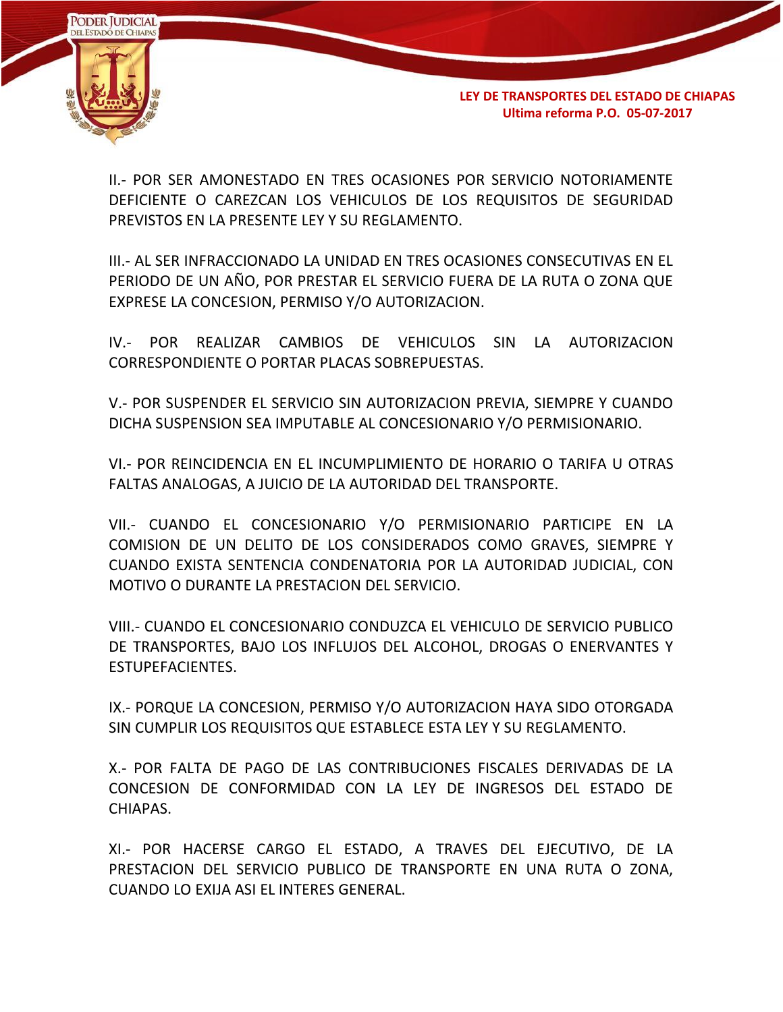

II.- POR SER AMONESTADO EN TRES OCASIONES POR SERVICIO NOTORIAMENTE DEFICIENTE O CAREZCAN LOS VEHICULOS DE LOS REQUISITOS DE SEGURIDAD PREVISTOS EN LA PRESENTE LEY Y SU REGLAMENTO.

III.- AL SER INFRACCIONADO LA UNIDAD EN TRES OCASIONES CONSECUTIVAS EN EL PERIODO DE UN AÑO, POR PRESTAR EL SERVICIO FUERA DE LA RUTA O ZONA QUE EXPRESE LA CONCESION, PERMISO Y/O AUTORIZACION.

IV.- POR REALIZAR CAMBIOS DE VEHICULOS SIN LA AUTORIZACION CORRESPONDIENTE O PORTAR PLACAS SOBREPUESTAS.

V.- POR SUSPENDER EL SERVICIO SIN AUTORIZACION PREVIA, SIEMPRE Y CUANDO DICHA SUSPENSION SEA IMPUTABLE AL CONCESIONARIO Y/O PERMISIONARIO.

VI.- POR REINCIDENCIA EN EL INCUMPLIMIENTO DE HORARIO O TARIFA U OTRAS FALTAS ANALOGAS, A JUICIO DE LA AUTORIDAD DEL TRANSPORTE.

VII.- CUANDO EL CONCESIONARIO Y/O PERMISIONARIO PARTICIPE EN LA COMISION DE UN DELITO DE LOS CONSIDERADOS COMO GRAVES, SIEMPRE Y CUANDO EXISTA SENTENCIA CONDENATORIA POR LA AUTORIDAD JUDICIAL, CON MOTIVO O DURANTE LA PRESTACION DEL SERVICIO.

VIII.- CUANDO EL CONCESIONARIO CONDUZCA EL VEHICULO DE SERVICIO PUBLICO DE TRANSPORTES, BAJO LOS INFLUJOS DEL ALCOHOL, DROGAS O ENERVANTES Y ESTUPEFACIENTES.

IX.- PORQUE LA CONCESION, PERMISO Y/O AUTORIZACION HAYA SIDO OTORGADA SIN CUMPLIR LOS REQUISITOS QUE ESTABLECE ESTA LEY Y SU REGLAMENTO.

X.- POR FALTA DE PAGO DE LAS CONTRIBUCIONES FISCALES DERIVADAS DE LA CONCESION DE CONFORMIDAD CON LA LEY DE INGRESOS DEL ESTADO DE CHIAPAS.

XI.- POR HACERSE CARGO EL ESTADO, A TRAVES DEL EJECUTIVO, DE LA PRESTACION DEL SERVICIO PUBLICO DE TRANSPORTE EN UNA RUTA O ZONA, CUANDO LO EXIJA ASI EL INTERES GENERAL.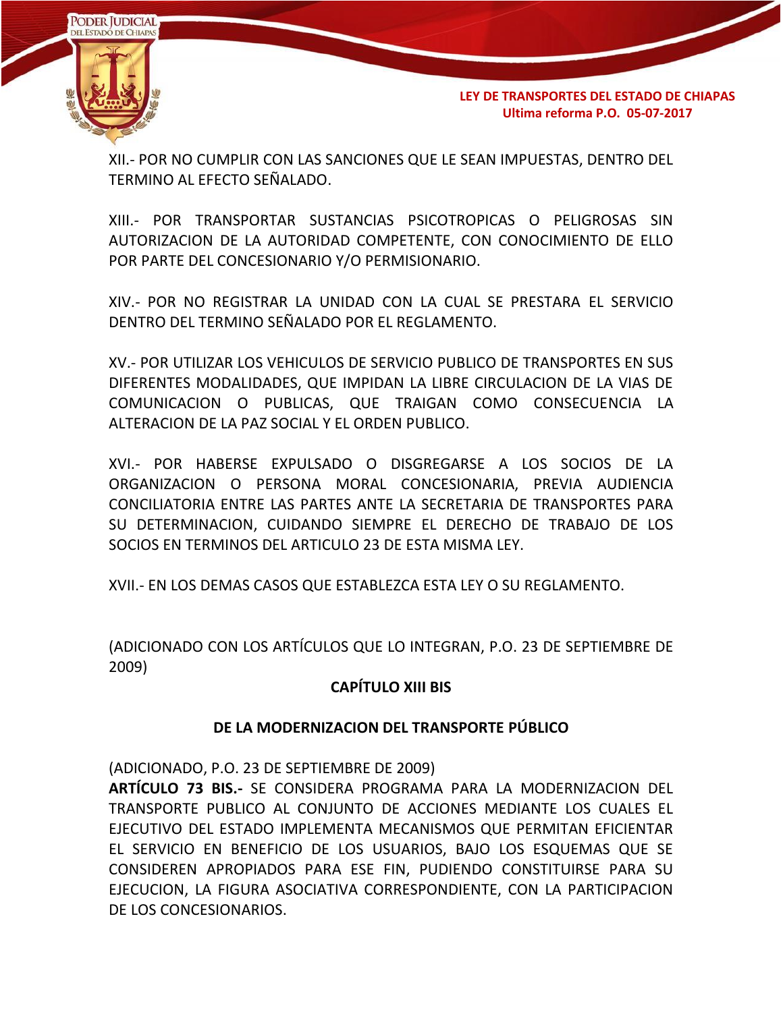

XII.- POR NO CUMPLIR CON LAS SANCIONES QUE LE SEAN IMPUESTAS, DENTRO DEL TERMINO AL EFECTO SEÑALADO.

XIII.- POR TRANSPORTAR SUSTANCIAS PSICOTROPICAS O PELIGROSAS SIN AUTORIZACION DE LA AUTORIDAD COMPETENTE, CON CONOCIMIENTO DE ELLO POR PARTE DEL CONCESIONARIO Y/O PERMISIONARIO.

XIV.- POR NO REGISTRAR LA UNIDAD CON LA CUAL SE PRESTARA EL SERVICIO DENTRO DEL TERMINO SEÑALADO POR EL REGLAMENTO.

XV.- POR UTILIZAR LOS VEHICULOS DE SERVICIO PUBLICO DE TRANSPORTES EN SUS DIFERENTES MODALIDADES, QUE IMPIDAN LA LIBRE CIRCULACION DE LA VIAS DE COMUNICACION O PUBLICAS, QUE TRAIGAN COMO CONSECUENCIA LA ALTERACION DE LA PAZ SOCIAL Y EL ORDEN PUBLICO.

XVI.- POR HABERSE EXPULSADO O DISGREGARSE A LOS SOCIOS DE LA ORGANIZACION O PERSONA MORAL CONCESIONARIA, PREVIA AUDIENCIA CONCILIATORIA ENTRE LAS PARTES ANTE LA SECRETARIA DE TRANSPORTES PARA SU DETERMINACION, CUIDANDO SIEMPRE EL DERECHO DE TRABAJO DE LOS SOCIOS EN TERMINOS DEL ARTICULO 23 DE ESTA MISMA LEY.

XVII.- EN LOS DEMAS CASOS QUE ESTABLEZCA ESTA LEY O SU REGLAMENTO.

(ADICIONADO CON LOS ARTÍCULOS QUE LO INTEGRAN, P.O. 23 DE SEPTIEMBRE DE 2009)

## **CAPÍTULO XIII BIS**

# **DE LA MODERNIZACION DEL TRANSPORTE PÚBLICO**

(ADICIONADO, P.O. 23 DE SEPTIEMBRE DE 2009)

**ARTÍCULO 73 BIS.-** SE CONSIDERA PROGRAMA PARA LA MODERNIZACION DEL TRANSPORTE PUBLICO AL CONJUNTO DE ACCIONES MEDIANTE LOS CUALES EL EJECUTIVO DEL ESTADO IMPLEMENTA MECANISMOS QUE PERMITAN EFICIENTAR EL SERVICIO EN BENEFICIO DE LOS USUARIOS, BAJO LOS ESQUEMAS QUE SE CONSIDEREN APROPIADOS PARA ESE FIN, PUDIENDO CONSTITUIRSE PARA SU EJECUCION, LA FIGURA ASOCIATIVA CORRESPONDIENTE, CON LA PARTICIPACION DE LOS CONCESIONARIOS.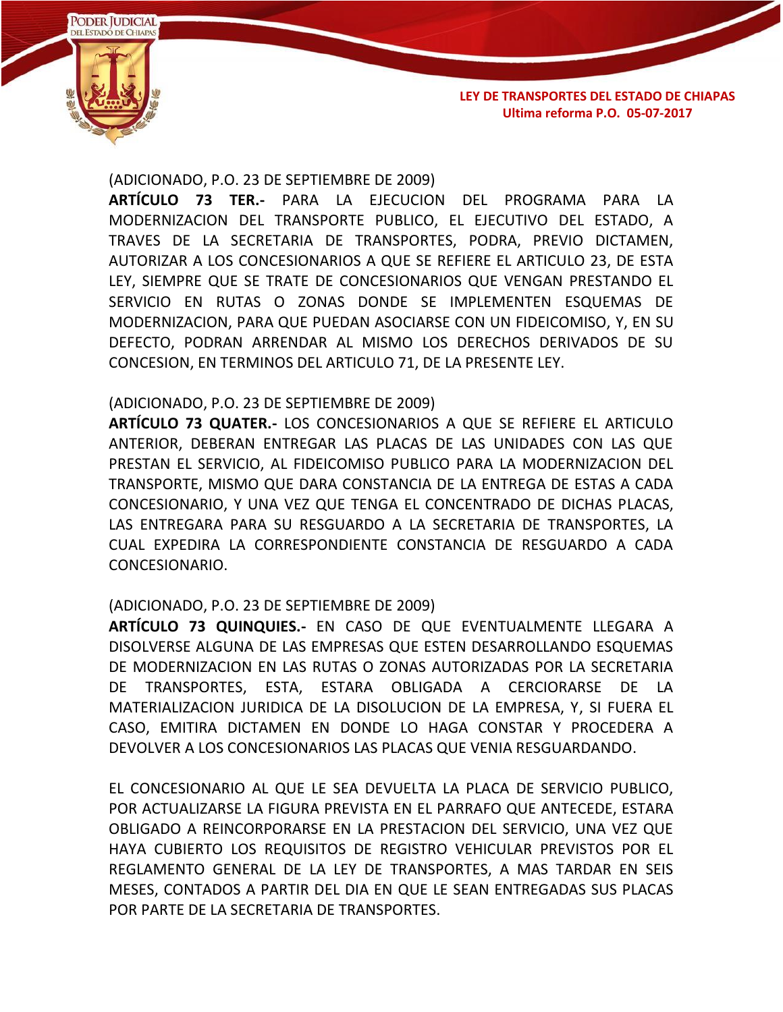

(ADICIONADO, P.O. 23 DE SEPTIEMBRE DE 2009)

**ARTÍCULO 73 TER.-** PARA LA EJECUCION DEL PROGRAMA PARA LA MODERNIZACION DEL TRANSPORTE PUBLICO, EL EJECUTIVO DEL ESTADO, A TRAVES DE LA SECRETARIA DE TRANSPORTES, PODRA, PREVIO DICTAMEN, AUTORIZAR A LOS CONCESIONARIOS A QUE SE REFIERE EL ARTICULO 23, DE ESTA LEY, SIEMPRE QUE SE TRATE DE CONCESIONARIOS QUE VENGAN PRESTANDO EL SERVICIO EN RUTAS O ZONAS DONDE SE IMPLEMENTEN ESQUEMAS DE MODERNIZACION, PARA QUE PUEDAN ASOCIARSE CON UN FIDEICOMISO, Y, EN SU DEFECTO, PODRAN ARRENDAR AL MISMO LOS DERECHOS DERIVADOS DE SU CONCESION, EN TERMINOS DEL ARTICULO 71, DE LA PRESENTE LEY.

### (ADICIONADO, P.O. 23 DE SEPTIEMBRE DE 2009)

**ARTÍCULO 73 QUATER.-** LOS CONCESIONARIOS A QUE SE REFIERE EL ARTICULO ANTERIOR, DEBERAN ENTREGAR LAS PLACAS DE LAS UNIDADES CON LAS QUE PRESTAN EL SERVICIO, AL FIDEICOMISO PUBLICO PARA LA MODERNIZACION DEL TRANSPORTE, MISMO QUE DARA CONSTANCIA DE LA ENTREGA DE ESTAS A CADA CONCESIONARIO, Y UNA VEZ QUE TENGA EL CONCENTRADO DE DICHAS PLACAS, LAS ENTREGARA PARA SU RESGUARDO A LA SECRETARIA DE TRANSPORTES, LA CUAL EXPEDIRA LA CORRESPONDIENTE CONSTANCIA DE RESGUARDO A CADA CONCESIONARIO.

## (ADICIONADO, P.O. 23 DE SEPTIEMBRE DE 2009)

**ARTÍCULO 73 QUINQUIES.-** EN CASO DE QUE EVENTUALMENTE LLEGARA A DISOLVERSE ALGUNA DE LAS EMPRESAS QUE ESTEN DESARROLLANDO ESQUEMAS DE MODERNIZACION EN LAS RUTAS O ZONAS AUTORIZADAS POR LA SECRETARIA DE TRANSPORTES, ESTA, ESTARA OBLIGADA A CERCIORARSE DE LA MATERIALIZACION JURIDICA DE LA DISOLUCION DE LA EMPRESA, Y, SI FUERA EL CASO, EMITIRA DICTAMEN EN DONDE LO HAGA CONSTAR Y PROCEDERA A DEVOLVER A LOS CONCESIONARIOS LAS PLACAS QUE VENIA RESGUARDANDO.

EL CONCESIONARIO AL QUE LE SEA DEVUELTA LA PLACA DE SERVICIO PUBLICO, POR ACTUALIZARSE LA FIGURA PREVISTA EN EL PARRAFO QUE ANTECEDE, ESTARA OBLIGADO A REINCORPORARSE EN LA PRESTACION DEL SERVICIO, UNA VEZ QUE HAYA CUBIERTO LOS REQUISITOS DE REGISTRO VEHICULAR PREVISTOS POR EL REGLAMENTO GENERAL DE LA LEY DE TRANSPORTES, A MAS TARDAR EN SEIS MESES, CONTADOS A PARTIR DEL DIA EN QUE LE SEAN ENTREGADAS SUS PLACAS POR PARTE DE LA SECRETARIA DE TRANSPORTES.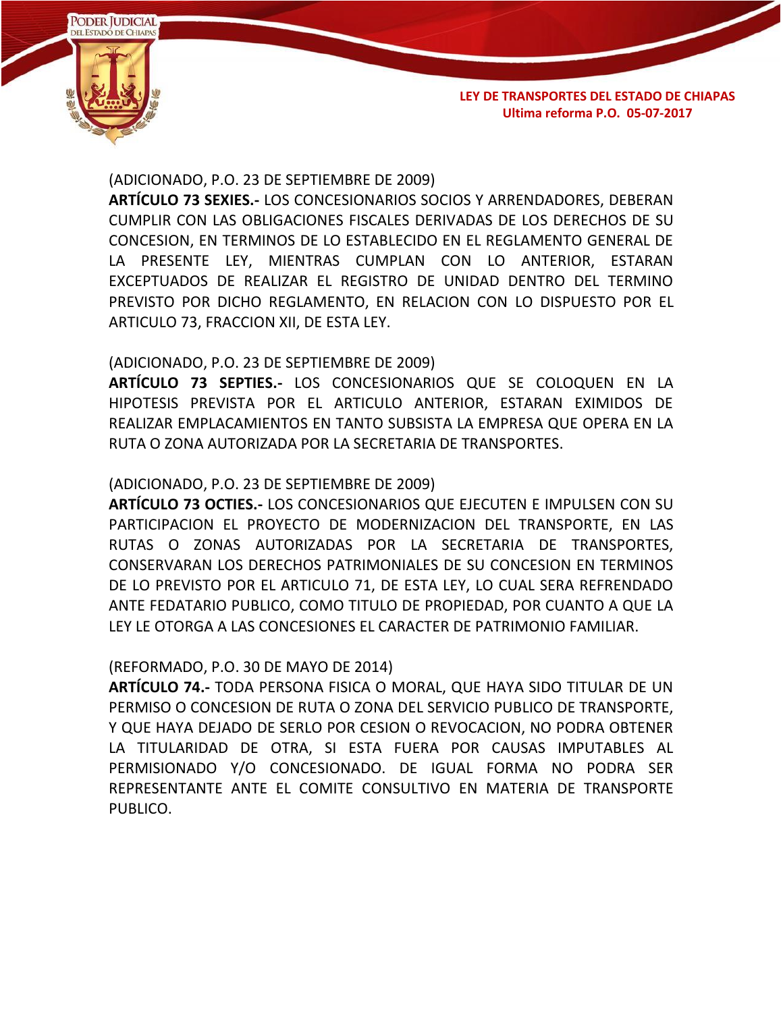

### (ADICIONADO, P.O. 23 DE SEPTIEMBRE DE 2009)

**ARTÍCULO 73 SEXIES.-** LOS CONCESIONARIOS SOCIOS Y ARRENDADORES, DEBERAN CUMPLIR CON LAS OBLIGACIONES FISCALES DERIVADAS DE LOS DERECHOS DE SU CONCESION, EN TERMINOS DE LO ESTABLECIDO EN EL REGLAMENTO GENERAL DE LA PRESENTE LEY, MIENTRAS CUMPLAN CON LO ANTERIOR, ESTARAN EXCEPTUADOS DE REALIZAR EL REGISTRO DE UNIDAD DENTRO DEL TERMINO PREVISTO POR DICHO REGLAMENTO, EN RELACION CON LO DISPUESTO POR EL ARTICULO 73, FRACCION XII, DE ESTA LEY.

## (ADICIONADO, P.O. 23 DE SEPTIEMBRE DE 2009)

**ARTÍCULO 73 SEPTIES.-** LOS CONCESIONARIOS QUE SE COLOQUEN EN LA HIPOTESIS PREVISTA POR EL ARTICULO ANTERIOR, ESTARAN EXIMIDOS DE REALIZAR EMPLACAMIENTOS EN TANTO SUBSISTA LA EMPRESA QUE OPERA EN LA RUTA O ZONA AUTORIZADA POR LA SECRETARIA DE TRANSPORTES.

## (ADICIONADO, P.O. 23 DE SEPTIEMBRE DE 2009)

**ARTÍCULO 73 OCTIES.-** LOS CONCESIONARIOS QUE EJECUTEN E IMPULSEN CON SU PARTICIPACION EL PROYECTO DE MODERNIZACION DEL TRANSPORTE, EN LAS RUTAS O ZONAS AUTORIZADAS POR LA SECRETARIA DE TRANSPORTES, CONSERVARAN LOS DERECHOS PATRIMONIALES DE SU CONCESION EN TERMINOS DE LO PREVISTO POR EL ARTICULO 71, DE ESTA LEY, LO CUAL SERA REFRENDADO ANTE FEDATARIO PUBLICO, COMO TITULO DE PROPIEDAD, POR CUANTO A QUE LA LEY LE OTORGA A LAS CONCESIONES EL CARACTER DE PATRIMONIO FAMILIAR.

## (REFORMADO, P.O. 30 DE MAYO DE 2014)

**ARTÍCULO 74.-** TODA PERSONA FISICA O MORAL, QUE HAYA SIDO TITULAR DE UN PERMISO O CONCESION DE RUTA O ZONA DEL SERVICIO PUBLICO DE TRANSPORTE, Y QUE HAYA DEJADO DE SERLO POR CESION O REVOCACION, NO PODRA OBTENER LA TITULARIDAD DE OTRA, SI ESTA FUERA POR CAUSAS IMPUTABLES AL PERMISIONADO Y/O CONCESIONADO. DE IGUAL FORMA NO PODRA SER REPRESENTANTE ANTE EL COMITE CONSULTIVO EN MATERIA DE TRANSPORTE PUBLICO.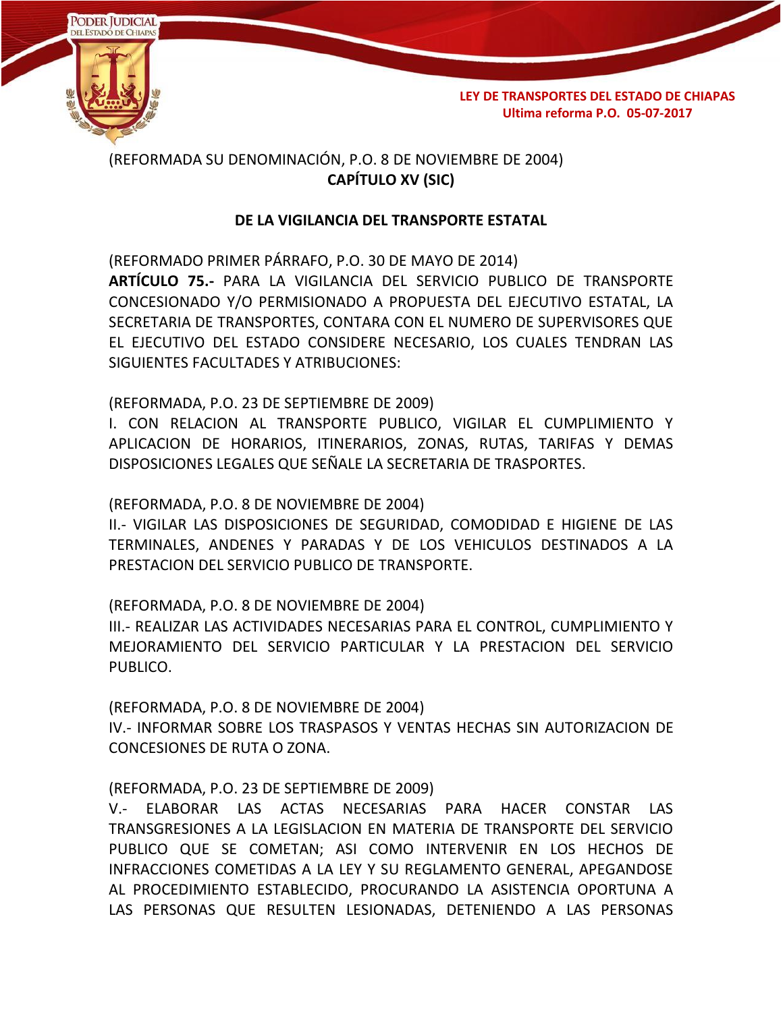

## (REFORMADA SU DENOMINACIÓN, P.O. 8 DE NOVIEMBRE DE 2004) **CAPÍTULO XV (SIC)**

## **DE LA VIGILANCIA DEL TRANSPORTE ESTATAL**

(REFORMADO PRIMER PÁRRAFO, P.O. 30 DE MAYO DE 2014) **ARTÍCULO 75.-** PARA LA VIGILANCIA DEL SERVICIO PUBLICO DE TRANSPORTE CONCESIONADO Y/O PERMISIONADO A PROPUESTA DEL EJECUTIVO ESTATAL, LA SECRETARIA DE TRANSPORTES, CONTARA CON EL NUMERO DE SUPERVISORES QUE EL EJECUTIVO DEL ESTADO CONSIDERE NECESARIO, LOS CUALES TENDRAN LAS SIGUIENTES FACULTADES Y ATRIBUCIONES:

(REFORMADA, P.O. 23 DE SEPTIEMBRE DE 2009)

I. CON RELACION AL TRANSPORTE PUBLICO, VIGILAR EL CUMPLIMIENTO Y APLICACION DE HORARIOS, ITINERARIOS, ZONAS, RUTAS, TARIFAS Y DEMAS DISPOSICIONES LEGALES QUE SEÑALE LA SECRETARIA DE TRASPORTES.

(REFORMADA, P.O. 8 DE NOVIEMBRE DE 2004)

II.- VIGILAR LAS DISPOSICIONES DE SEGURIDAD, COMODIDAD E HIGIENE DE LAS TERMINALES, ANDENES Y PARADAS Y DE LOS VEHICULOS DESTINADOS A LA PRESTACION DEL SERVICIO PUBLICO DE TRANSPORTE.

(REFORMADA, P.O. 8 DE NOVIEMBRE DE 2004)

III.- REALIZAR LAS ACTIVIDADES NECESARIAS PARA EL CONTROL, CUMPLIMIENTO Y MEJORAMIENTO DEL SERVICIO PARTICULAR Y LA PRESTACION DEL SERVICIO PUBLICO.

(REFORMADA, P.O. 8 DE NOVIEMBRE DE 2004)

IV.- INFORMAR SOBRE LOS TRASPASOS Y VENTAS HECHAS SIN AUTORIZACION DE CONCESIONES DE RUTA O ZONA.

## (REFORMADA, P.O. 23 DE SEPTIEMBRE DE 2009)

V.- ELABORAR LAS ACTAS NECESARIAS PARA HACER CONSTAR LAS TRANSGRESIONES A LA LEGISLACION EN MATERIA DE TRANSPORTE DEL SERVICIO PUBLICO QUE SE COMETAN; ASI COMO INTERVENIR EN LOS HECHOS DE INFRACCIONES COMETIDAS A LA LEY Y SU REGLAMENTO GENERAL, APEGANDOSE AL PROCEDIMIENTO ESTABLECIDO, PROCURANDO LA ASISTENCIA OPORTUNA A LAS PERSONAS QUE RESULTEN LESIONADAS, DETENIENDO A LAS PERSONAS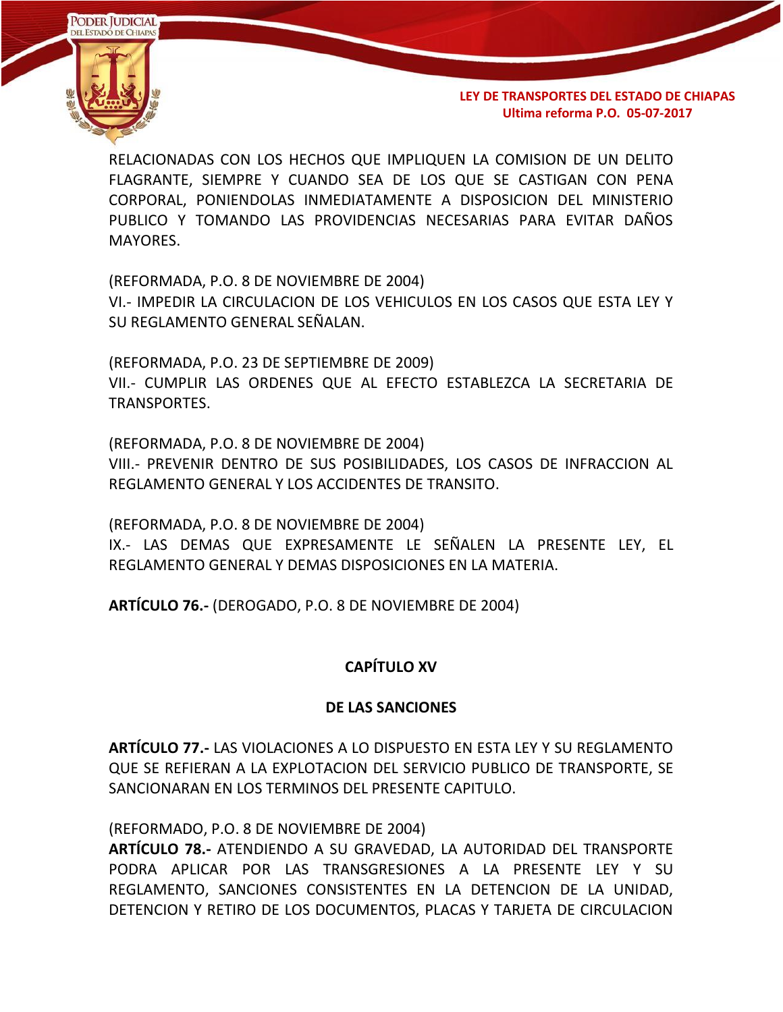

RELACIONADAS CON LOS HECHOS QUE IMPLIQUEN LA COMISION DE UN DELITO FLAGRANTE, SIEMPRE Y CUANDO SEA DE LOS QUE SE CASTIGAN CON PENA CORPORAL, PONIENDOLAS INMEDIATAMENTE A DISPOSICION DEL MINISTERIO PUBLICO Y TOMANDO LAS PROVIDENCIAS NECESARIAS PARA EVITAR DAÑOS MAYORES.

(REFORMADA, P.O. 8 DE NOVIEMBRE DE 2004) VI.- IMPEDIR LA CIRCULACION DE LOS VEHICULOS EN LOS CASOS QUE ESTA LEY Y SU REGLAMENTO GENERAL SEÑALAN.

(REFORMADA, P.O. 23 DE SEPTIEMBRE DE 2009) VII.- CUMPLIR LAS ORDENES QUE AL EFECTO ESTABLEZCA LA SECRETARIA DE TRANSPORTES.

(REFORMADA, P.O. 8 DE NOVIEMBRE DE 2004)

VIII.- PREVENIR DENTRO DE SUS POSIBILIDADES, LOS CASOS DE INFRACCION AL REGLAMENTO GENERAL Y LOS ACCIDENTES DE TRANSITO.

(REFORMADA, P.O. 8 DE NOVIEMBRE DE 2004)

IX.- LAS DEMAS QUE EXPRESAMENTE LE SEÑALEN LA PRESENTE LEY, EL REGLAMENTO GENERAL Y DEMAS DISPOSICIONES EN LA MATERIA.

**ARTÍCULO 76.-** (DEROGADO, P.O. 8 DE NOVIEMBRE DE 2004)

## **CAPÍTULO XV**

#### **DE LAS SANCIONES**

**ARTÍCULO 77.-** LAS VIOLACIONES A LO DISPUESTO EN ESTA LEY Y SU REGLAMENTO QUE SE REFIERAN A LA EXPLOTACION DEL SERVICIO PUBLICO DE TRANSPORTE, SE SANCIONARAN EN LOS TERMINOS DEL PRESENTE CAPITULO.

(REFORMADO, P.O. 8 DE NOVIEMBRE DE 2004)

**ARTÍCULO 78.-** ATENDIENDO A SU GRAVEDAD, LA AUTORIDAD DEL TRANSPORTE PODRA APLICAR POR LAS TRANSGRESIONES A LA PRESENTE LEY Y SU REGLAMENTO, SANCIONES CONSISTENTES EN LA DETENCION DE LA UNIDAD, DETENCION Y RETIRO DE LOS DOCUMENTOS, PLACAS Y TARJETA DE CIRCULACION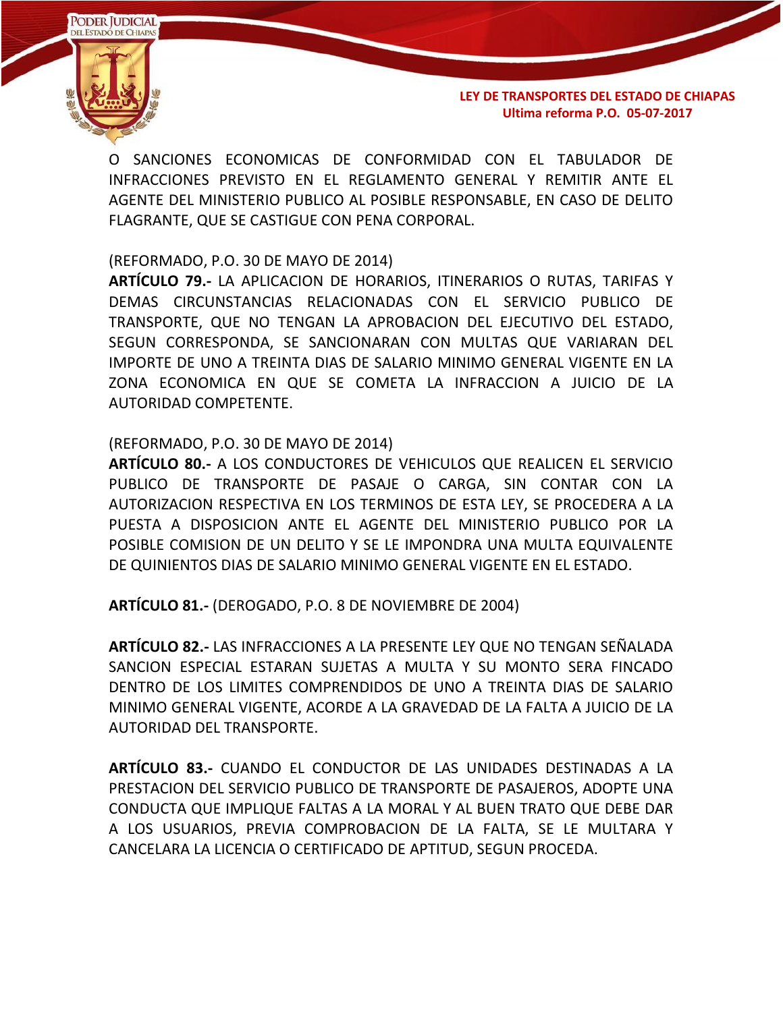

O SANCIONES ECONOMICAS DE CONFORMIDAD CON EL TABULADOR DE INFRACCIONES PREVISTO EN EL REGLAMENTO GENERAL Y REMITIR ANTE EL AGENTE DEL MINISTERIO PUBLICO AL POSIBLE RESPONSABLE, EN CASO DE DELITO FLAGRANTE, QUE SE CASTIGUE CON PENA CORPORAL.

(REFORMADO, P.O. 30 DE MAYO DE 2014)

**ARTÍCULO 79.-** LA APLICACION DE HORARIOS, ITINERARIOS O RUTAS, TARIFAS Y DEMAS CIRCUNSTANCIAS RELACIONADAS CON EL SERVICIO PUBLICO DE TRANSPORTE, QUE NO TENGAN LA APROBACION DEL EJECUTIVO DEL ESTADO, SEGUN CORRESPONDA, SE SANCIONARAN CON MULTAS QUE VARIARAN DEL IMPORTE DE UNO A TREINTA DIAS DE SALARIO MINIMO GENERAL VIGENTE EN LA ZONA ECONOMICA EN QUE SE COMETA LA INFRACCION A JUICIO DE LA AUTORIDAD COMPETENTE.

### (REFORMADO, P.O. 30 DE MAYO DE 2014)

**ARTÍCULO 80.-** A LOS CONDUCTORES DE VEHICULOS QUE REALICEN EL SERVICIO PUBLICO DE TRANSPORTE DE PASAJE O CARGA, SIN CONTAR CON LA AUTORIZACION RESPECTIVA EN LOS TERMINOS DE ESTA LEY, SE PROCEDERA A LA PUESTA A DISPOSICION ANTE EL AGENTE DEL MINISTERIO PUBLICO POR LA POSIBLE COMISION DE UN DELITO Y SE LE IMPONDRA UNA MULTA EQUIVALENTE DE QUINIENTOS DIAS DE SALARIO MINIMO GENERAL VIGENTE EN EL ESTADO.

**ARTÍCULO 81.-** (DEROGADO, P.O. 8 DE NOVIEMBRE DE 2004)

**ARTÍCULO 82.-** LAS INFRACCIONES A LA PRESENTE LEY QUE NO TENGAN SEÑALADA SANCION ESPECIAL ESTARAN SUJETAS A MULTA Y SU MONTO SERA FINCADO DENTRO DE LOS LIMITES COMPRENDIDOS DE UNO A TREINTA DIAS DE SALARIO MINIMO GENERAL VIGENTE, ACORDE A LA GRAVEDAD DE LA FALTA A JUICIO DE LA AUTORIDAD DEL TRANSPORTE.

**ARTÍCULO 83.-** CUANDO EL CONDUCTOR DE LAS UNIDADES DESTINADAS A LA PRESTACION DEL SERVICIO PUBLICO DE TRANSPORTE DE PASAJEROS, ADOPTE UNA CONDUCTA QUE IMPLIQUE FALTAS A LA MORAL Y AL BUEN TRATO QUE DEBE DAR A LOS USUARIOS, PREVIA COMPROBACION DE LA FALTA, SE LE MULTARA Y CANCELARA LA LICENCIA O CERTIFICADO DE APTITUD, SEGUN PROCEDA.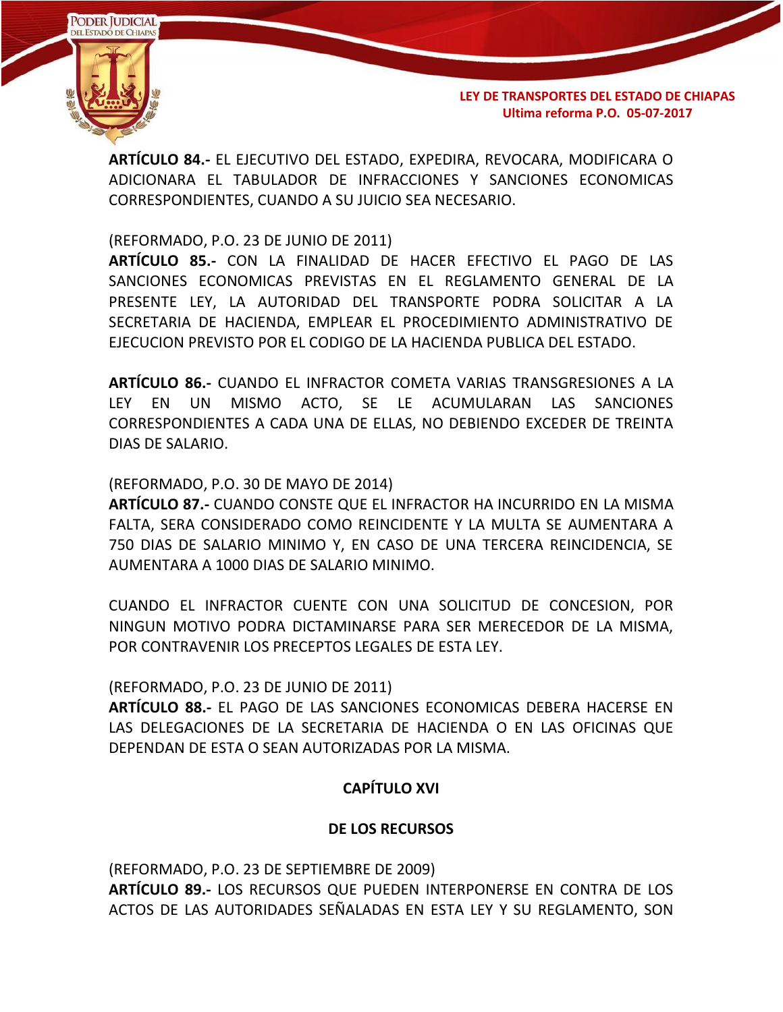

**ARTÍCULO 84.-** EL EJECUTIVO DEL ESTADO, EXPEDIRA, REVOCARA, MODIFICARA O ADICIONARA EL TABULADOR DE INFRACCIONES Y SANCIONES ECONOMICAS CORRESPONDIENTES, CUANDO A SU JUICIO SEA NECESARIO.

(REFORMADO, P.O. 23 DE JUNIO DE 2011)

**ARTÍCULO 85.-** CON LA FINALIDAD DE HACER EFECTIVO EL PAGO DE LAS SANCIONES ECONOMICAS PREVISTAS EN EL REGLAMENTO GENERAL DE LA PRESENTE LEY, LA AUTORIDAD DEL TRANSPORTE PODRA SOLICITAR A LA SECRETARIA DE HACIENDA, EMPLEAR EL PROCEDIMIENTO ADMINISTRATIVO DE EJECUCION PREVISTO POR EL CODIGO DE LA HACIENDA PUBLICA DEL ESTADO.

**ARTÍCULO 86.-** CUANDO EL INFRACTOR COMETA VARIAS TRANSGRESIONES A LA LEY EN UN MISMO ACTO, SE LE ACUMULARAN LAS SANCIONES CORRESPONDIENTES A CADA UNA DE ELLAS, NO DEBIENDO EXCEDER DE TREINTA DIAS DE SALARIO.

#### (REFORMADO, P.O. 30 DE MAYO DE 2014)

**ARTÍCULO 87.-** CUANDO CONSTE QUE EL INFRACTOR HA INCURRIDO EN LA MISMA FALTA, SERA CONSIDERADO COMO REINCIDENTE Y LA MULTA SE AUMENTARA A 750 DIAS DE SALARIO MINIMO Y, EN CASO DE UNA TERCERA REINCIDENCIA, SE AUMENTARA A 1000 DIAS DE SALARIO MINIMO.

CUANDO EL INFRACTOR CUENTE CON UNA SOLICITUD DE CONCESION, POR NINGUN MOTIVO PODRA DICTAMINARSE PARA SER MERECEDOR DE LA MISMA, POR CONTRAVENIR LOS PRECEPTOS LEGALES DE ESTA LEY.

(REFORMADO, P.O. 23 DE JUNIO DE 2011)

**ARTÍCULO 88.-** EL PAGO DE LAS SANCIONES ECONOMICAS DEBERA HACERSE EN LAS DELEGACIONES DE LA SECRETARIA DE HACIENDA O EN LAS OFICINAS QUE DEPENDAN DE ESTA O SEAN AUTORIZADAS POR LA MISMA.

#### **CAPÍTULO XVI**

#### **DE LOS RECURSOS**

(REFORMADO, P.O. 23 DE SEPTIEMBRE DE 2009)

**ARTÍCULO 89.-** LOS RECURSOS QUE PUEDEN INTERPONERSE EN CONTRA DE LOS ACTOS DE LAS AUTORIDADES SEÑALADAS EN ESTA LEY Y SU REGLAMENTO, SON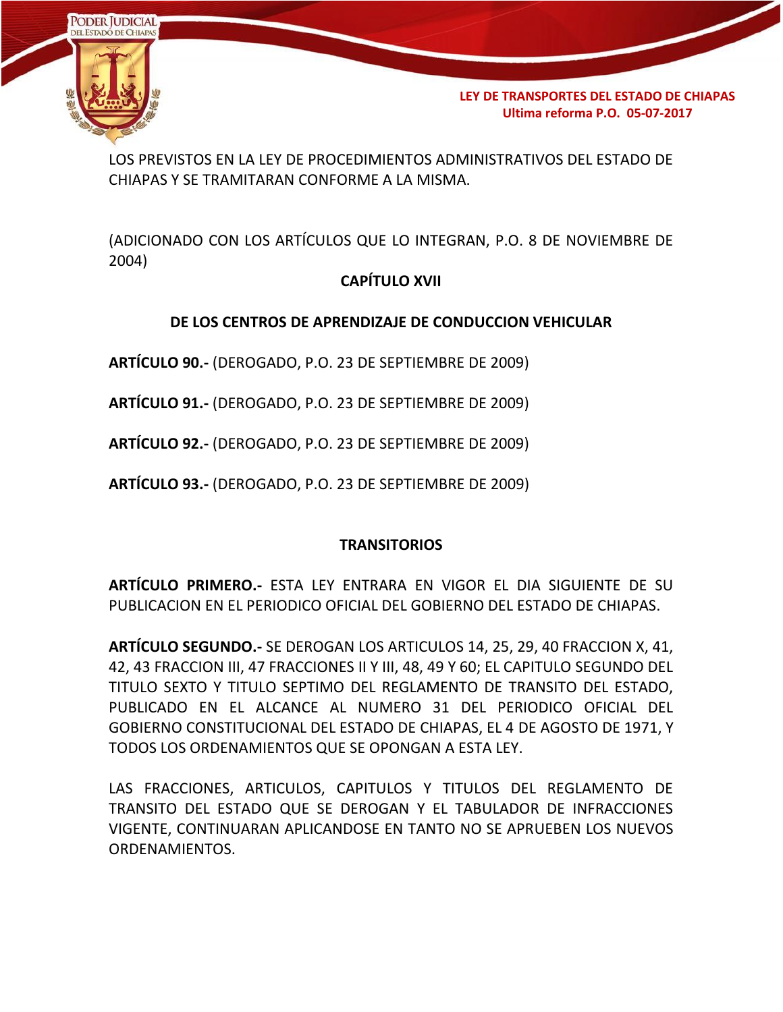

LOS PREVISTOS EN LA LEY DE PROCEDIMIENTOS ADMINISTRATIVOS DEL ESTADO DE CHIAPAS Y SE TRAMITARAN CONFORME A LA MISMA.

(ADICIONADO CON LOS ARTÍCULOS QUE LO INTEGRAN, P.O. 8 DE NOVIEMBRE DE 2004)

# **CAPÍTULO XVII**

# **DE LOS CENTROS DE APRENDIZAJE DE CONDUCCION VEHICULAR**

**ARTÍCULO 90.-** (DEROGADO, P.O. 23 DE SEPTIEMBRE DE 2009)

**ARTÍCULO 91.-** (DEROGADO, P.O. 23 DE SEPTIEMBRE DE 2009)

**ARTÍCULO 92.-** (DEROGADO, P.O. 23 DE SEPTIEMBRE DE 2009)

**ARTÍCULO 93.-** (DEROGADO, P.O. 23 DE SEPTIEMBRE DE 2009)

# **TRANSITORIOS**

**ARTÍCULO PRIMERO.-** ESTA LEY ENTRARA EN VIGOR EL DIA SIGUIENTE DE SU PUBLICACION EN EL PERIODICO OFICIAL DEL GOBIERNO DEL ESTADO DE CHIAPAS.

**ARTÍCULO SEGUNDO.-** SE DEROGAN LOS ARTICULOS 14, 25, 29, 40 FRACCION X, 41, 42, 43 FRACCION III, 47 FRACCIONES II Y III, 48, 49 Y 60; EL CAPITULO SEGUNDO DEL TITULO SEXTO Y TITULO SEPTIMO DEL REGLAMENTO DE TRANSITO DEL ESTADO, PUBLICADO EN EL ALCANCE AL NUMERO 31 DEL PERIODICO OFICIAL DEL GOBIERNO CONSTITUCIONAL DEL ESTADO DE CHIAPAS, EL 4 DE AGOSTO DE 1971, Y TODOS LOS ORDENAMIENTOS QUE SE OPONGAN A ESTA LEY.

LAS FRACCIONES, ARTICULOS, CAPITULOS Y TITULOS DEL REGLAMENTO DE TRANSITO DEL ESTADO QUE SE DEROGAN Y EL TABULADOR DE INFRACCIONES VIGENTE, CONTINUARAN APLICANDOSE EN TANTO NO SE APRUEBEN LOS NUEVOS ORDENAMIENTOS.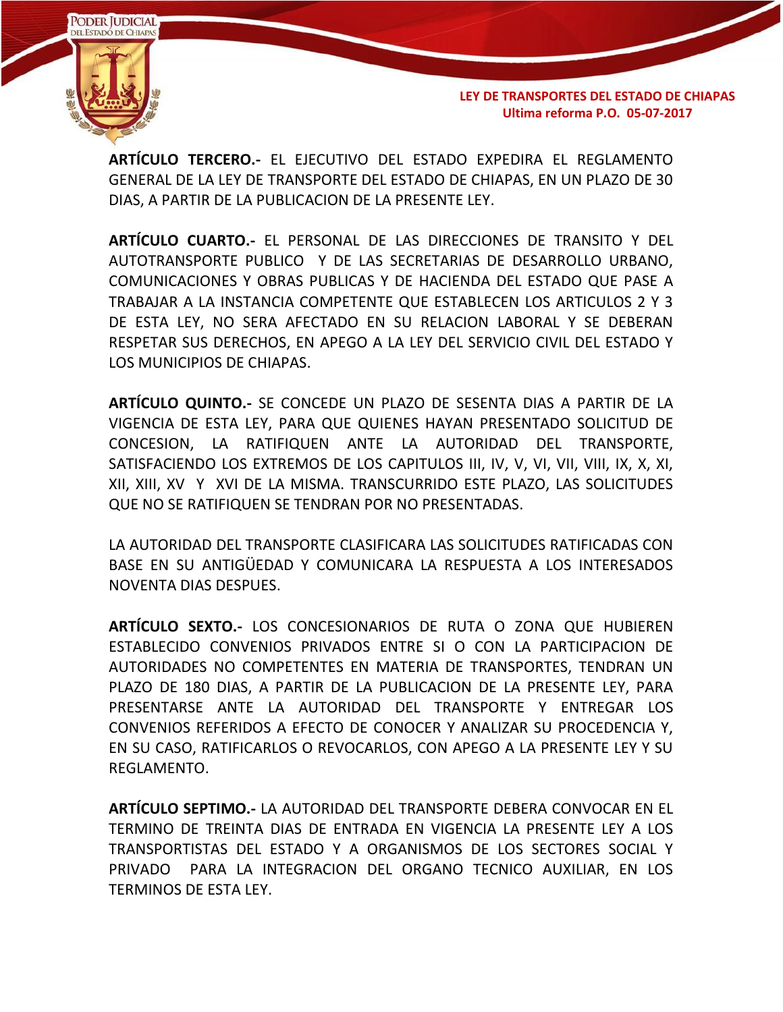

**ARTÍCULO TERCERO.-** EL EJECUTIVO DEL ESTADO EXPEDIRA EL REGLAMENTO GENERAL DE LA LEY DE TRANSPORTE DEL ESTADO DE CHIAPAS, EN UN PLAZO DE 30 DIAS, A PARTIR DE LA PUBLICACION DE LA PRESENTE LEY.

**ARTÍCULO CUARTO.-** EL PERSONAL DE LAS DIRECCIONES DE TRANSITO Y DEL AUTOTRANSPORTE PUBLICO Y DE LAS SECRETARIAS DE DESARROLLO URBANO, COMUNICACIONES Y OBRAS PUBLICAS Y DE HACIENDA DEL ESTADO QUE PASE A TRABAJAR A LA INSTANCIA COMPETENTE QUE ESTABLECEN LOS ARTICULOS 2 Y 3 DE ESTA LEY, NO SERA AFECTADO EN SU RELACION LABORAL Y SE DEBERAN RESPETAR SUS DERECHOS, EN APEGO A LA LEY DEL SERVICIO CIVIL DEL ESTADO Y LOS MUNICIPIOS DE CHIAPAS.

**ARTÍCULO QUINTO.-** SE CONCEDE UN PLAZO DE SESENTA DIAS A PARTIR DE LA VIGENCIA DE ESTA LEY, PARA QUE QUIENES HAYAN PRESENTADO SOLICITUD DE CONCESION, LA RATIFIQUEN ANTE LA AUTORIDAD DEL TRANSPORTE, SATISFACIENDO LOS EXTREMOS DE LOS CAPITULOS III, IV, V, VI, VII, VIII, IX, X, XI, XII, XIII, XV Y XVI DE LA MISMA. TRANSCURRIDO ESTE PLAZO, LAS SOLICITUDES QUE NO SE RATIFIQUEN SE TENDRAN POR NO PRESENTADAS.

LA AUTORIDAD DEL TRANSPORTE CLASIFICARA LAS SOLICITUDES RATIFICADAS CON BASE EN SU ANTIGÜEDAD Y COMUNICARA LA RESPUESTA A LOS INTERESADOS NOVENTA DIAS DESPUES.

**ARTÍCULO SEXTO.-** LOS CONCESIONARIOS DE RUTA O ZONA QUE HUBIEREN ESTABLECIDO CONVENIOS PRIVADOS ENTRE SI O CON LA PARTICIPACION DE AUTORIDADES NO COMPETENTES EN MATERIA DE TRANSPORTES, TENDRAN UN PLAZO DE 180 DIAS, A PARTIR DE LA PUBLICACION DE LA PRESENTE LEY, PARA PRESENTARSE ANTE LA AUTORIDAD DEL TRANSPORTE Y ENTREGAR LOS CONVENIOS REFERIDOS A EFECTO DE CONOCER Y ANALIZAR SU PROCEDENCIA Y, EN SU CASO, RATIFICARLOS O REVOCARLOS, CON APEGO A LA PRESENTE LEY Y SU REGLAMENTO.

**ARTÍCULO SEPTIMO.-** LA AUTORIDAD DEL TRANSPORTE DEBERA CONVOCAR EN EL TERMINO DE TREINTA DIAS DE ENTRADA EN VIGENCIA LA PRESENTE LEY A LOS TRANSPORTISTAS DEL ESTADO Y A ORGANISMOS DE LOS SECTORES SOCIAL Y PRIVADO PARA LA INTEGRACION DEL ORGANO TECNICO AUXILIAR, EN LOS TERMINOS DE ESTA LEY.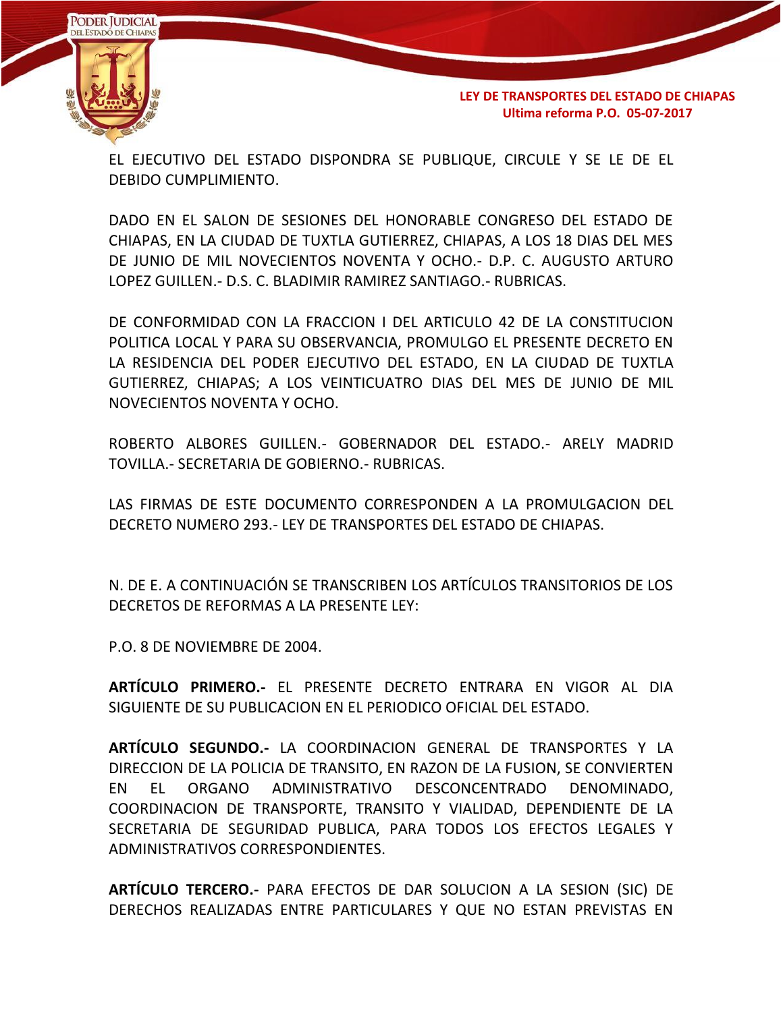

EL EJECUTIVO DEL ESTADO DISPONDRA SE PUBLIQUE, CIRCULE Y SE LE DE EL DEBIDO CUMPLIMIENTO.

DADO EN EL SALON DE SESIONES DEL HONORABLE CONGRESO DEL ESTADO DE CHIAPAS, EN LA CIUDAD DE TUXTLA GUTIERREZ, CHIAPAS, A LOS 18 DIAS DEL MES DE JUNIO DE MIL NOVECIENTOS NOVENTA Y OCHO.- D.P. C. AUGUSTO ARTURO LOPEZ GUILLEN.- D.S. C. BLADIMIR RAMIREZ SANTIAGO.- RUBRICAS.

DE CONFORMIDAD CON LA FRACCION I DEL ARTICULO 42 DE LA CONSTITUCION POLITICA LOCAL Y PARA SU OBSERVANCIA, PROMULGO EL PRESENTE DECRETO EN LA RESIDENCIA DEL PODER EJECUTIVO DEL ESTADO, EN LA CIUDAD DE TUXTLA GUTIERREZ, CHIAPAS; A LOS VEINTICUATRO DIAS DEL MES DE JUNIO DE MIL NOVECIENTOS NOVENTA Y OCHO.

ROBERTO ALBORES GUILLEN.- GOBERNADOR DEL ESTADO.- ARELY MADRID TOVILLA.- SECRETARIA DE GOBIERNO.- RUBRICAS.

LAS FIRMAS DE ESTE DOCUMENTO CORRESPONDEN A LA PROMULGACION DEL DECRETO NUMERO 293.- LEY DE TRANSPORTES DEL ESTADO DE CHIAPAS.

N. DE E. A CONTINUACIÓN SE TRANSCRIBEN LOS ARTÍCULOS TRANSITORIOS DE LOS DECRETOS DE REFORMAS A LA PRESENTE LEY:

P.O. 8 DE NOVIEMBRE DE 2004.

**ARTÍCULO PRIMERO.-** EL PRESENTE DECRETO ENTRARA EN VIGOR AL DIA SIGUIENTE DE SU PUBLICACION EN EL PERIODICO OFICIAL DEL ESTADO.

**ARTÍCULO SEGUNDO.-** LA COORDINACION GENERAL DE TRANSPORTES Y LA DIRECCION DE LA POLICIA DE TRANSITO, EN RAZON DE LA FUSION, SE CONVIERTEN EN EL ORGANO ADMINISTRATIVO DESCONCENTRADO DENOMINADO, COORDINACION DE TRANSPORTE, TRANSITO Y VIALIDAD, DEPENDIENTE DE LA SECRETARIA DE SEGURIDAD PUBLICA, PARA TODOS LOS EFECTOS LEGALES Y ADMINISTRATIVOS CORRESPONDIENTES.

**ARTÍCULO TERCERO.-** PARA EFECTOS DE DAR SOLUCION A LA SESION (SIC) DE DERECHOS REALIZADAS ENTRE PARTICULARES Y QUE NO ESTAN PREVISTAS EN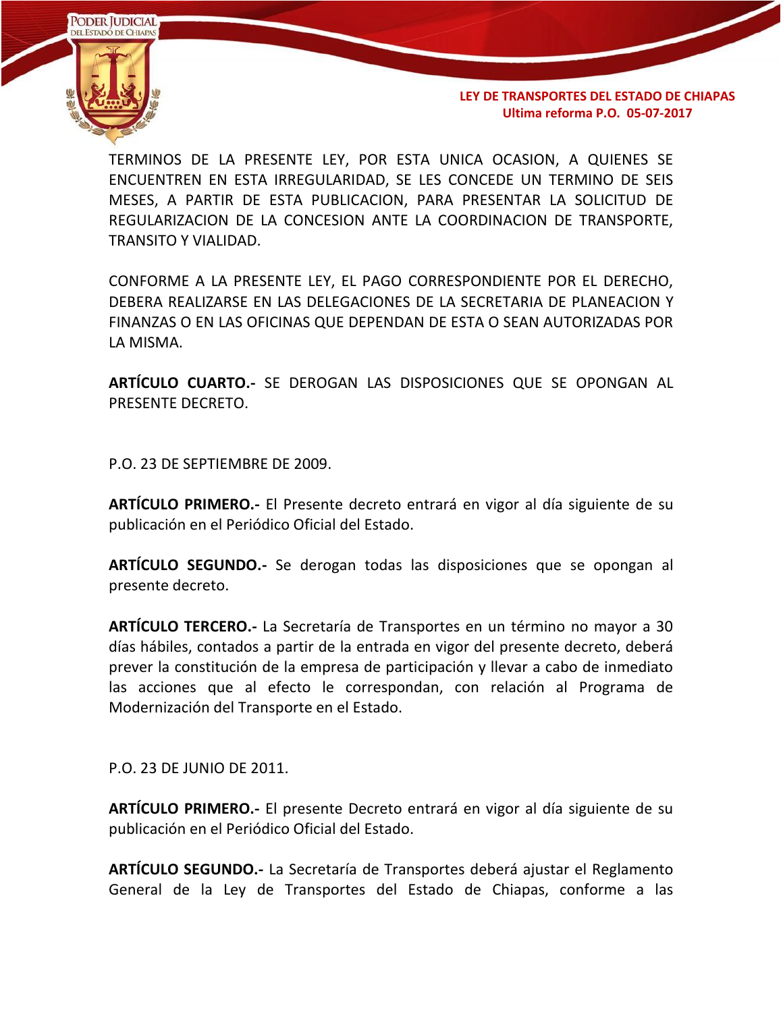

TERMINOS DE LA PRESENTE LEY, POR ESTA UNICA OCASION, A QUIENES SE ENCUENTREN EN ESTA IRREGULARIDAD, SE LES CONCEDE UN TERMINO DE SEIS MESES, A PARTIR DE ESTA PUBLICACION, PARA PRESENTAR LA SOLICITUD DE REGULARIZACION DE LA CONCESION ANTE LA COORDINACION DE TRANSPORTE, TRANSITO Y VIALIDAD.

CONFORME A LA PRESENTE LEY, EL PAGO CORRESPONDIENTE POR EL DERECHO, DEBERA REALIZARSE EN LAS DELEGACIONES DE LA SECRETARIA DE PLANEACION Y FINANZAS O EN LAS OFICINAS QUE DEPENDAN DE ESTA O SEAN AUTORIZADAS POR LA MISMA.

**ARTÍCULO CUARTO.-** SE DEROGAN LAS DISPOSICIONES QUE SE OPONGAN AL PRESENTE DECRETO.

P.O. 23 DE SEPTIEMBRE DE 2009.

**ARTÍCULO PRIMERO.-** El Presente decreto entrará en vigor al día siguiente de su publicación en el Periódico Oficial del Estado.

**ARTÍCULO SEGUNDO.-** Se derogan todas las disposiciones que se opongan al presente decreto.

**ARTÍCULO TERCERO.-** La Secretaría de Transportes en un término no mayor a 30 días hábiles, contados a partir de la entrada en vigor del presente decreto, deberá prever la constitución de la empresa de participación y llevar a cabo de inmediato las acciones que al efecto le correspondan, con relación al Programa de Modernización del Transporte en el Estado.

P.O. 23 DE JUNIO DE 2011.

**ARTÍCULO PRIMERO.-** El presente Decreto entrará en vigor al día siguiente de su publicación en el Periódico Oficial del Estado.

**ARTÍCULO SEGUNDO.-** La Secretaría de Transportes deberá ajustar el Reglamento General de la Ley de Transportes del Estado de Chiapas, conforme a las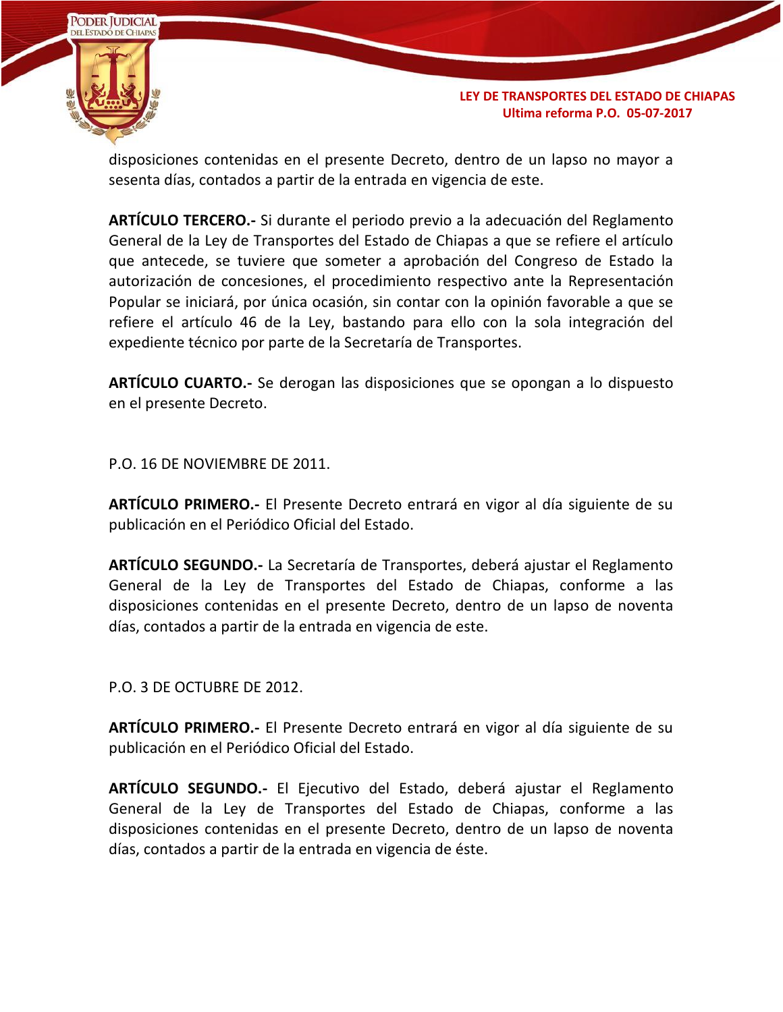

disposiciones contenidas en el presente Decreto, dentro de un lapso no mayor a sesenta días, contados a partir de la entrada en vigencia de este.

**ARTÍCULO TERCERO.-** Si durante el periodo previo a la adecuación del Reglamento General de la Ley de Transportes del Estado de Chiapas a que se refiere el artículo que antecede, se tuviere que someter a aprobación del Congreso de Estado la autorización de concesiones, el procedimiento respectivo ante la Representación Popular se iniciará, por única ocasión, sin contar con la opinión favorable a que se refiere el artículo 46 de la Ley, bastando para ello con la sola integración del expediente técnico por parte de la Secretaría de Transportes.

**ARTÍCULO CUARTO.-** Se derogan las disposiciones que se opongan a lo dispuesto en el presente Decreto.

P.O. 16 DE NOVIEMBRE DE 2011.

**ARTÍCULO PRIMERO.-** El Presente Decreto entrará en vigor al día siguiente de su publicación en el Periódico Oficial del Estado.

**ARTÍCULO SEGUNDO.-** La Secretaría de Transportes, deberá ajustar el Reglamento General de la Ley de Transportes del Estado de Chiapas, conforme a las disposiciones contenidas en el presente Decreto, dentro de un lapso de noventa días, contados a partir de la entrada en vigencia de este.

P.O. 3 DE OCTUBRE DE 2012.

**ARTÍCULO PRIMERO.-** El Presente Decreto entrará en vigor al día siguiente de su publicación en el Periódico Oficial del Estado.

**ARTÍCULO SEGUNDO.-** El Ejecutivo del Estado, deberá ajustar el Reglamento General de la Ley de Transportes del Estado de Chiapas, conforme a las disposiciones contenidas en el presente Decreto, dentro de un lapso de noventa días, contados a partir de la entrada en vigencia de éste.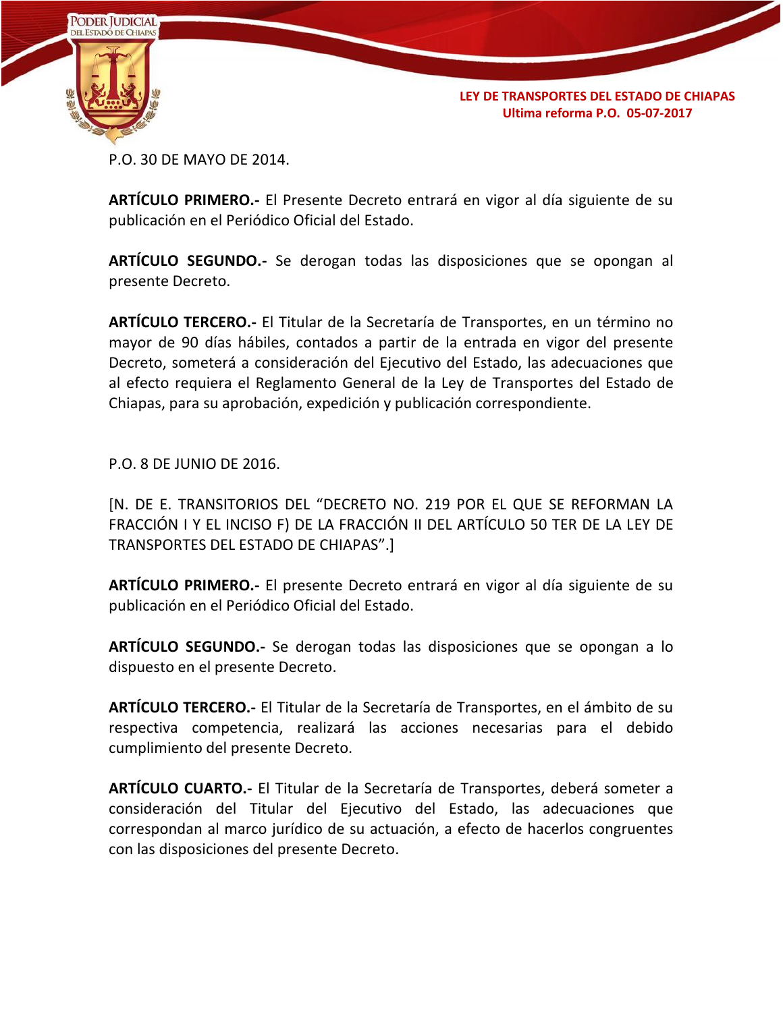

P.O. 30 DE MAYO DE 2014.

**ARTÍCULO PRIMERO.-** El Presente Decreto entrará en vigor al día siguiente de su publicación en el Periódico Oficial del Estado.

**ARTÍCULO SEGUNDO.-** Se derogan todas las disposiciones que se opongan al presente Decreto.

**ARTÍCULO TERCERO.-** El Titular de la Secretaría de Transportes, en un término no mayor de 90 días hábiles, contados a partir de la entrada en vigor del presente Decreto, someterá a consideración del Ejecutivo del Estado, las adecuaciones que al efecto requiera el Reglamento General de la Ley de Transportes del Estado de Chiapas, para su aprobación, expedición y publicación correspondiente.

P.O. 8 DE JUNIO DE 2016.

[N. DE E. TRANSITORIOS DEL "DECRETO NO. 219 POR EL QUE SE REFORMAN LA FRACCIÓN I Y EL INCISO F) DE LA FRACCIÓN II DEL ARTÍCULO 50 TER DE LA LEY DE TRANSPORTES DEL ESTADO DE CHIAPAS".]

**ARTÍCULO PRIMERO.-** El presente Decreto entrará en vigor al día siguiente de su publicación en el Periódico Oficial del Estado.

**ARTÍCULO SEGUNDO.-** Se derogan todas las disposiciones que se opongan a lo dispuesto en el presente Decreto.

**ARTÍCULO TERCERO.-** El Titular de la Secretaría de Transportes, en el ámbito de su respectiva competencia, realizará las acciones necesarias para el debido cumplimiento del presente Decreto.

**ARTÍCULO CUARTO.-** El Titular de la Secretaría de Transportes, deberá someter a consideración del Titular del Ejecutivo del Estado, las adecuaciones que correspondan al marco jurídico de su actuación, a efecto de hacerlos congruentes con las disposiciones del presente Decreto.